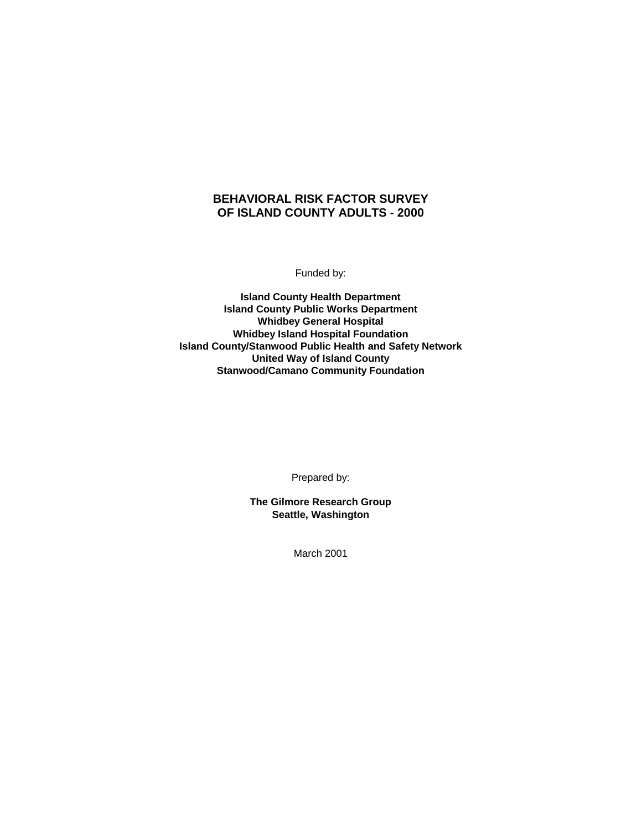# **BEHAVIORAL RISK FACTOR SURVEY OF ISLAND COUNTY ADULTS - 2000**

Funded by:

**Island County Health Department Island County Public Works Department Whidbey General Hospital Whidbey Island Hospital Foundation Island County/Stanwood Public Health and Safety Network United Way of Island County Stanwood/Camano Community Foundation**

Prepared by:

**The Gilmore Research Group Seattle, Washington**

March 2001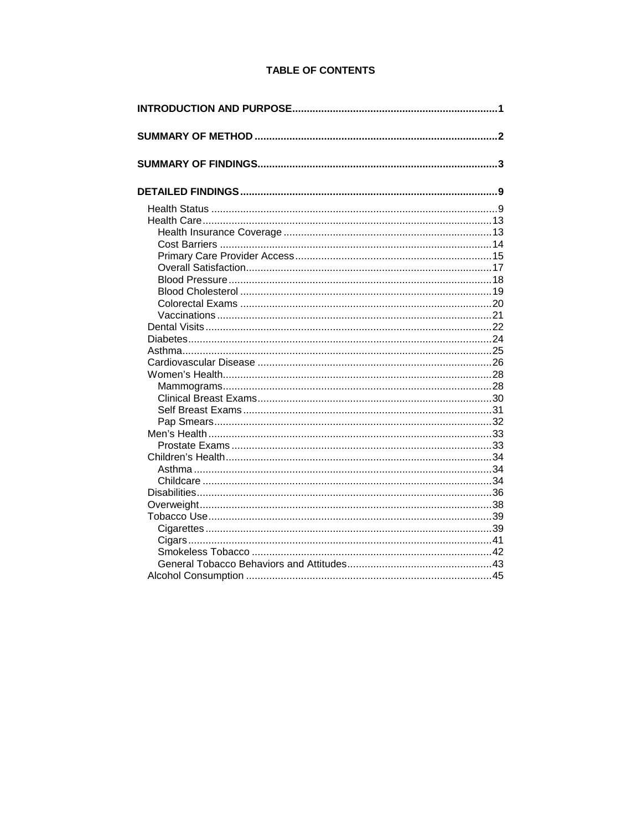# **TABLE OF CONTENTS**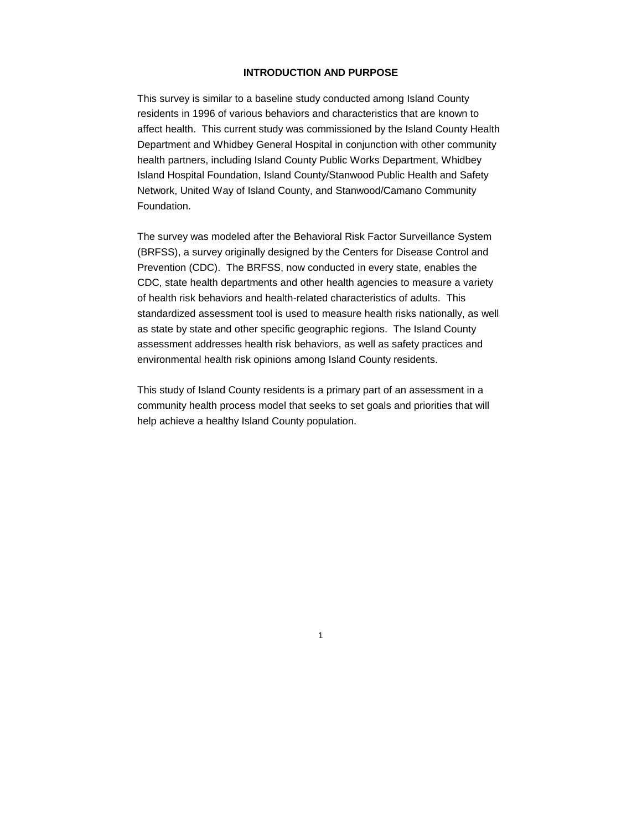# **INTRODUCTION AND PURPOSE**

This survey is similar to a baseline study conducted among Island County residents in 1996 of various behaviors and characteristics that are known to affect health. This current study was commissioned by the Island County Health Department and Whidbey General Hospital in conjunction with other community health partners, including Island County Public Works Department, Whidbey Island Hospital Foundation, Island County/Stanwood Public Health and Safety Network, United Way of Island County, and Stanwood/Camano Community Foundation.

The survey was modeled after the Behavioral Risk Factor Surveillance System (BRFSS), a survey originally designed by the Centers for Disease Control and Prevention (CDC). The BRFSS, now conducted in every state, enables the CDC, state health departments and other health agencies to measure a variety of health risk behaviors and health-related characteristics of adults. This standardized assessment tool is used to measure health risks nationally, as well as state by state and other specific geographic regions. The Island County assessment addresses health risk behaviors, as well as safety practices and environmental health risk opinions among Island County residents.

This study of Island County residents is a primary part of an assessment in a community health process model that seeks to set goals and priorities that will help achieve a healthy Island County population.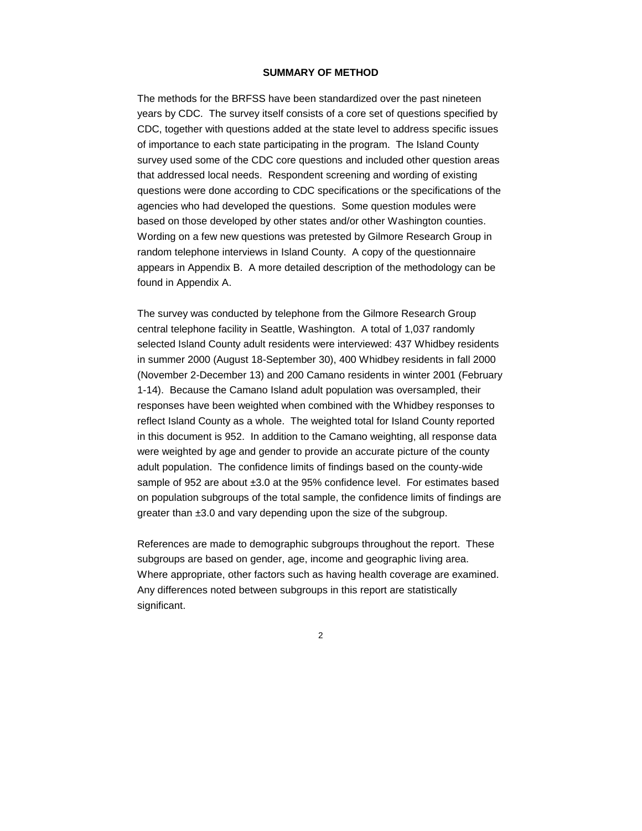## **SUMMARY OF METHOD**

The methods for the BRFSS have been standardized over the past nineteen years by CDC. The survey itself consists of a core set of questions specified by CDC, together with questions added at the state level to address specific issues of importance to each state participating in the program. The Island County survey used some of the CDC core questions and included other question areas that addressed local needs. Respondent screening and wording of existing questions were done according to CDC specifications or the specifications of the agencies who had developed the questions. Some question modules were based on those developed by other states and/or other Washington counties. Wording on a few new questions was pretested by Gilmore Research Group in random telephone interviews in Island County. A copy of the questionnaire appears in Appendix B. A more detailed description of the methodology can be found in Appendix A.

The survey was conducted by telephone from the Gilmore Research Group central telephone facility in Seattle, Washington. A total of 1,037 randomly selected Island County adult residents were interviewed: 437 Whidbey residents in summer 2000 (August 18-September 30), 400 Whidbey residents in fall 2000 (November 2-December 13) and 200 Camano residents in winter 2001 (February 1-14). Because the Camano Island adult population was oversampled, their responses have been weighted when combined with the Whidbey responses to reflect Island County as a whole. The weighted total for Island County reported in this document is 952. In addition to the Camano weighting, all response data were weighted by age and gender to provide an accurate picture of the county adult population. The confidence limits of findings based on the county-wide sample of 952 are about ±3.0 at the 95% confidence level. For estimates based on population subgroups of the total sample, the confidence limits of findings are greater than ±3.0 and vary depending upon the size of the subgroup.

References are made to demographic subgroups throughout the report. These subgroups are based on gender, age, income and geographic living area. Where appropriate, other factors such as having health coverage are examined. Any differences noted between subgroups in this report are statistically significant.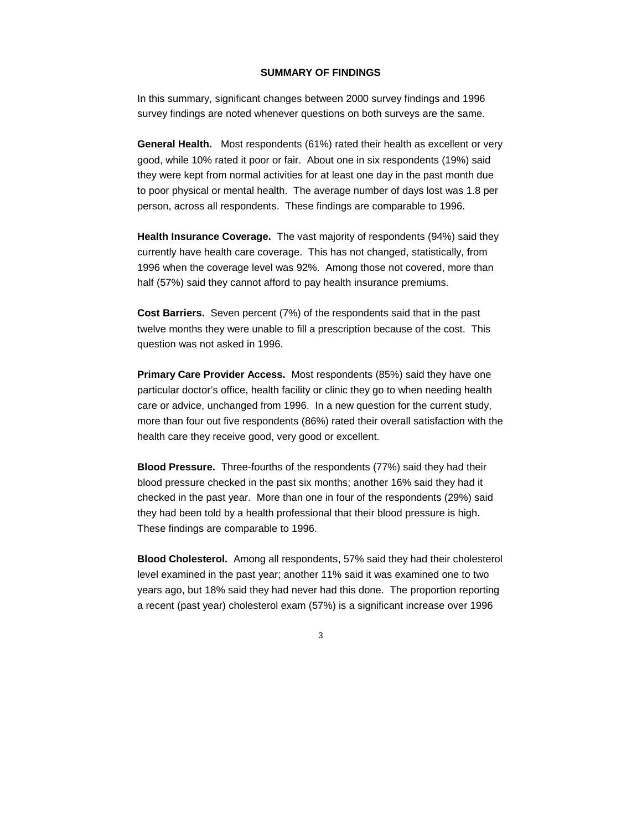### **SUMMARY OF FINDINGS**

In this summary, significant changes between 2000 survey findings and 1996 survey findings are noted whenever questions on both surveys are the same.

**General Health.** Most respondents (61%) rated their health as excellent or very good, while 10% rated it poor or fair. About one in six respondents (19%) said they were kept from normal activities for at least one day in the past month due to poor physical or mental health. The average number of days lost was 1.8 per person, across all respondents. These findings are comparable to 1996.

**Health Insurance Coverage.** The vast majority of respondents (94%) said they currently have health care coverage. This has not changed, statistically, from 1996 when the coverage level was 92%. Among those not covered, more than half (57%) said they cannot afford to pay health insurance premiums.

**Cost Barriers.** Seven percent (7%) of the respondents said that in the past twelve months they were unable to fill a prescription because of the cost. This question was not asked in 1996.

**Primary Care Provider Access.** Most respondents (85%) said they have one particular doctor's office, health facility or clinic they go to when needing health care or advice, unchanged from 1996. In a new question for the current study, more than four out five respondents (86%) rated their overall satisfaction with the health care they receive good, very good or excellent.

**Blood Pressure.** Three-fourths of the respondents (77%) said they had their blood pressure checked in the past six months; another 16% said they had it checked in the past year. More than one in four of the respondents (29%) said they had been told by a health professional that their blood pressure is high. These findings are comparable to 1996.

**Blood Cholesterol.** Among all respondents, 57% said they had their cholesterol level examined in the past year; another 11% said it was examined one to two years ago, but 18% said they had never had this done. The proportion reporting a recent (past year) cholesterol exam (57%) is a significant increase over 1996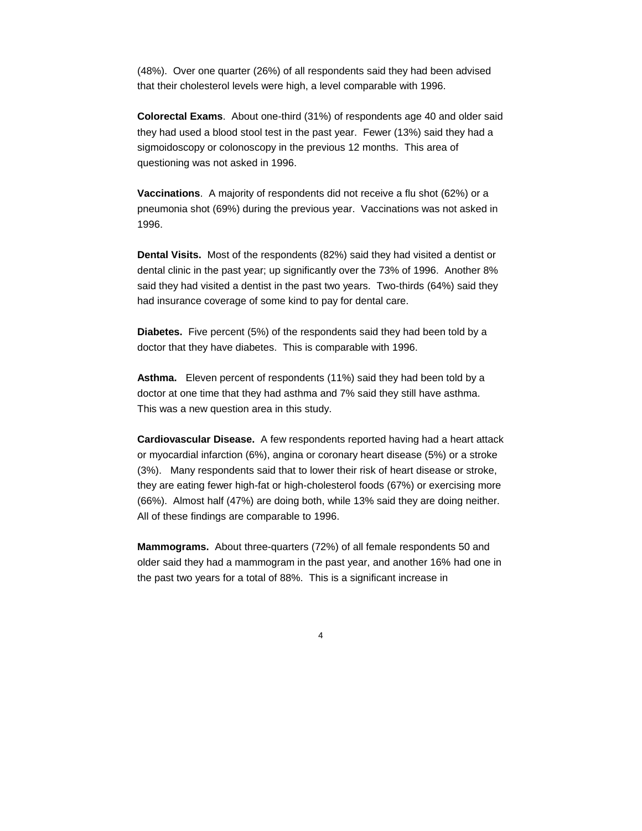(48%). Over one quarter (26%) of all respondents said they had been advised that their cholesterol levels were high, a level comparable with 1996.

**Colorectal Exams**. About one-third (31%) of respondents age 40 and older said they had used a blood stool test in the past year. Fewer (13%) said they had a sigmoidoscopy or colonoscopy in the previous 12 months. This area of questioning was not asked in 1996.

**Vaccinations**. A majority of respondents did not receive a flu shot (62%) or a pneumonia shot (69%) during the previous year. Vaccinations was not asked in 1996.

**Dental Visits.** Most of the respondents (82%) said they had visited a dentist or dental clinic in the past year; up significantly over the 73% of 1996. Another 8% said they had visited a dentist in the past two years. Two-thirds (64%) said they had insurance coverage of some kind to pay for dental care.

**Diabetes.** Five percent (5%) of the respondents said they had been told by a doctor that they have diabetes. This is comparable with 1996.

**Asthma.** Eleven percent of respondents (11%) said they had been told by a doctor at one time that they had asthma and 7% said they still have asthma. This was a new question area in this study.

**Cardiovascular Disease.** A few respondents reported having had a heart attack or myocardial infarction (6%), angina or coronary heart disease (5%) or a stroke (3%). Many respondents said that to lower their risk of heart disease or stroke, they are eating fewer high-fat or high-cholesterol foods (67%) or exercising more (66%). Almost half (47%) are doing both, while 13% said they are doing neither. All of these findings are comparable to 1996.

**Mammograms.** About three-quarters (72%) of all female respondents 50 and older said they had a mammogram in the past year, and another 16% had one in the past two years for a total of 88%. This is a significant increase in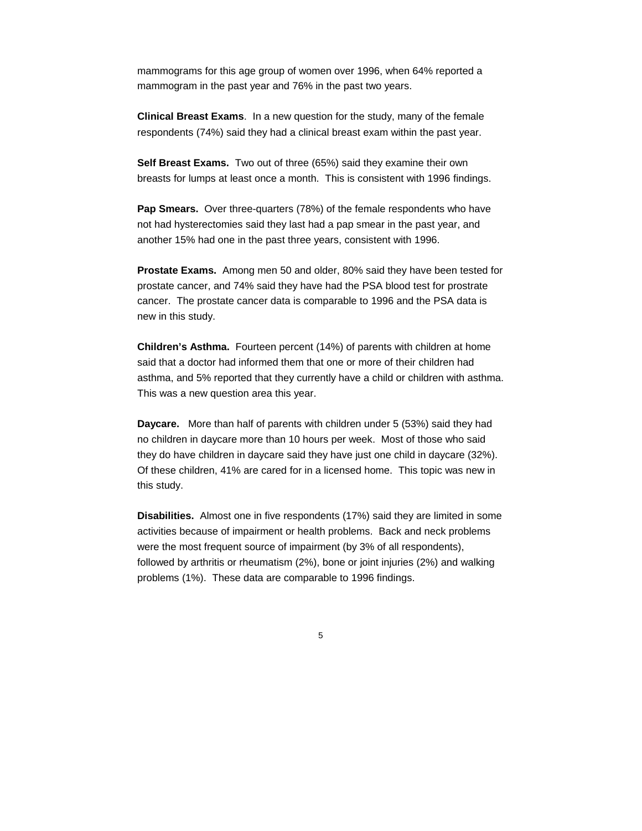mammograms for this age group of women over 1996, when 64% reported a mammogram in the past year and 76% in the past two years.

**Clinical Breast Exams**. In a new question for the study, many of the female respondents (74%) said they had a clinical breast exam within the past year.

**Self Breast Exams.** Two out of three (65%) said they examine their own breasts for lumps at least once a month. This is consistent with 1996 findings.

**Pap Smears.** Over three-quarters (78%) of the female respondents who have not had hysterectomies said they last had a pap smear in the past year, and another 15% had one in the past three years, consistent with 1996.

**Prostate Exams.** Among men 50 and older, 80% said they have been tested for prostate cancer, and 74% said they have had the PSA blood test for prostrate cancer. The prostate cancer data is comparable to 1996 and the PSA data is new in this study.

**Children's Asthma.** Fourteen percent (14%) of parents with children at home said that a doctor had informed them that one or more of their children had asthma, and 5% reported that they currently have a child or children with asthma. This was a new question area this year.

**Daycare.** More than half of parents with children under 5 (53%) said they had no children in daycare more than 10 hours per week. Most of those who said they do have children in daycare said they have just one child in daycare (32%). Of these children, 41% are cared for in a licensed home. This topic was new in this study.

**Disabilities.** Almost one in five respondents (17%) said they are limited in some activities because of impairment or health problems. Back and neck problems were the most frequent source of impairment (by 3% of all respondents), followed by arthritis or rheumatism (2%), bone or joint injuries (2%) and walking problems (1%). These data are comparable to 1996 findings.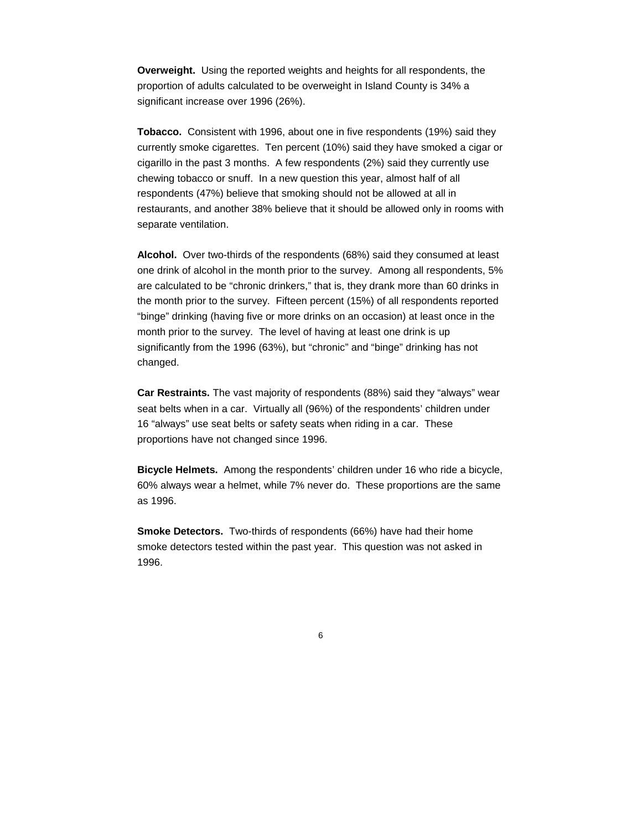**Overweight.** Using the reported weights and heights for all respondents, the proportion of adults calculated to be overweight in Island County is 34% a significant increase over 1996 (26%).

**Tobacco.** Consistent with 1996, about one in five respondents (19%) said they currently smoke cigarettes. Ten percent (10%) said they have smoked a cigar or cigarillo in the past 3 months. A few respondents (2%) said they currently use chewing tobacco or snuff. In a new question this year, almost half of all respondents (47%) believe that smoking should not be allowed at all in restaurants, and another 38% believe that it should be allowed only in rooms with separate ventilation.

**Alcohol.** Over two-thirds of the respondents (68%) said they consumed at least one drink of alcohol in the month prior to the survey. Among all respondents, 5% are calculated to be "chronic drinkers," that is, they drank more than 60 drinks in the month prior to the survey. Fifteen percent (15%) of all respondents reported "binge" drinking (having five or more drinks on an occasion) at least once in the month prior to the survey. The level of having at least one drink is up significantly from the 1996 (63%), but "chronic" and "binge" drinking has not changed.

**Car Restraints.** The vast majority of respondents (88%) said they "always" wear seat belts when in a car. Virtually all (96%) of the respondents' children under 16 "always" use seat belts or safety seats when riding in a car. These proportions have not changed since 1996.

**Bicycle Helmets.** Among the respondents' children under 16 who ride a bicycle, 60% always wear a helmet, while 7% never do. These proportions are the same as 1996.

**Smoke Detectors.** Two-thirds of respondents (66%) have had their home smoke detectors tested within the past year. This question was not asked in 1996.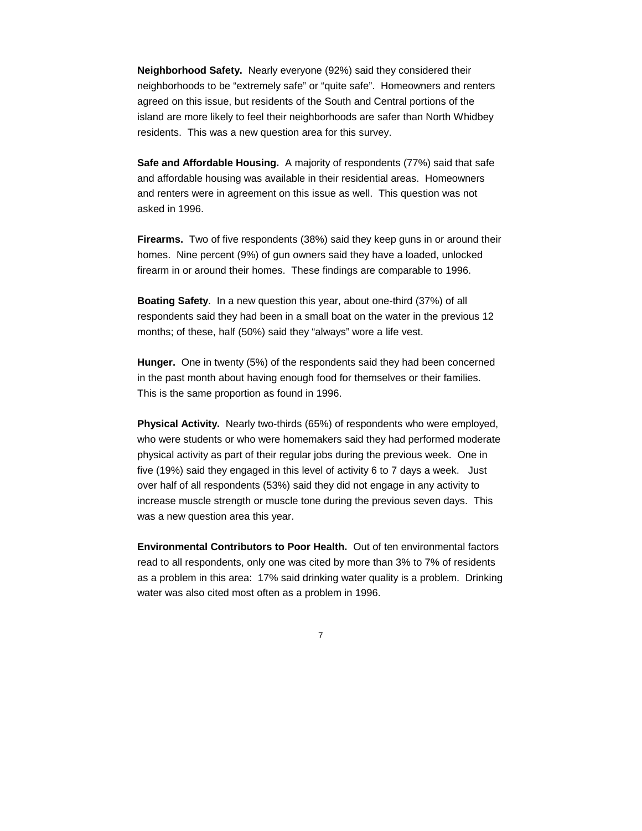**Neighborhood Safety.** Nearly everyone (92%) said they considered their neighborhoods to be "extremely safe" or "quite safe". Homeowners and renters agreed on this issue, but residents of the South and Central portions of the island are more likely to feel their neighborhoods are safer than North Whidbey residents. This was a new question area for this survey.

**Safe and Affordable Housing.** A majority of respondents (77%) said that safe and affordable housing was available in their residential areas. Homeowners and renters were in agreement on this issue as well. This question was not asked in 1996.

**Firearms.** Two of five respondents (38%) said they keep guns in or around their homes. Nine percent (9%) of gun owners said they have a loaded, unlocked firearm in or around their homes. These findings are comparable to 1996.

**Boating Safety**. In a new question this year, about one-third (37%) of all respondents said they had been in a small boat on the water in the previous 12 months; of these, half (50%) said they "always" wore a life vest.

**Hunger.** One in twenty (5%) of the respondents said they had been concerned in the past month about having enough food for themselves or their families. This is the same proportion as found in 1996.

**Physical Activity.** Nearly two-thirds (65%) of respondents who were employed, who were students or who were homemakers said they had performed moderate physical activity as part of their regular jobs during the previous week. One in five (19%) said they engaged in this level of activity 6 to 7 days a week. Just over half of all respondents (53%) said they did not engage in any activity to increase muscle strength or muscle tone during the previous seven days. This was a new question area this year.

**Environmental Contributors to Poor Health.** Out of ten environmental factors read to all respondents, only one was cited by more than 3% to 7% of residents as a problem in this area: 17% said drinking water quality is a problem. Drinking water was also cited most often as a problem in 1996.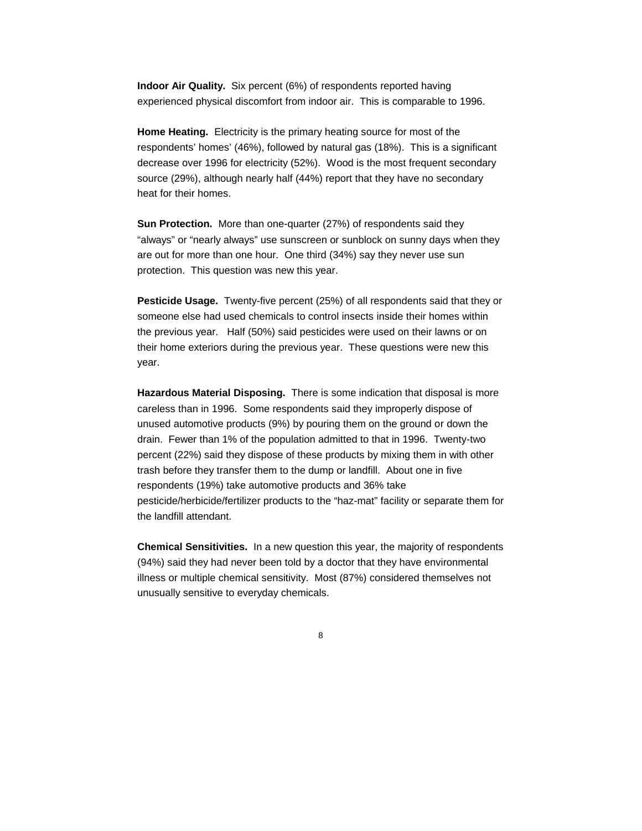**Indoor Air Quality.** Six percent (6%) of respondents reported having experienced physical discomfort from indoor air. This is comparable to 1996.

**Home Heating.** Electricity is the primary heating source for most of the respondents' homes' (46%), followed by natural gas (18%). This is a significant decrease over 1996 for electricity (52%). Wood is the most frequent secondary source (29%), although nearly half (44%) report that they have no secondary heat for their homes.

**Sun Protection.** More than one-quarter (27%) of respondents said they "always" or "nearly always" use sunscreen or sunblock on sunny days when they are out for more than one hour. One third (34%) say they never use sun protection. This question was new this year.

**Pesticide Usage.** Twenty-five percent (25%) of all respondents said that they or someone else had used chemicals to control insects inside their homes within the previous year. Half (50%) said pesticides were used on their lawns or on their home exteriors during the previous year. These questions were new this year.

**Hazardous Material Disposing.** There is some indication that disposal is more careless than in 1996. Some respondents said they improperly dispose of unused automotive products (9%) by pouring them on the ground or down the drain. Fewer than 1% of the population admitted to that in 1996. Twenty-two percent (22%) said they dispose of these products by mixing them in with other trash before they transfer them to the dump or landfill. About one in five respondents (19%) take automotive products and 36% take pesticide/herbicide/fertilizer products to the "haz-mat" facility or separate them for the landfill attendant.

**Chemical Sensitivities.** In a new question this year, the majority of respondents (94%) said they had never been told by a doctor that they have environmental illness or multiple chemical sensitivity. Most (87%) considered themselves not unusually sensitive to everyday chemicals.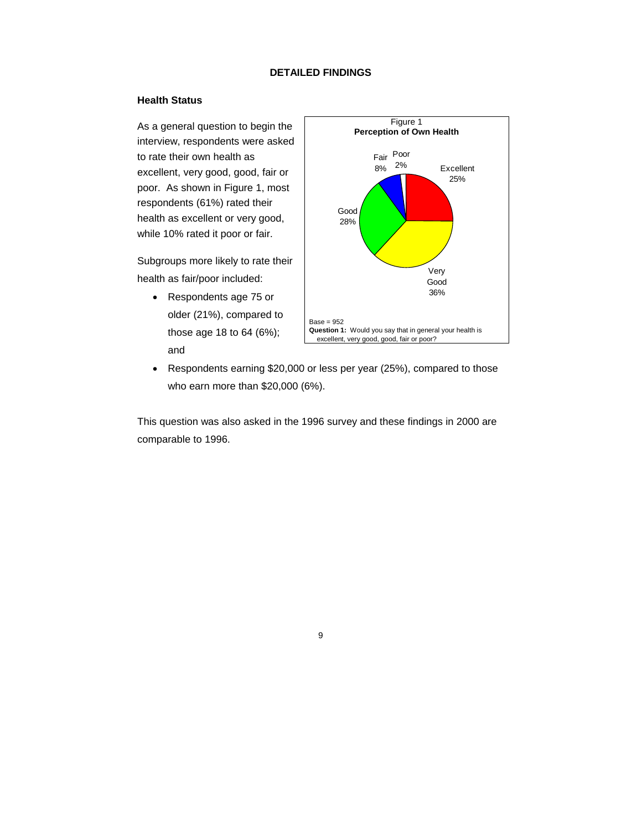## **DETAILED FINDINGS**

#### **Health Status**

As a general question to begin the interview, respondents were asked to rate their own health as excellent, very good, good, fair or poor. As shown in Figure 1, most respondents (61%) rated their health as excellent or very good, while 10% rated it poor or fair.

Subgroups more likely to rate their health as fair/poor included:

 Respondents age 75 or older (21%), compared to those age 18 to 64 (6%); and



 Respondents earning \$20,000 or less per year (25%), compared to those who earn more than \$20,000 (6%).

This question was also asked in the 1996 survey and these findings in 2000 are comparable to 1996.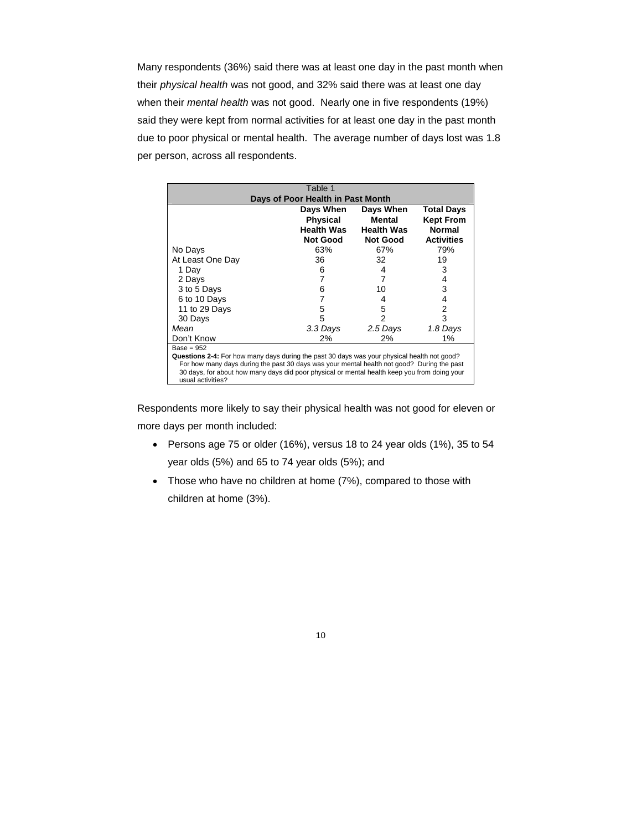Many respondents (36%) said there was at least one day in the past month when their *physical health* was not good, and 32% said there was at least one day when their *mental health* was not good. Nearly one in five respondents (19%) said they were kept from normal activities for at least one day in the past month due to poor physical or mental health. The average number of days lost was 1.8 per person, across all respondents.

|                                                                                                                                                                                            | Table 1           |                   |                   |
|--------------------------------------------------------------------------------------------------------------------------------------------------------------------------------------------|-------------------|-------------------|-------------------|
| Days of Poor Health in Past Month                                                                                                                                                          |                   |                   |                   |
|                                                                                                                                                                                            | Days When         | Days When         | Total Days        |
|                                                                                                                                                                                            | Physical          | Mental            | <b>Kept From</b>  |
|                                                                                                                                                                                            | <b>Health Was</b> | <b>Health Was</b> | <b>Normal</b>     |
|                                                                                                                                                                                            | Not Good          | <b>Not Good</b>   | <b>Activities</b> |
| No Days                                                                                                                                                                                    | 63%               | 67%               | 79%               |
| At Least One Day                                                                                                                                                                           | 36                | 32                | 19                |
| 1 Day                                                                                                                                                                                      | 6                 | 4                 | 3                 |
| 2 Days                                                                                                                                                                                     | 7                 | 7                 | 4                 |
| 3 to 5 Days                                                                                                                                                                                | 6                 | 10                | 3                 |
| 6 to 10 Days                                                                                                                                                                               | 7                 | 4                 | 4                 |
| 11 to 29 Days                                                                                                                                                                              | 5                 | 5                 | 2                 |
| 30 Days                                                                                                                                                                                    | 5                 | 2                 | 3                 |
| Mean                                                                                                                                                                                       | 3.3 Days          | 2.5 Days          | 1.8 Days          |
| Don't Know                                                                                                                                                                                 | 2%                | 2%                | $1\%$             |
| $Base = 952$                                                                                                                                                                               |                   |                   |                   |
| Questions 2-4: For how many days during the past 30 days was your physical health not good?                                                                                                |                   |                   |                   |
| For how many days during the past 30 days was your mental health not good? During the past<br>30 days, for about how many days did poor physical or mental health keep you from doing your |                   |                   |                   |
| usual activities?                                                                                                                                                                          |                   |                   |                   |

Respondents more likely to say their physical health was not good for eleven or more days per month included:

- Persons age 75 or older (16%), versus 18 to 24 year olds (1%), 35 to 54 year olds (5%) and 65 to 74 year olds (5%); and
- Those who have no children at home (7%), compared to those with children at home (3%).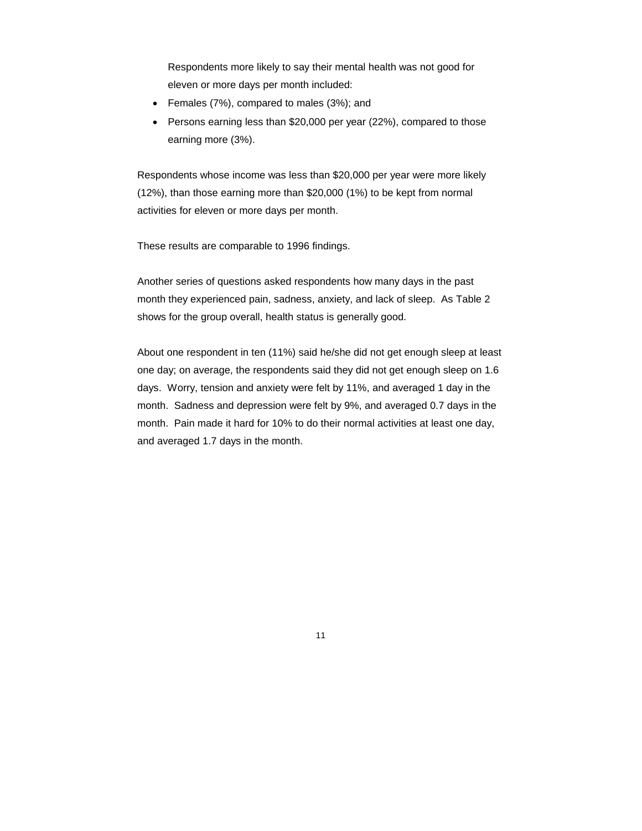Respondents more likely to say their mental health was not good for eleven or more days per month included:

- Females (7%), compared to males (3%); and
- Persons earning less than \$20,000 per year (22%), compared to those earning more (3%).

Respondents whose income was less than \$20,000 per year were more likely (12%), than those earning more than \$20,000 (1%) to be kept from normal activities for eleven or more days per month.

These results are comparable to 1996 findings.

Another series of questions asked respondents how many days in the past month they experienced pain, sadness, anxiety, and lack of sleep. As Table 2 shows for the group overall, health status is generally good.

About one respondent in ten (11%) said he/she did not get enough sleep at least one day; on average, the respondents said they did not get enough sleep on 1.6 days. Worry, tension and anxiety were felt by 11%, and averaged 1 day in the month. Sadness and depression were felt by 9%, and averaged 0.7 days in the month. Pain made it hard for 10% to do their normal activities at least one day, and averaged 1.7 days in the month.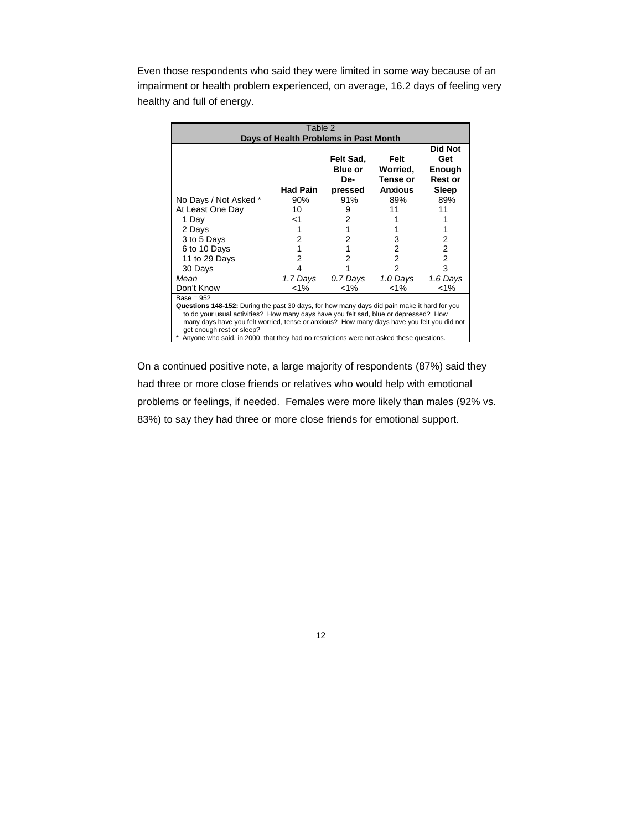Even those respondents who said they were limited in some way because of an impairment or health problem experienced, on average, 16.2 days of feeling very healthy and full of energy.

| Table 2                                                                                                                                                                                                                                                                                                                                                                                                                          |                 |                                               |                                                |                                                     |
|----------------------------------------------------------------------------------------------------------------------------------------------------------------------------------------------------------------------------------------------------------------------------------------------------------------------------------------------------------------------------------------------------------------------------------|-----------------|-----------------------------------------------|------------------------------------------------|-----------------------------------------------------|
| Days of Health Problems in Past Month                                                                                                                                                                                                                                                                                                                                                                                            |                 |                                               |                                                |                                                     |
|                                                                                                                                                                                                                                                                                                                                                                                                                                  | <b>Had Pain</b> | Felt Sad,<br><b>Blue or</b><br>De-<br>pressed | Felt<br>Worried,<br>Tense or<br><b>Anxious</b> | Did Not<br>Get<br>Enough<br><b>Rest or</b><br>Sleep |
| No Days / Not Asked *                                                                                                                                                                                                                                                                                                                                                                                                            | 90%             | 91%                                           | 89%                                            | 89%                                                 |
| At Least One Day                                                                                                                                                                                                                                                                                                                                                                                                                 | 10              | 9                                             | 11                                             | 11                                                  |
| 1 Day                                                                                                                                                                                                                                                                                                                                                                                                                            | ا>              | 2                                             |                                                |                                                     |
| 2 Days                                                                                                                                                                                                                                                                                                                                                                                                                           |                 |                                               |                                                |                                                     |
| 3 to 5 Days                                                                                                                                                                                                                                                                                                                                                                                                                      | 2               | 2                                             | 3                                              | 2                                                   |
| 6 to 10 Days                                                                                                                                                                                                                                                                                                                                                                                                                     |                 |                                               | 2                                              | 2                                                   |
| 11 to 29 Days                                                                                                                                                                                                                                                                                                                                                                                                                    | 2               |                                               | 2                                              | $\overline{2}$                                      |
| 30 Days                                                                                                                                                                                                                                                                                                                                                                                                                          |                 |                                               | $\overline{2}$                                 | 3                                                   |
| Mean                                                                                                                                                                                                                                                                                                                                                                                                                             | 1.7 Days        | 0.7 Days                                      | 1.0 Days                                       | 1.6 Days                                            |
| Don't Know                                                                                                                                                                                                                                                                                                                                                                                                                       | $< 1\%$         | $1\%$                                         | $< 1\%$                                        | $1\%$                                               |
| $Base = 952$<br><b>Questions 148-152:</b> During the past 30 days, for how many days did pain make it hard for you<br>to do your usual activities? How many days have you felt sad, blue or depressed? How<br>many days have you felt worried, tense or anxious? How many days have you felt you did not<br>get enough rest or sleep?<br>Anyone who said, in 2000, that they had no restrictions were not asked these questions. |                 |                                               |                                                |                                                     |

On a continued positive note, a large majority of respondents (87%) said they had three or more close friends or relatives who would help with emotional problems or feelings, if needed. Females were more likely than males (92% vs. 83%) to say they had three or more close friends for emotional support.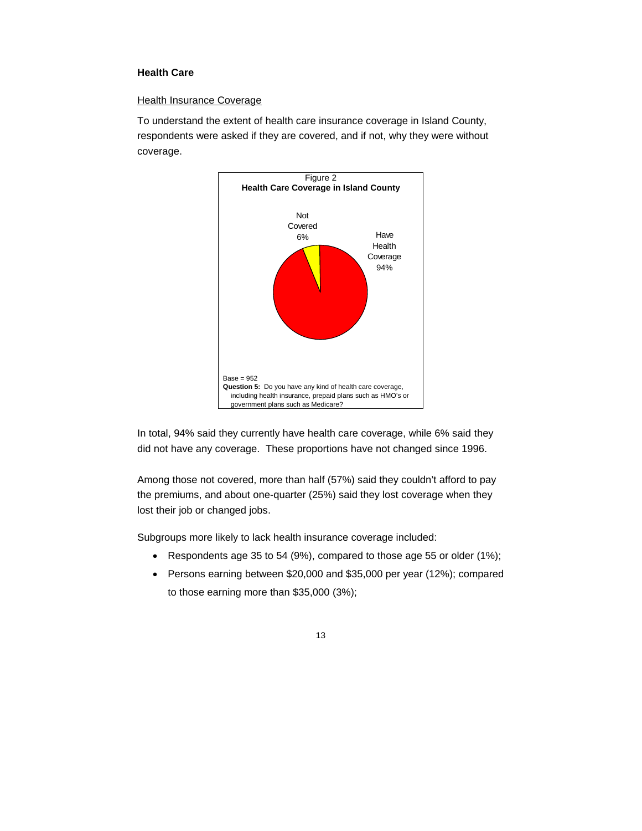# **Health Care**

# Health Insurance Coverage

To understand the extent of health care insurance coverage in Island County, respondents were asked if they are covered, and if not, why they were without coverage.



In total, 94% said they currently have health care coverage, while 6% said they did not have any coverage. These proportions have not changed since 1996.

Among those not covered, more than half (57%) said they couldn't afford to pay the premiums, and about one-quarter (25%) said they lost coverage when they lost their job or changed jobs.

Subgroups more likely to lack health insurance coverage included:

- Respondents age 35 to 54 (9%), compared to those age 55 or older (1%);
- Persons earning between \$20,000 and \$35,000 per year (12%); compared to those earning more than \$35,000 (3%);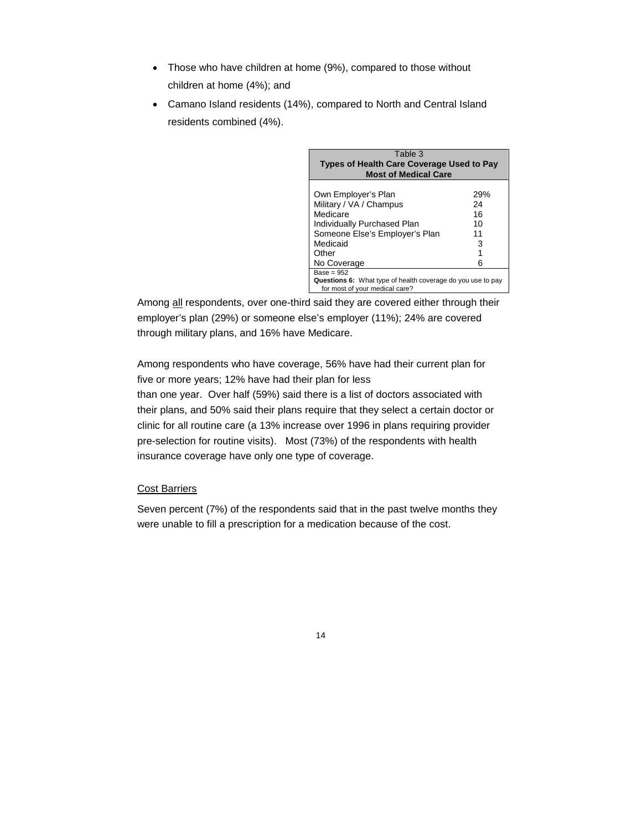- Those who have children at home (9%), compared to those without children at home (4%); and
- Camano Island residents (14%), compared to North and Central Island residents combined (4%).

| Table 3<br><b>Types of Health Care Coverage Used to Pay</b><br><b>Most of Medical Care</b> |     |  |
|--------------------------------------------------------------------------------------------|-----|--|
| Own Employer's Plan                                                                        | 29% |  |
| Military / VA / Champus                                                                    | 24  |  |
| Medicare                                                                                   | 16  |  |
| Individually Purchased Plan                                                                | 10  |  |
| Someone Else's Employer's Plan                                                             | 11  |  |
| Medicaid                                                                                   | 3   |  |
| Other                                                                                      |     |  |
| No Coverage                                                                                | 6   |  |
| Base = 952                                                                                 |     |  |
| Questions 6: What type of health coverage do you use to pay                                |     |  |
| for most of your medical care?                                                             |     |  |

Among all respondents, over one-third said they are covered either through their employer's plan (29%) or someone else's employer (11%); 24% are covered through military plans, and 16% have Medicare.

Among respondents who have coverage, 56% have had their current plan for five or more years; 12% have had their plan for less than one year. Over half (59%) said there is a list of doctors associated with their plans, and 50% said their plans require that they select a certain doctor or clinic for all routine care (a 13% increase over 1996 in plans requiring provider pre-selection for routine visits). Most (73%) of the respondents with health insurance coverage have only one type of coverage.

# Cost Barriers

Seven percent (7%) of the respondents said that in the past twelve months they were unable to fill a prescription for a medication because of the cost.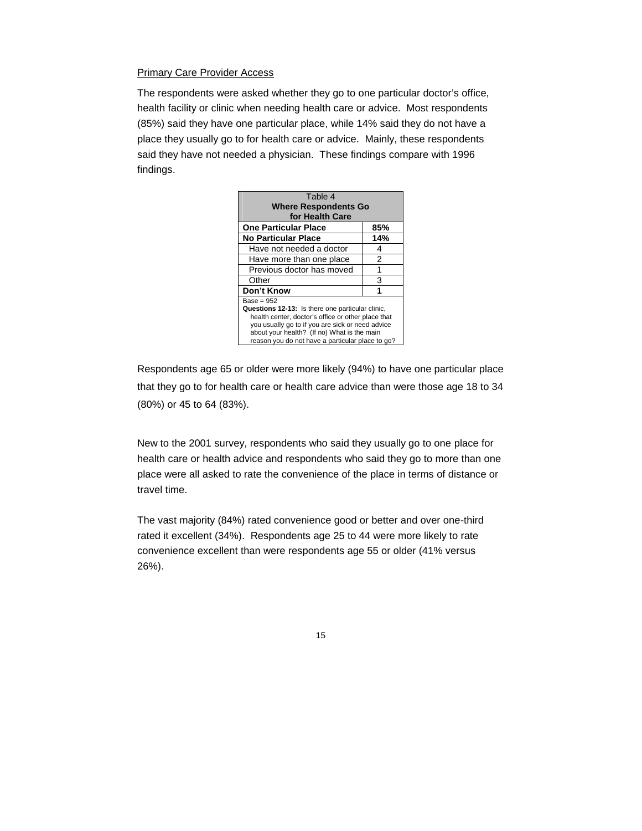#### Primary Care Provider Access

The respondents were asked whether they go to one particular doctor's office, health facility or clinic when needing health care or advice. Most respondents (85%) said they have one particular place, while 14% said they do not have a place they usually go to for health care or advice. Mainly, these respondents said they have not needed a physician. These findings compare with 1996 findings.

| Table 4                                            |     |  |
|----------------------------------------------------|-----|--|
| <b>Where Respondents Go</b>                        |     |  |
| for Health Care                                    |     |  |
| <b>One Particular Place</b>                        | 85% |  |
| <b>No Particular Place</b>                         | 14% |  |
| Have not needed a doctor                           | 4   |  |
| Have more than one place                           | 2   |  |
| Previous doctor has moved                          | 1   |  |
| Other                                              | 3   |  |
| Don't Know                                         |     |  |
| Base = 952                                         |     |  |
| Questions 12-13: Is there one particular clinic,   |     |  |
| health center, doctor's office or other place that |     |  |
| you usually go to if you are sick or need advice   |     |  |
| about your health? (If no) What is the main        |     |  |
| reason vou do not have a particular place to go?   |     |  |

Respondents age 65 or older were more likely (94%) to have one particular place that they go to for health care or health care advice than were those age 18 to 34 (80%) or 45 to 64 (83%).

New to the 2001 survey, respondents who said they usually go to one place for health care or health advice and respondents who said they go to more than one place were all asked to rate the convenience of the place in terms of distance or travel time.

The vast majority (84%) rated convenience good or better and over one-third rated it excellent (34%). Respondents age 25 to 44 were more likely to rate convenience excellent than were respondents age 55 or older (41% versus 26%).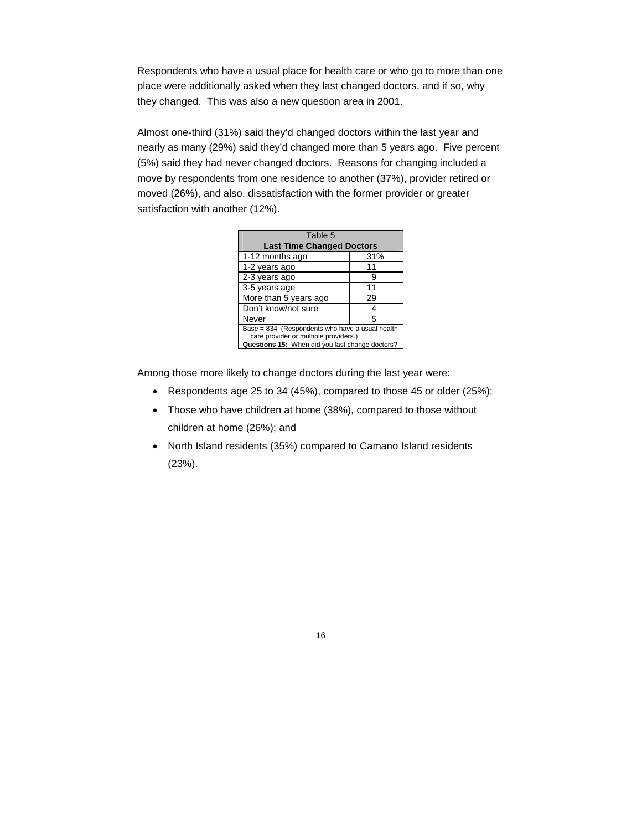Respondents who have a usual place for health care or who go to more than one place were additionally asked when they last changed doctors, and if so, why they changed. This was also a new question area in 2001.

Almost one-third (31%) said they'd changed doctors within the last year and nearly as many (29%) said they'd changed more than 5 years ago. Five percent (5%) said they had never changed doctors. Reasons for changing included a move by respondents from one residence to another (37%), provider retired or moved (26%), and also, dissatisfaction with the former provider or greater satisfaction with another (12%).

| Table 5                                                                                                                                     |     |  |
|---------------------------------------------------------------------------------------------------------------------------------------------|-----|--|
| <b>Last Time Changed Doctors</b>                                                                                                            |     |  |
| 1-12 months ago                                                                                                                             | 31% |  |
| 1-2 years ago                                                                                                                               | 11  |  |
| 2-3 years ago                                                                                                                               | 9   |  |
| 3-5 years age                                                                                                                               | 11  |  |
| More than 5 years ago                                                                                                                       | 29  |  |
| Don't know/not sure                                                                                                                         | 4   |  |
| Never                                                                                                                                       | 5   |  |
| Base = 834 (Respondents who have a usual health<br>care provider or multiple providers.)<br>Questions 15: When did you last change doctors? |     |  |

Among those more likely to change doctors during the last year were:

- Respondents age 25 to 34 (45%), compared to those 45 or older (25%);
- Those who have children at home (38%), compared to those without children at home (26%); and
- North Island residents (35%) compared to Camano Island residents (23%).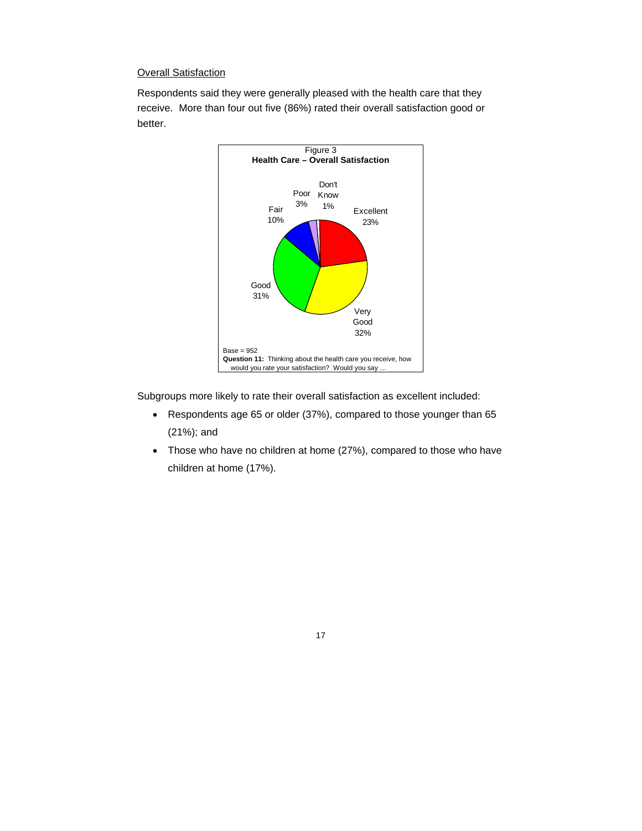# **Overall Satisfaction**

Respondents said they were generally pleased with the health care that they receive. More than four out five (86%) rated their overall satisfaction good or better.



Subgroups more likely to rate their overall satisfaction as excellent included:

- Respondents age 65 or older (37%), compared to those younger than 65 (21%); and
- Those who have no children at home (27%), compared to those who have children at home (17%).

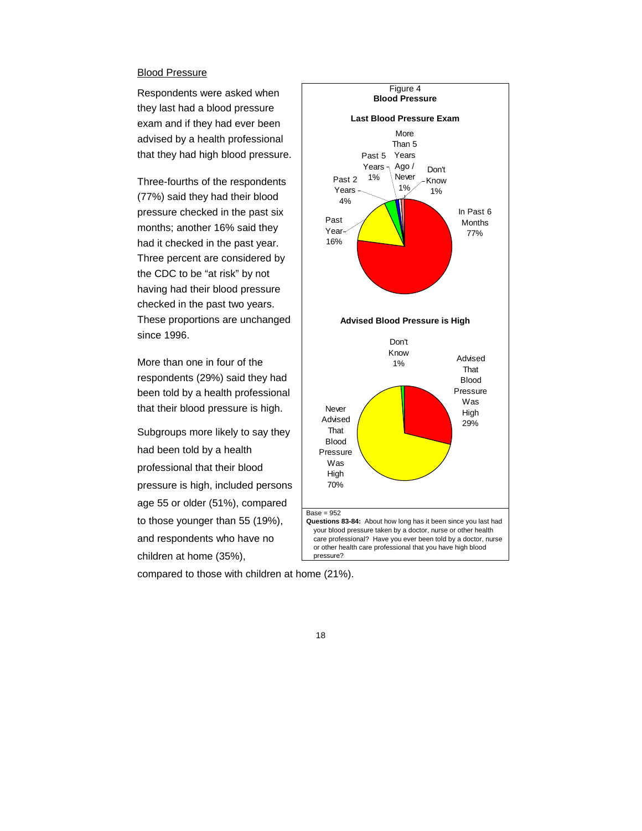#### Blood Pressure

Respondents were asked when they last had a blood pressure exam and if they had ever been advised by a health professional that they had high blood pressure.

Three-fourths of the respondents (77%) said they had their blood pressure checked in the past six months; another 16% said they had it checked in the past year. Three percent are considered by the CDC to be "at risk" by not having had their blood pressure checked in the past two years. These proportions are unchanged since 1996.

More than one in four of the respondents (29%) said they had been told by a health professional that their blood pressure is high.

Subgroups more likely to say they had been told by a health professional that their blood pressure is high, included persons age 55 or older (51%), compared to those younger than 55 (19%), and respondents who have no children at home (35%),



compared to those with children at home (21%).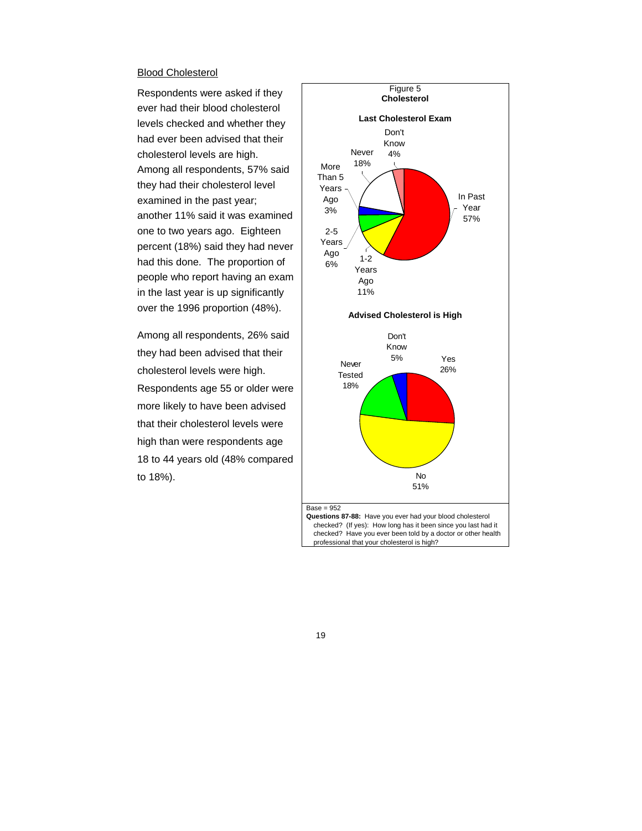#### Blood Cholesterol

Respondents were asked if they ever had their blood cholesterol levels checked and whether they had ever been advised that their cholesterol levels are high. Among all respondents, 57% said they had their cholesterol level examined in the past year; another 11% said it was examined one to two years ago. Eighteen percent (18%) said they had never had this done. The proportion of people who report having an exam in the last year is up significantly over the 1996 proportion (48%).

Among all respondents, 26% said they had been advised that their cholesterol levels were high. Respondents age 55 or older were more likely to have been advised that their cholesterol levels were high than were respondents age 18 to 44 years old (48% compared to 18%).

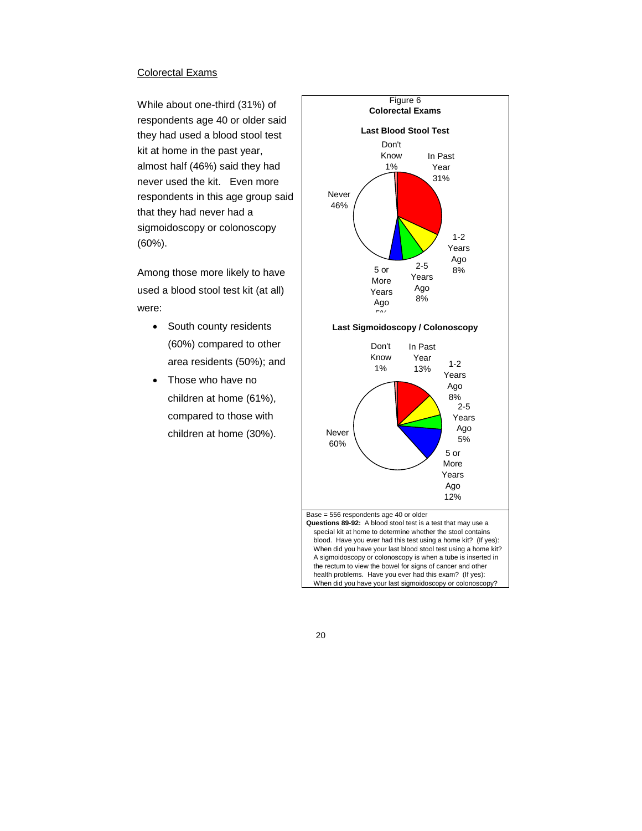#### Colorectal Exams

While about one-third (31%) of respondents age 40 or older said they had used a blood stool test kit at home in the past year, almost half (46%) said they had never used the kit. Even more respondents in this age group said that they had never had a sigmoidoscopy or colonoscopy (60%).

Among those more likely to have used a blood stool test kit (at all) were:

- South county residents (60%) compared to other area residents (50%); and
- Those who have no children at home (61%), compared to those with children at home (30%).

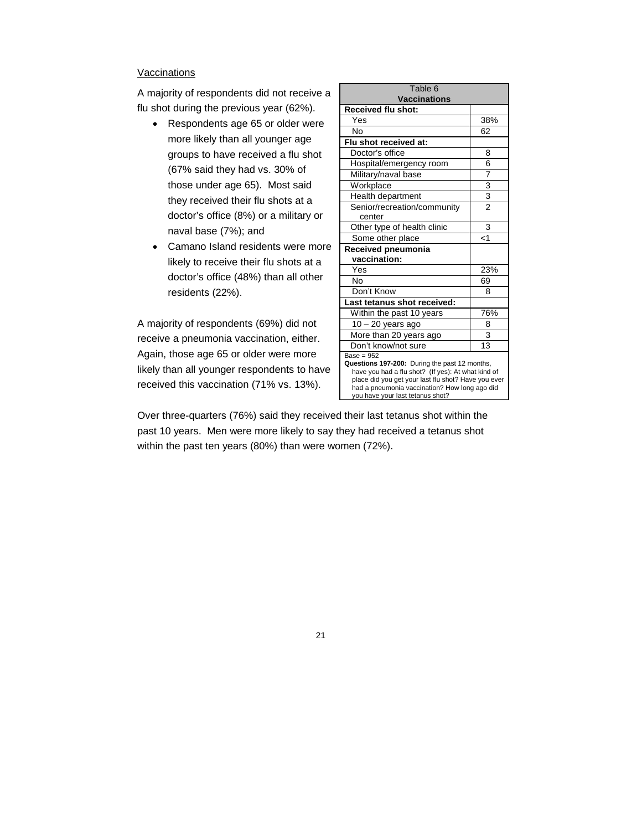## Vaccinations

A majority of respondents did not receive a flu shot during the previous year (62%).

- Respondents age 65 or older were more likely than all younger age groups to have received a flu shot (67% said they had vs. 30% of those under age 65). Most said they received their flu shots at a doctor's office (8%) or a military or naval base (7%); and
- Camano Island residents were more likely to receive their flu shots at a doctor's office (48%) than all other residents (22%).

A majority of respondents (69%) did not receive a pneumonia vaccination, either. Again, those age 65 or older were more likely than all younger respondents to have received this vaccination (71% vs. 13%).

| Table 6<br><b>Vaccinations</b>                                                                                                                                                                                                                  |                 |  |
|-------------------------------------------------------------------------------------------------------------------------------------------------------------------------------------------------------------------------------------------------|-----------------|--|
| Received flu shot:                                                                                                                                                                                                                              |                 |  |
| Yes                                                                                                                                                                                                                                             | 38%             |  |
| Nο                                                                                                                                                                                                                                              | 62              |  |
| Flu shot received at:                                                                                                                                                                                                                           |                 |  |
| Doctor's office                                                                                                                                                                                                                                 | 8               |  |
| Hospital/emergency room                                                                                                                                                                                                                         | 6               |  |
| Military/naval base                                                                                                                                                                                                                             | 7               |  |
| Workplace                                                                                                                                                                                                                                       |                 |  |
| Health department                                                                                                                                                                                                                               | $\frac{3}{2}$   |  |
| Senior/recreation/community<br>center                                                                                                                                                                                                           |                 |  |
| Other type of health clinic                                                                                                                                                                                                                     | 3               |  |
| Some other place                                                                                                                                                                                                                                | $\leq$ 1        |  |
| Received pneumonia                                                                                                                                                                                                                              |                 |  |
| vaccination:                                                                                                                                                                                                                                    |                 |  |
| Yes                                                                                                                                                                                                                                             | 23%             |  |
| N٥                                                                                                                                                                                                                                              | 69              |  |
| Don't Know                                                                                                                                                                                                                                      | 8               |  |
| Last tetanus shot received:                                                                                                                                                                                                                     |                 |  |
| Within the past 10 years                                                                                                                                                                                                                        | 76%             |  |
| $10 - 20$ years ago                                                                                                                                                                                                                             | 8               |  |
| More than 20 years ago                                                                                                                                                                                                                          | $\overline{3}$  |  |
| Don't know/not sure                                                                                                                                                                                                                             | $\overline{13}$ |  |
| $Base = 952$                                                                                                                                                                                                                                    |                 |  |
| Questions 197-200: During the past 12 months,<br>have you had a flu shot? (If yes): At what kind of<br>place did you get your last flu shot? Have you ever<br>had a pneumonia vaccination? How long ago did<br>you have your last tetanus shot? |                 |  |

Over three-quarters (76%) said they received their last tetanus shot within the past 10 years. Men were more likely to say they had received a tetanus shot within the past ten years (80%) than were women (72%).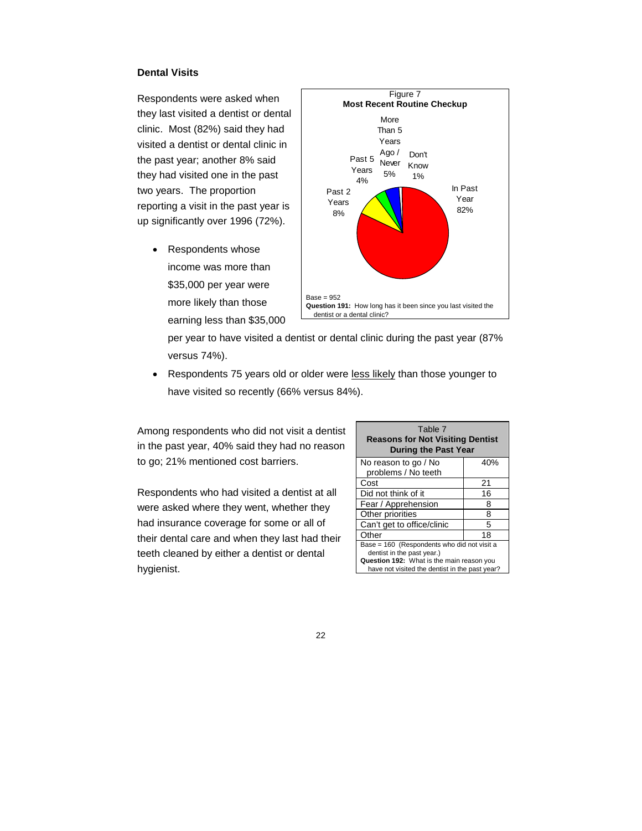# **Dental Visits**

Respondents were asked when they last visited a dentist or dental clinic. Most (82%) said they had visited a dentist or dental clinic in the past year; another 8% said they had visited one in the past two years. The proportion reporting a visit in the past year is up significantly over 1996 (72%).

• Respondents whose income was more than \$35,000 per year were more likely than those earning less than \$35,000



per year to have visited a dentist or dental clinic during the past year (87% versus 74%).

• Respondents 75 years old or older were less likely than those younger to have visited so recently (66% versus 84%).

Among respondents who did not visit a dentist in the past year, 40% said they had no reason to go; 21% mentioned cost barriers.

Respondents who had visited a dentist at all were asked where they went, whether they had insurance coverage for some or all of their dental care and when they last had their teeth cleaned by either a dentist or dental hygienist.

| Table 7<br><b>Reasons for Not Visiting Dentist</b><br><b>During the Past Year</b>                                                                                        |     |  |
|--------------------------------------------------------------------------------------------------------------------------------------------------------------------------|-----|--|
| No reason to go / No<br>problems / No teeth                                                                                                                              | 40% |  |
| Cost                                                                                                                                                                     | 21  |  |
| Did not think of it                                                                                                                                                      | 16  |  |
| Fear / Apprehension                                                                                                                                                      | 8   |  |
| Other priorities                                                                                                                                                         | 8   |  |
| Can't get to office/clinic                                                                                                                                               | 5   |  |
| Other                                                                                                                                                                    | 18  |  |
| Base = 160 (Respondents who did not visit a<br>dentist in the past year.)<br>Question 192: What is the main reason you<br>have not visited the dentist in the past year? |     |  |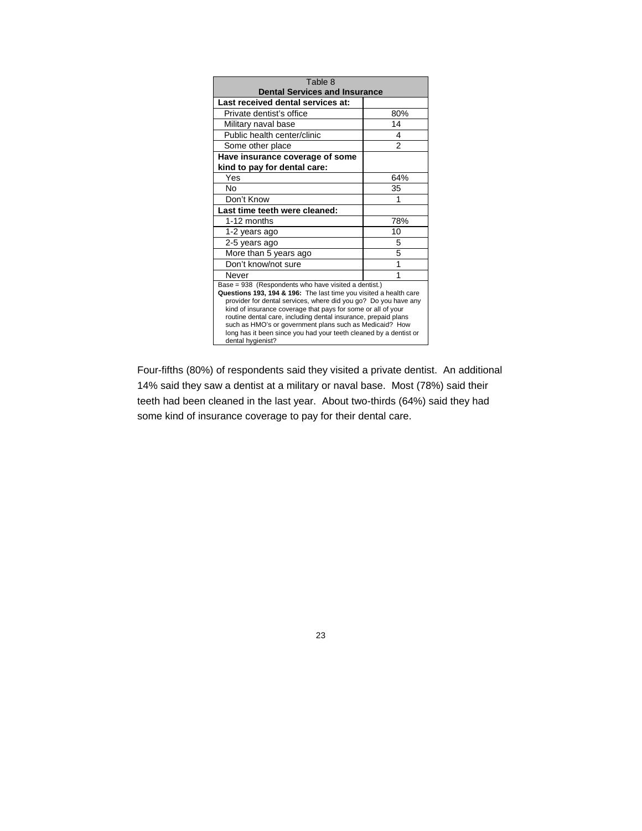| Table 8                                                                                                                                                                                                                                                                                                                                                                                                                                                                             |     |  |
|-------------------------------------------------------------------------------------------------------------------------------------------------------------------------------------------------------------------------------------------------------------------------------------------------------------------------------------------------------------------------------------------------------------------------------------------------------------------------------------|-----|--|
| <b>Dental Services and Insurance</b>                                                                                                                                                                                                                                                                                                                                                                                                                                                |     |  |
| Last received dental services at:                                                                                                                                                                                                                                                                                                                                                                                                                                                   |     |  |
| Private dentist's office                                                                                                                                                                                                                                                                                                                                                                                                                                                            | 80% |  |
| Military naval base                                                                                                                                                                                                                                                                                                                                                                                                                                                                 | 14  |  |
| Public health center/clinic                                                                                                                                                                                                                                                                                                                                                                                                                                                         | 4   |  |
| Some other place                                                                                                                                                                                                                                                                                                                                                                                                                                                                    | 2   |  |
| Have insurance coverage of some                                                                                                                                                                                                                                                                                                                                                                                                                                                     |     |  |
| kind to pay for dental care:                                                                                                                                                                                                                                                                                                                                                                                                                                                        |     |  |
| Yes                                                                                                                                                                                                                                                                                                                                                                                                                                                                                 | 64% |  |
| No                                                                                                                                                                                                                                                                                                                                                                                                                                                                                  | 35  |  |
| Don't Know                                                                                                                                                                                                                                                                                                                                                                                                                                                                          |     |  |
| Last time teeth were cleaned:                                                                                                                                                                                                                                                                                                                                                                                                                                                       |     |  |
| 1-12 months                                                                                                                                                                                                                                                                                                                                                                                                                                                                         | 78% |  |
| 1-2 years ago                                                                                                                                                                                                                                                                                                                                                                                                                                                                       | 10  |  |
| 2-5 years ago                                                                                                                                                                                                                                                                                                                                                                                                                                                                       | 5   |  |
| More than 5 years ago                                                                                                                                                                                                                                                                                                                                                                                                                                                               | 5   |  |
| Don't know/not sure                                                                                                                                                                                                                                                                                                                                                                                                                                                                 |     |  |
| Never                                                                                                                                                                                                                                                                                                                                                                                                                                                                               | 1   |  |
| Base = 938 (Respondents who have visited a dentist.)<br>Questions 193, 194 & 196: The last time you visited a health care<br>provider for dental services, where did you go? Do you have any<br>kind of insurance coverage that pays for some or all of your<br>routine dental care, including dental insurance, prepaid plans<br>such as HMO's or government plans such as Medicaid? How<br>long has it been since you had your teeth cleaned by a dentist or<br>dental hygienist? |     |  |

Four-fifths (80%) of respondents said they visited a private dentist. An additional 14% said they saw a dentist at a military or naval base. Most (78%) said their teeth had been cleaned in the last year. About two-thirds (64%) said they had some kind of insurance coverage to pay for their dental care.

23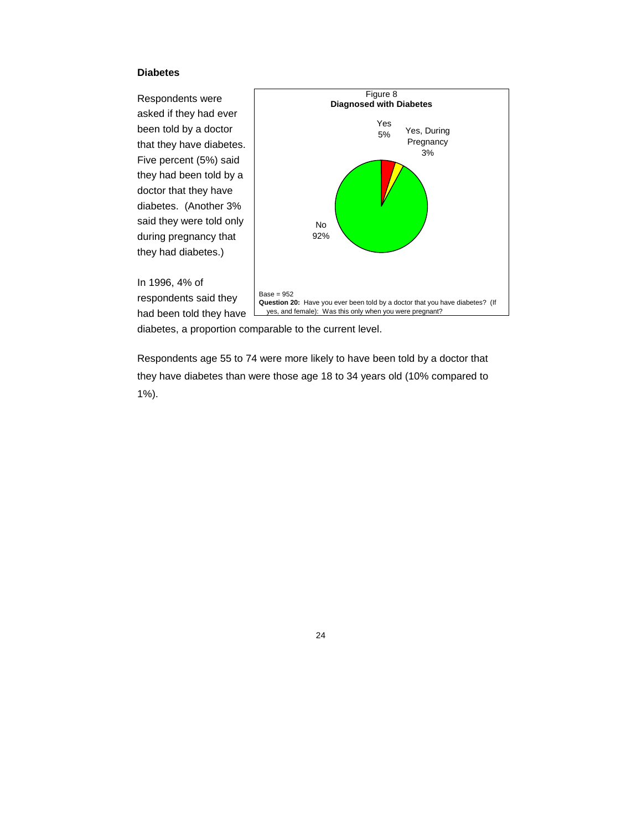## **Diabetes**

Respondents were asked if they had ever been told by a doctor that they have diabetes. Five percent (5%) said they had been told by a doctor that they have diabetes. (Another 3% said they were told only during pregnancy that they had diabetes.)



In 1996, 4% of

respondents said they had been told they have

diabetes, a proportion comparable to the current level.

Respondents age 55 to 74 were more likely to have been told by a doctor that they have diabetes than were those age 18 to 34 years old (10% compared to 1%).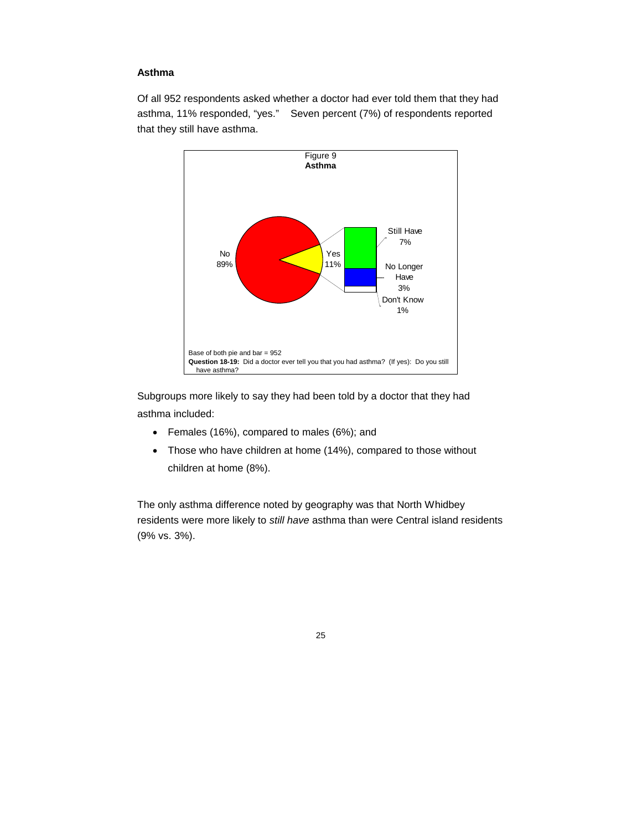# **Asthma**

Of all 952 respondents asked whether a doctor had ever told them that they had asthma, 11% responded, "yes." Seven percent (7%) of respondents reported that they still have asthma.



Subgroups more likely to say they had been told by a doctor that they had asthma included:

- Females (16%), compared to males (6%); and
- Those who have children at home (14%), compared to those without children at home (8%).

The only asthma difference noted by geography was that North Whidbey residents were more likely to *still have* asthma than were Central island residents (9% vs. 3%).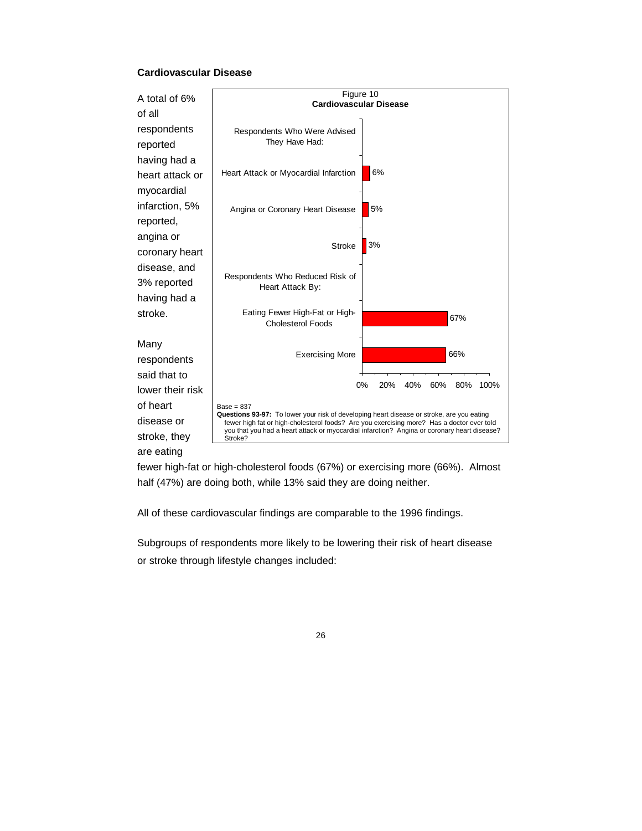## **Cardiovascular Disease**



fewer high-fat or high-cholesterol foods (67%) or exercising more (66%). Almost half (47%) are doing both, while 13% said they are doing neither.

All of these cardiovascular findings are comparable to the 1996 findings.

Subgroups of respondents more likely to be lowering their risk of heart disease or stroke through lifestyle changes included: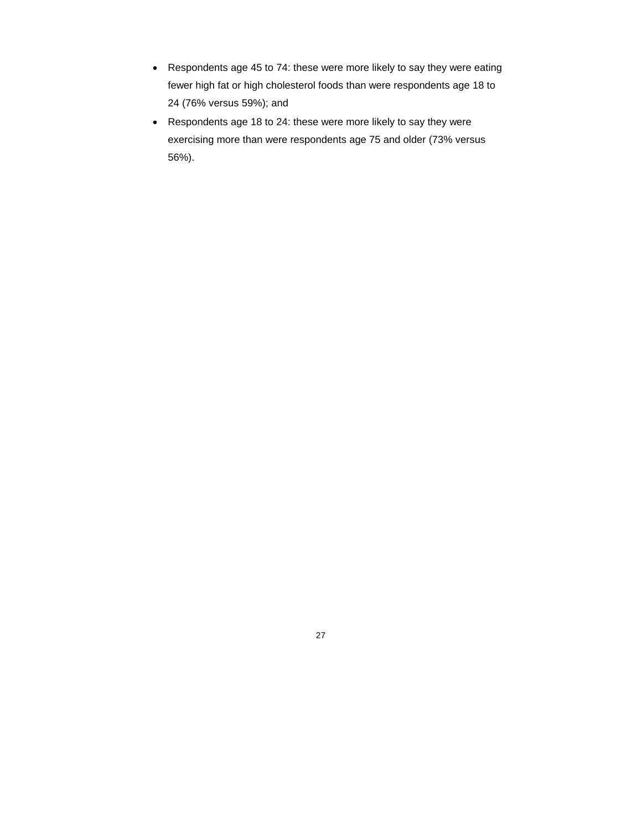- Respondents age 45 to 74: these were more likely to say they were eating fewer high fat or high cholesterol foods than were respondents age 18 to 24 (76% versus 59%); and
- Respondents age 18 to 24: these were more likely to say they were exercising more than were respondents age 75 and older (73% versus 56%).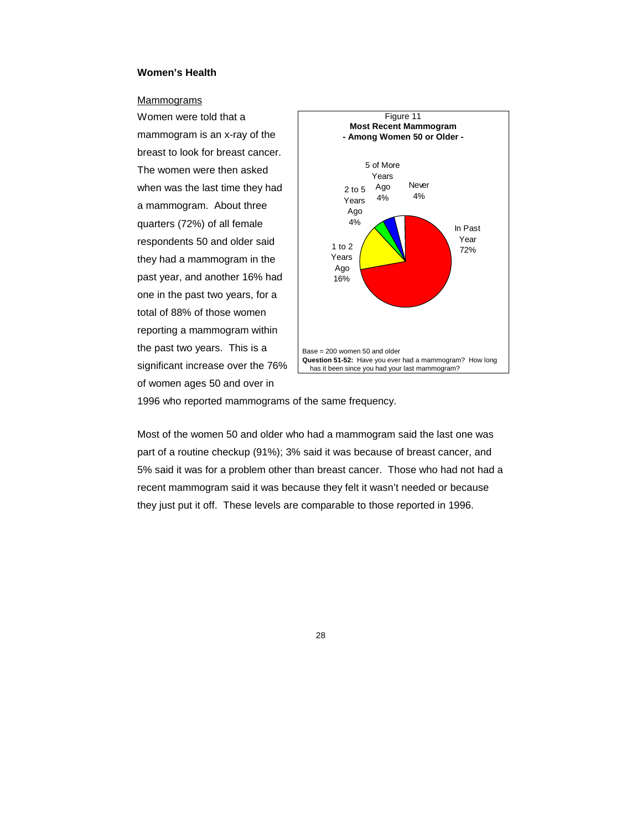# **Women's Health**

## Mammograms

Women were told that a mammogram is an x-ray of the breast to look for breast cancer. The women were then asked when was the last time they had a mammogram. About three quarters (72%) of all female respondents 50 and older said they had a mammogram in the past year, and another 16% had one in the past two years, for a total of 88% of those women reporting a mammogram within the past two years. This is a significant increase over the 76% of women ages 50 and over in



1996 who reported mammograms of the same frequency.

Most of the women 50 and older who had a mammogram said the last one was part of a routine checkup (91%); 3% said it was because of breast cancer, and 5% said it was for a problem other than breast cancer. Those who had not had a recent mammogram said it was because they felt it wasn't needed or because they just put it off. These levels are comparable to those reported in 1996.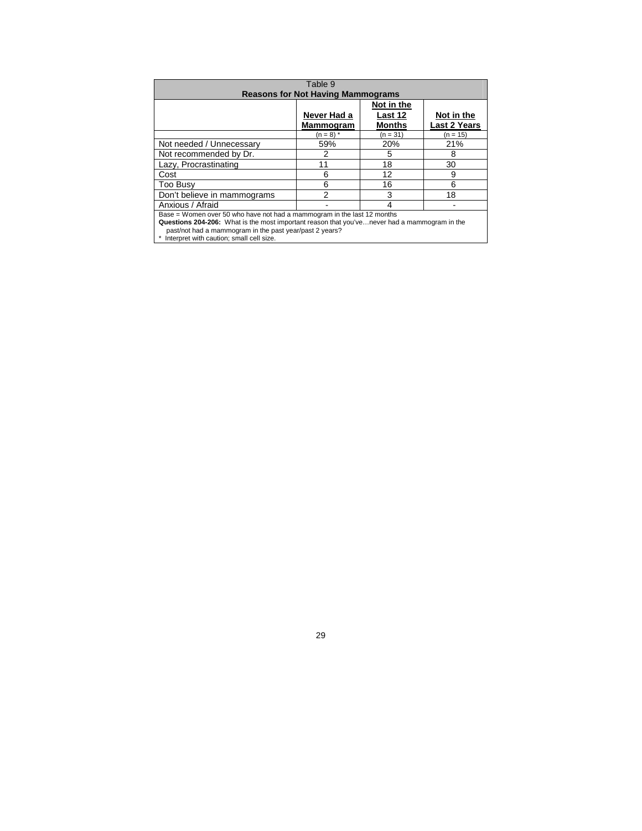| Table 9<br><b>Reasons for Not Having Mammograms</b>                                                                                                                                                                                                                               |                                 |                                        |                                   |
|-----------------------------------------------------------------------------------------------------------------------------------------------------------------------------------------------------------------------------------------------------------------------------------|---------------------------------|----------------------------------------|-----------------------------------|
|                                                                                                                                                                                                                                                                                   | Never Had a<br><b>Mammogram</b> | Not in the<br>Last 12<br><b>Months</b> | Not in the<br><b>Last 2 Years</b> |
|                                                                                                                                                                                                                                                                                   | $(n = 8)$ *                     | $(n = 31)$                             | (n = 15)                          |
| Not needed / Unnecessary                                                                                                                                                                                                                                                          | 59%                             | 20%                                    | 21%                               |
| Not recommended by Dr.                                                                                                                                                                                                                                                            | 2                               | 5                                      | 8                                 |
| Lazy, Procrastinating                                                                                                                                                                                                                                                             | 11                              | 18                                     | 30                                |
| Cost                                                                                                                                                                                                                                                                              | 6                               | 12                                     | 9                                 |
| Too Busy                                                                                                                                                                                                                                                                          | 6                               | 16                                     | 6                                 |
| Don't believe in mammograms                                                                                                                                                                                                                                                       | 2                               | 3                                      | 18                                |
| Anxious / Afraid                                                                                                                                                                                                                                                                  |                                 |                                        |                                   |
| Base = Women over 50 who have not had a mammogram in the last 12 months<br>Questions 204-206: What is the most important reason that you've never had a mammogram in the<br>past/not had a mammogram in the past year/past 2 years?<br>* Interpret with caution; small cell size. |                                 |                                        |                                   |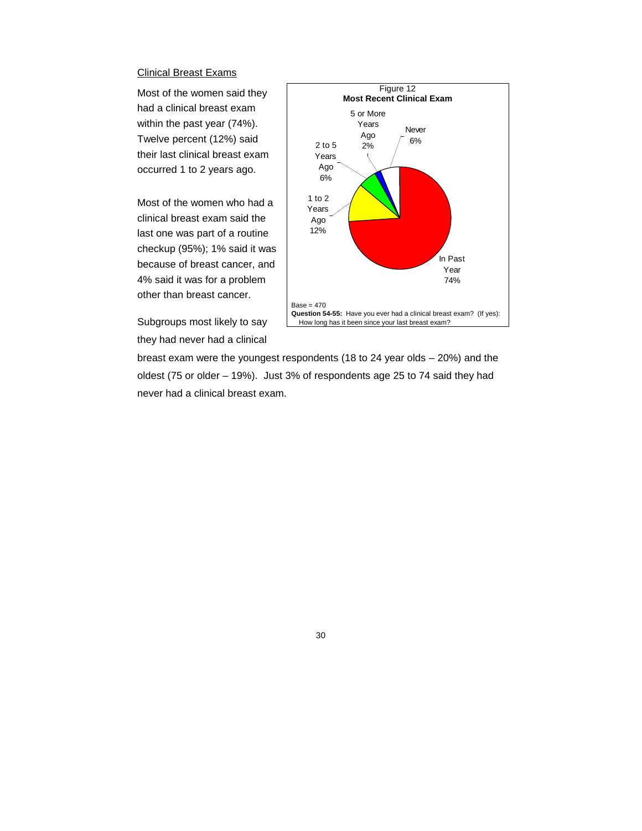#### Clinical Breast Exams

Most of the women said they had a clinical breast exam within the past year (74%). Twelve percent (12%) said their last clinical breast exam occurred 1 to 2 years ago.

Most of the women who had a clinical breast exam said the last one was part of a routine checkup (95%); 1% said it was because of breast cancer, and 4% said it was for a problem other than breast cancer.

Subgroups most likely to say they had never had a clinical



breast exam were the youngest respondents (18 to 24 year olds – 20%) and the oldest (75 or older – 19%). Just 3% of respondents age 25 to 74 said they had never had a clinical breast exam.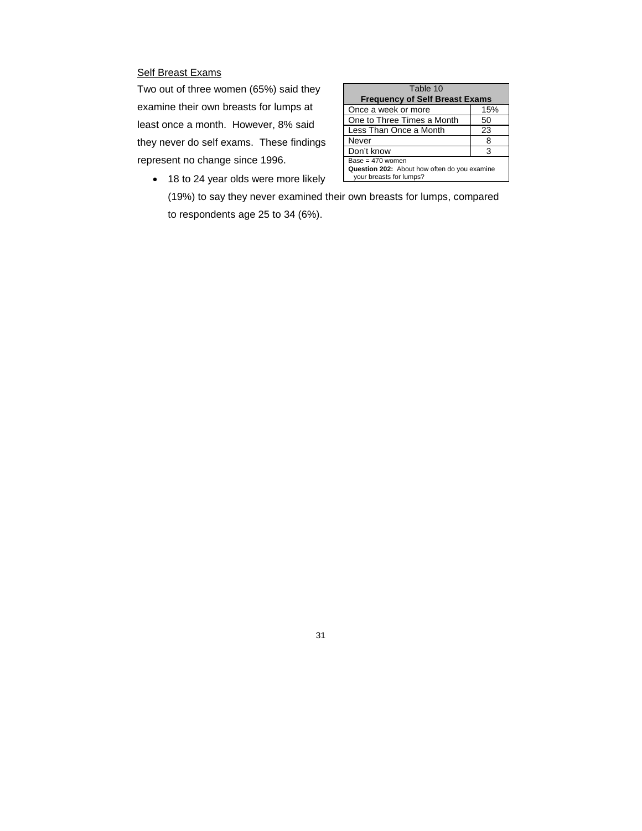# **Self Breast Exams**

Two out of three women (65%) said they examine their own breasts for lumps at least once a month. However, 8% said they never do self exams. These findings represent no change since 1996.

| Table 10                                                                |     |  |
|-------------------------------------------------------------------------|-----|--|
| <b>Frequency of Self Breast Exams</b>                                   |     |  |
| Once a week or more                                                     | 15% |  |
| One to Three Times a Month                                              | 50  |  |
| Less Than Once a Month                                                  | 23  |  |
| Never                                                                   | 8   |  |
| Don't know                                                              |     |  |
| Base = $470$ women                                                      |     |  |
| Question 202: About how often do you examine<br>your breasts for lumps? |     |  |
|                                                                         |     |  |

• 18 to 24 year olds were more likely (19%) to say they never examined their own breasts for lumps, compared to respondents age 25 to 34 (6%).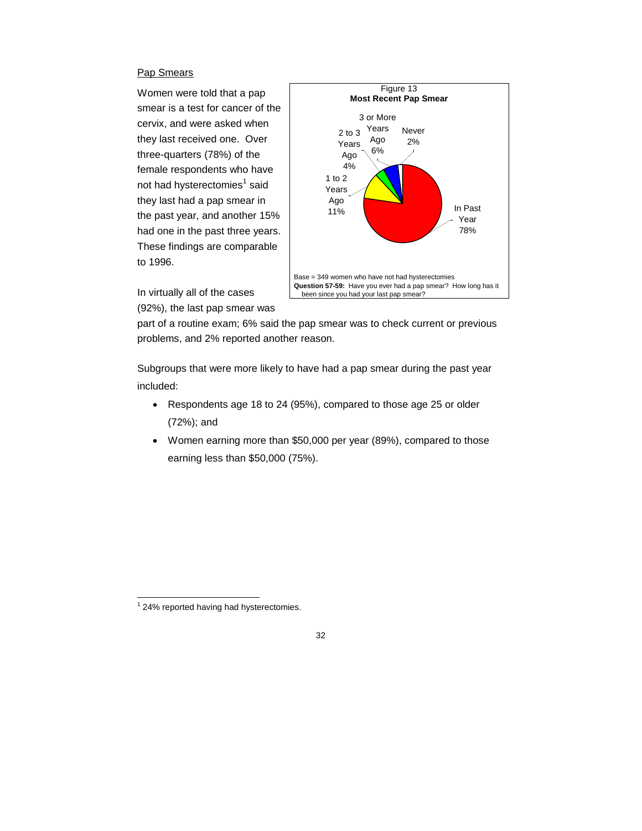# Pap Smears

Women were told that a pap smear is a test for cancer of the cervix, and were asked when they last received one. Over three-quarters (78%) of the female respondents who have not had hysterectomies $^{\rm 1}$  said they last had a pap smear in the past year, and another 15% had one in the past three years. These findings are comparable to 1996.



In virtually all of the cases (92%), the last pap smear was

part of a routine exam; 6% said the pap smear was to check current or previous problems, and 2% reported another reason.

Subgroups that were more likely to have had a pap smear during the past year included:

- Respondents age 18 to 24 (95%), compared to those age 25 or older (72%); and
- Women earning more than \$50,000 per year (89%), compared to those earning less than \$50,000 (75%).

<sup>&</sup>lt;sup>1</sup> 24% reported having had hysterectomies.

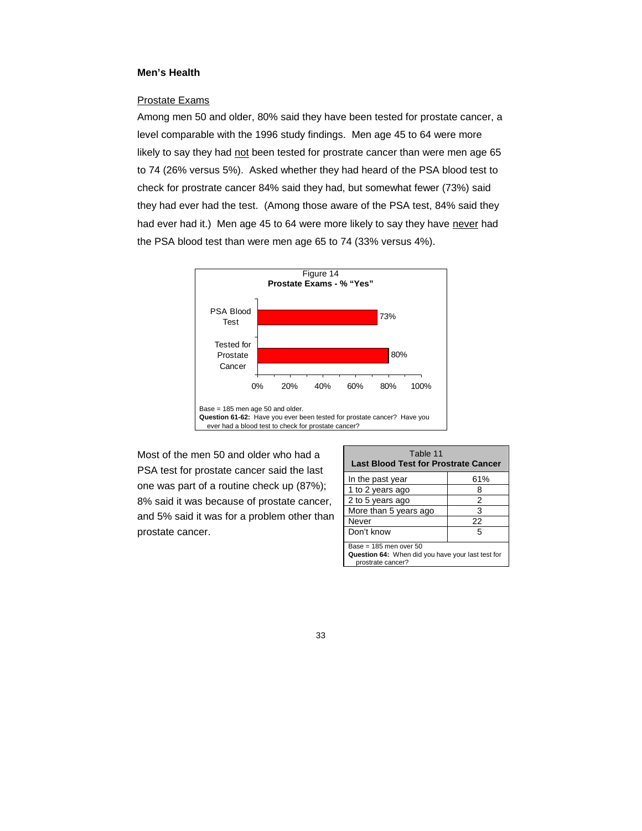# **Men's Health**

# Prostate Exams

Among men 50 and older, 80% said they have been tested for prostate cancer, a level comparable with the 1996 study findings. Men age 45 to 64 were more likely to say they had not been tested for prostrate cancer than were men age 65 to 74 (26% versus 5%). Asked whether they had heard of the PSA blood test to check for prostrate cancer 84% said they had, but somewhat fewer (73%) said they had ever had the test. (Among those aware of the PSA test, 84% said they had ever had it.) Men age 45 to 64 were more likely to say they have never had the PSA blood test than were men age 65 to 74 (33% versus 4%).



Most of the men 50 and older who had a PSA test for prostate cancer said the last one was part of a routine check up (87%); 8% said it was because of prostate cancer, and 5% said it was for a problem other than prostate cancer.

| Table 11<br><b>Last Blood Test for Prostrate Cancer</b>                                              |     |
|------------------------------------------------------------------------------------------------------|-----|
| In the past year                                                                                     | 61% |
| 1 to 2 years ago                                                                                     |     |
| 2 to 5 years ago                                                                                     | 2   |
| More than 5 years ago                                                                                | 3   |
| Never                                                                                                | 22  |
| Don't know                                                                                           | 5   |
| Base = $185$ men over $50$<br>Question 64: When did you have your last test for<br>prostrate cancer? |     |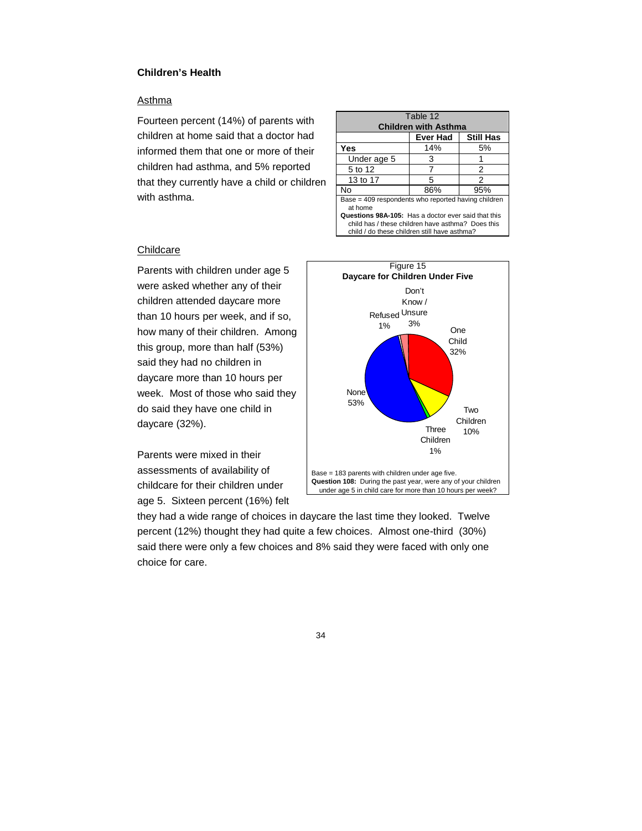## **Children's Health**

## **Asthma**

Fourteen percent (14%) of parents with children at home said that a doctor had informed them that one or more of their children had asthma, and 5% reported that they currently have a child or children with asthma.

| Table 12<br><b>Children with Asthma</b>                                                                                                                  |                 |                  |  |
|----------------------------------------------------------------------------------------------------------------------------------------------------------|-----------------|------------------|--|
|                                                                                                                                                          | <b>Ever Had</b> | <b>Still Has</b> |  |
| Yes                                                                                                                                                      | 14%             | 5%               |  |
| Under age 5                                                                                                                                              | 3               |                  |  |
| 5 to 12                                                                                                                                                  |                 | 2                |  |
| 13 to 17                                                                                                                                                 | 5               | 2                |  |
| N٥                                                                                                                                                       | 86%             | 95%              |  |
| Base = 409 respondents who reported having children<br>at home                                                                                           |                 |                  |  |
| Questions 98A-105: Has a doctor ever said that this<br>child has / these children have asthma? Does this<br>child / do these children still have asthma? |                 |                  |  |

#### **Childcare**

Parents with children under age 5 were asked whether any of their children attended daycare more than 10 hours per week, and if so, how many of their children. Among this group, more than half (53%) said they had no children in daycare more than 10 hours per week. Most of those who said they do said they have one child in daycare (32%).

Parents were mixed in their assessments of availability of childcare for their children under age 5. Sixteen percent (16%) felt



they had a wide range of choices in daycare the last time they looked. Twelve percent (12%) thought they had quite a few choices. Almost one-third (30%) said there were only a few choices and 8% said they were faced with only one choice for care.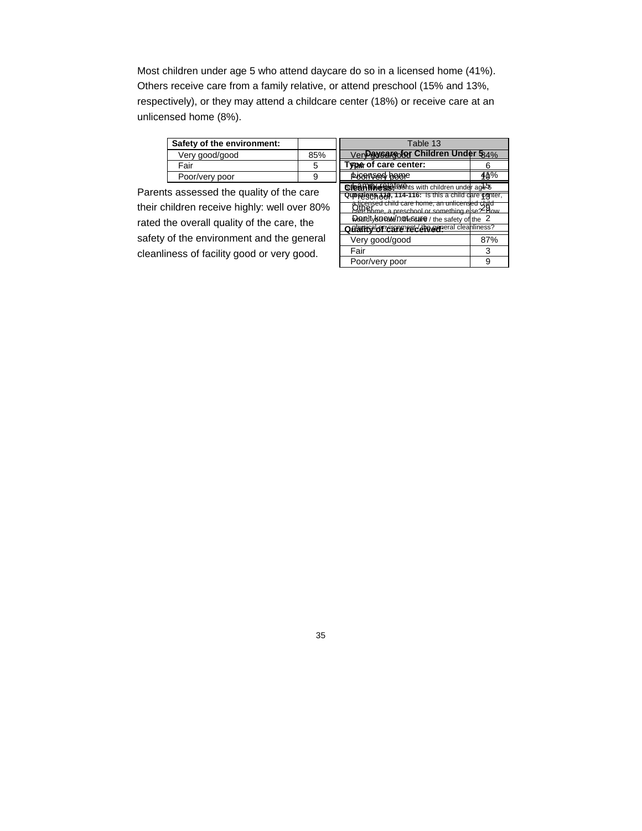Most children under age 5 who attend daycare do so in a licensed home (41%). Others receive care from a family relative, or attend preschool (15% and 13%, respectively), or they may attend a childcare center (18%) or receive care at an unlicensed home (8%).

| Safety of the environment: |     |
|----------------------------|-----|
| Very good/good             | 85% |
| Fair                       | 5   |
| Poor/very poor             |     |
|                            |     |

Table 13 Ver**Daysare for Children Under 5**84% **Type of care center:** 6 Posensed bome 140% **Cleanliness** in the solution of the age 5 **Questiges 30, 114-116:** Is this a child care center, a licensed child care home, an unlicensed child<br>Care home, a preschool or something else? How Woundty know in othe sure / the safety of the 2 Quality of care receive general cleanliness? Very good/good and a 87% Fair 3 Poor/very poor 9

Parents assessed the quality of the care their children receive highly: well over 80% rated the overall quality of the care, the safety of the environment and the general cleanliness of facility good or very good.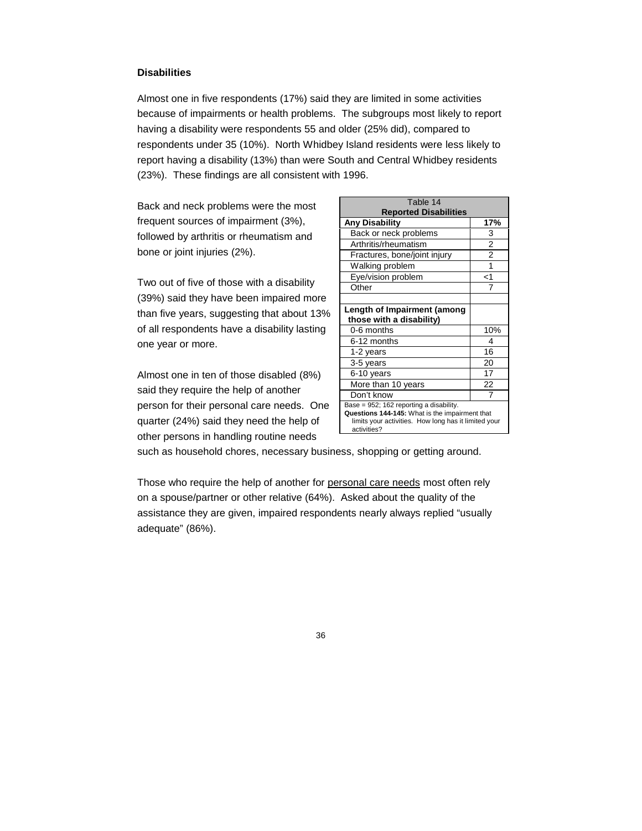## **Disabilities**

Almost one in five respondents (17%) said they are limited in some activities because of impairments or health problems. The subgroups most likely to report having a disability were respondents 55 and older (25% did), compared to respondents under 35 (10%). North Whidbey Island residents were less likely to report having a disability (13%) than were South and Central Whidbey residents (23%). These findings are all consistent with 1996.

Back and neck problems were the most frequent sources of impairment (3%), followed by arthritis or rheumatism and bone or joint injuries (2%).

Two out of five of those with a disability (39%) said they have been impaired more than five years, suggesting that about 13% of all respondents have a disability lasting one year or more.

Almost one in ten of those disabled (8%) said they require the help of another person for their personal care needs. One quarter (24%) said they need the help of other persons in handling routine needs

| Table 14                                                                                                                                                         |                |
|------------------------------------------------------------------------------------------------------------------------------------------------------------------|----------------|
| <b>Reported Disabilities</b>                                                                                                                                     |                |
| <b>Any Disability</b>                                                                                                                                            | 17%            |
| Back or neck problems                                                                                                                                            | 3              |
| Arthritis/rheumatism                                                                                                                                             | $\overline{2}$ |
| Fractures, bone/joint injury                                                                                                                                     | $\overline{2}$ |
| Walking problem                                                                                                                                                  | 1              |
| Eye/vision problem                                                                                                                                               | $<$ 1          |
| Other                                                                                                                                                            | 7              |
|                                                                                                                                                                  |                |
| Length of Impairment (among                                                                                                                                      |                |
| those with a disability)                                                                                                                                         |                |
| 0-6 months                                                                                                                                                       | 10%            |
| 6-12 months                                                                                                                                                      | 4              |
| 1-2 years                                                                                                                                                        | 16             |
| 3-5 years                                                                                                                                                        | 20             |
| 6-10 years                                                                                                                                                       | 17             |
| More than 10 years                                                                                                                                               | 22             |
| Don't know                                                                                                                                                       |                |
| Base = 952; 162 reporting a disability.<br>Questions 144-145: What is the impairment that<br>limits your activities. How long has it limited your<br>activities? |                |

such as household chores, necessary business, shopping or getting around.

Those who require the help of another for personal care needs most often rely on a spouse/partner or other relative (64%). Asked about the quality of the assistance they are given, impaired respondents nearly always replied "usually adequate" (86%).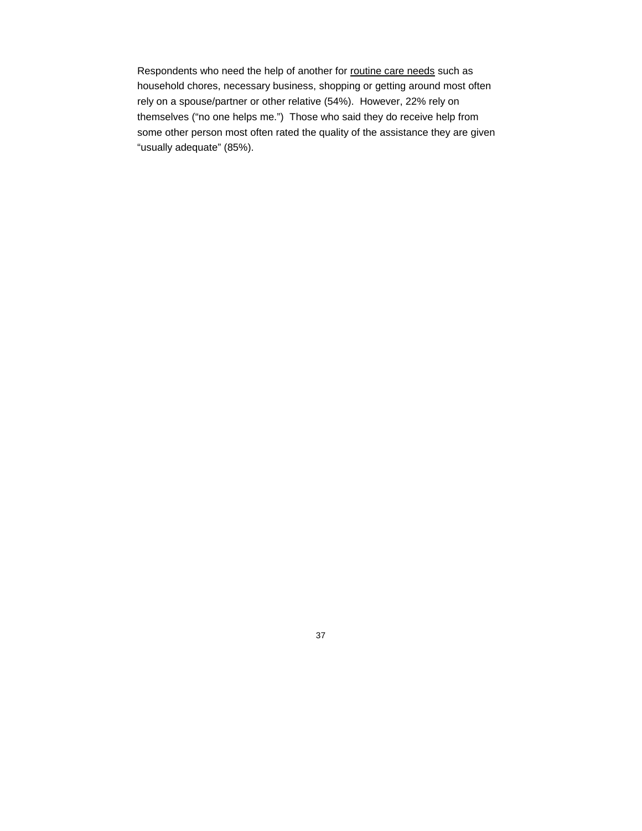Respondents who need the help of another for routine care needs such as household chores, necessary business, shopping or getting around most often rely on a spouse/partner or other relative (54%). However, 22% rely on themselves ("no one helps me.") Those who said they do receive help from some other person most often rated the quality of the assistance they are given "usually adequate" (85%).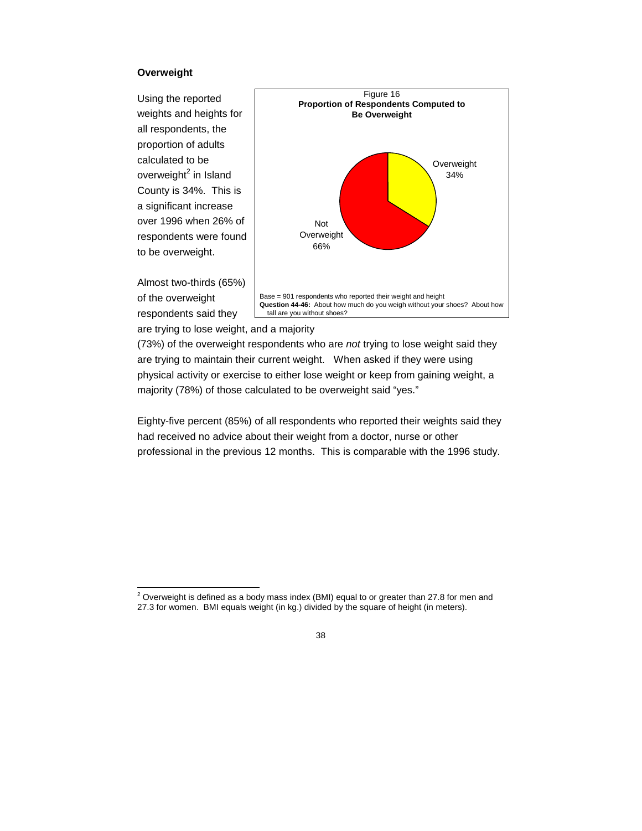## **Overweight**

Using the reported weights and heights for all respondents, the proportion of adults calculated to be overweight<sup>2</sup> in Island County is 34%. This is a significant increase over 1996 when 26% of respondents were found to be overweight.

Almost two-thirds (65%) of the overweight respondents said they



are trying to lose weight, and a majority

(73%) of the overweight respondents who are *not* trying to lose weight said they are trying to maintain their current weight. When asked if they were using physical activity or exercise to either lose weight or keep from gaining weight, a majority (78%) of those calculated to be overweight said "yes."

Eighty-five percent (85%) of all respondents who reported their weights said they had received no advice about their weight from a doctor, nurse or other professional in the previous 12 months. This is comparable with the 1996 study.

 $2$  Overweight is defined as a body mass index (BMI) equal to or greater than 27.8 for men and 27.3 for women. BMI equals weight (in kg.) divided by the square of height (in meters).

<sup>38</sup>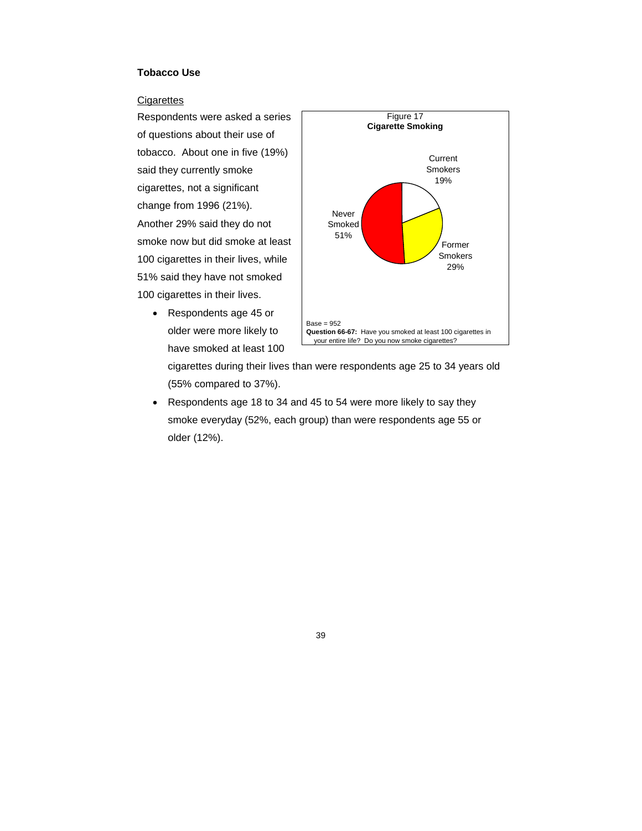## **Tobacco Use**

#### **Cigarettes**

Respondents were asked a series of questions about their use of tobacco. About one in five (19%) said they currently smoke cigarettes, not a significant change from 1996 (21%). Another 29% said they do not smoke now but did smoke at least 100 cigarettes in their lives, while 51% said they have not smoked 100 cigarettes in their lives.

> • Respondents age 45 or older were more likely to have smoked at least 100



cigarettes during their lives than were respondents age 25 to 34 years old (55% compared to 37%).

 Respondents age 18 to 34 and 45 to 54 were more likely to say they smoke everyday (52%, each group) than were respondents age 55 or older (12%).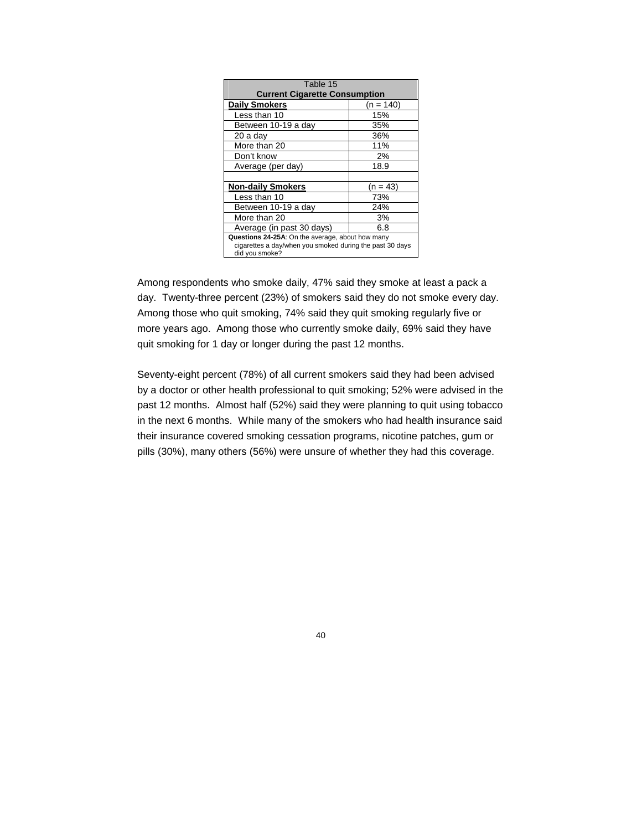| Table 15                                                                                                                       |             |  |
|--------------------------------------------------------------------------------------------------------------------------------|-------------|--|
| <b>Current Cigarette Consumption</b>                                                                                           |             |  |
| <b>Daily Smokers</b>                                                                                                           | $(n = 140)$ |  |
| Less than 10                                                                                                                   | 15%         |  |
| Between 10-19 a day                                                                                                            | 35%         |  |
| 20 a day                                                                                                                       | 36%         |  |
| More than 20                                                                                                                   | 11%         |  |
| Don't know                                                                                                                     | 2%          |  |
| Average (per day)                                                                                                              | 18.9        |  |
|                                                                                                                                |             |  |
| <b>Non-daily Smokers</b>                                                                                                       | $(n = 43)$  |  |
| Less than 10                                                                                                                   | 73%         |  |
| Between 10-19 a day                                                                                                            | 24%         |  |
| More than 20                                                                                                                   | 3%          |  |
| Average (in past 30 days)                                                                                                      | 6.8         |  |
| Questions 24-25A: On the average, about how many<br>cigarettes a day/when you smoked during the past 30 days<br>did you smoke? |             |  |

Among respondents who smoke daily, 47% said they smoke at least a pack a day. Twenty-three percent (23%) of smokers said they do not smoke every day. Among those who quit smoking, 74% said they quit smoking regularly five or more years ago. Among those who currently smoke daily, 69% said they have quit smoking for 1 day or longer during the past 12 months.

Seventy-eight percent (78%) of all current smokers said they had been advised by a doctor or other health professional to quit smoking; 52% were advised in the past 12 months. Almost half (52%) said they were planning to quit using tobacco in the next 6 months. While many of the smokers who had health insurance said their insurance covered smoking cessation programs, nicotine patches, gum or pills (30%), many others (56%) were unsure of whether they had this coverage.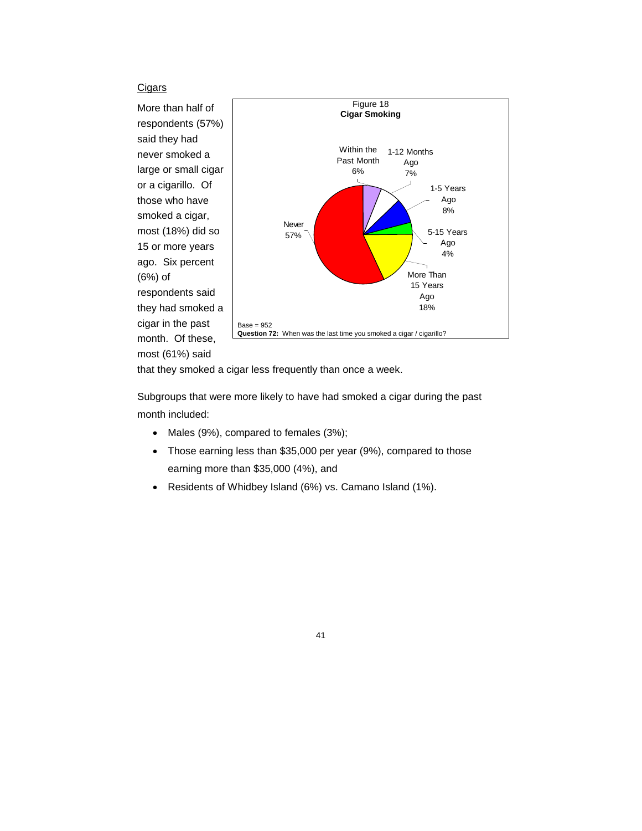## **Cigars**

More than half of respondents (57%) said they had never smoked a large or small cigar or a cigarillo. Of those who have smoked a cigar, most (18%) did so 15 or more years ago. Six percent (6%) of respondents said they had smoked a cigar in the past month. Of these, most (61%) said



that they smoked a cigar less frequently than once a week.

Subgroups that were more likely to have had smoked a cigar during the past month included:

- Males (9%), compared to females (3%);
- Those earning less than \$35,000 per year (9%), compared to those earning more than \$35,000 (4%), and
- Residents of Whidbey Island (6%) vs. Camano Island (1%).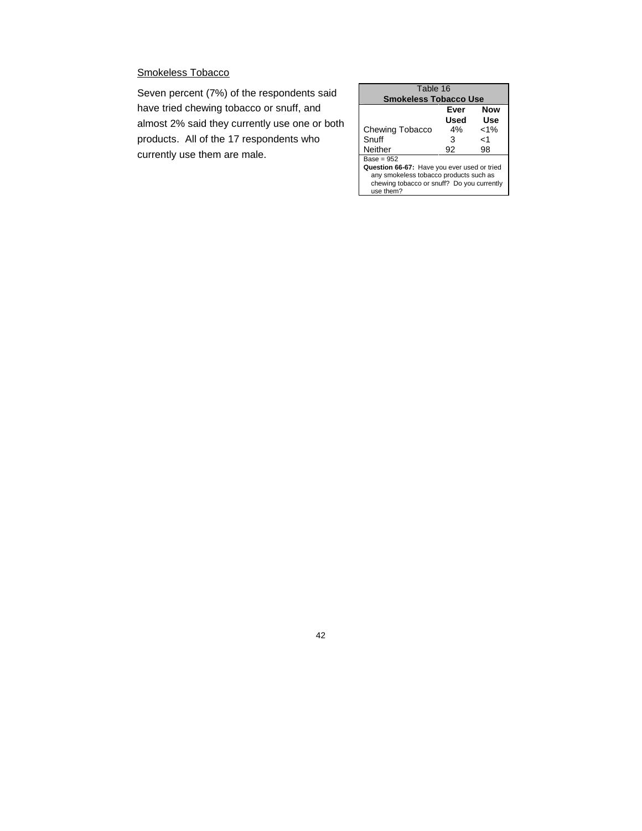# Smokeless Tobacco

Seven percent (7%) of the respondents said have tried chewing tobacco or snuff, and almost 2% said they currently use one or both products. All of the 17 respondents who currently use them are male.

| Table 16                                                |      |         |  |
|---------------------------------------------------------|------|---------|--|
| <b>Smokeless Tobacco Use</b>                            |      |         |  |
|                                                         | Ever | Now     |  |
|                                                         | Used | Use     |  |
| <b>Chewing Tobacco</b>                                  | 4%   | $< 1\%$ |  |
| Snuff                                                   | 3    | ہ ۔     |  |
| Neither                                                 | 92   | 98      |  |
| $Base = 952$                                            |      |         |  |
| Question 66-67: Have you ever used or tried             |      |         |  |
| any smokeless tobacco products such as                  |      |         |  |
| chewing tobacco or snuff? Do you currently<br>use them? |      |         |  |
|                                                         |      |         |  |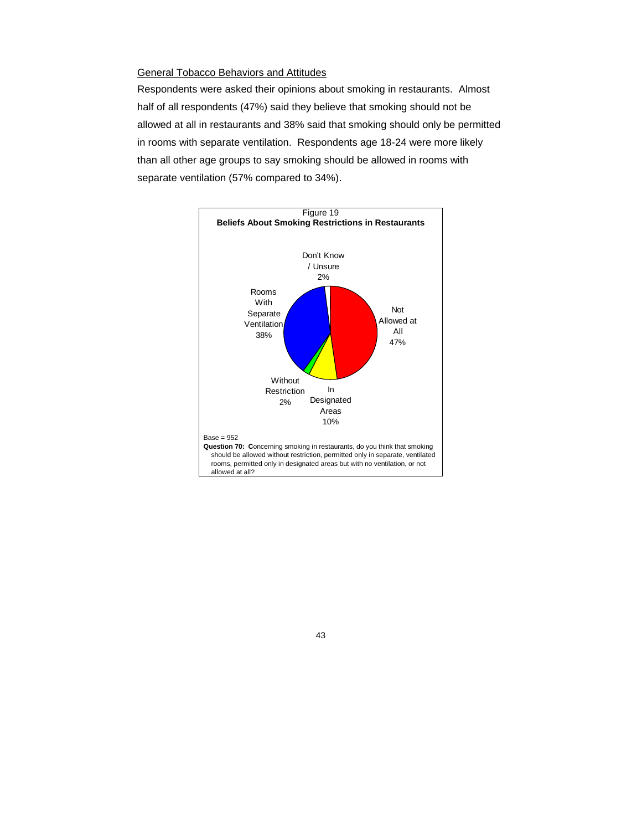#### General Tobacco Behaviors and Attitudes

Respondents were asked their opinions about smoking in restaurants. Almost half of all respondents (47%) said they believe that smoking should not be allowed at all in restaurants and 38% said that smoking should only be permitted in rooms with separate ventilation. Respondents age 18-24 were more likely than all other age groups to say smoking should be allowed in rooms with separate ventilation (57% compared to 34%).

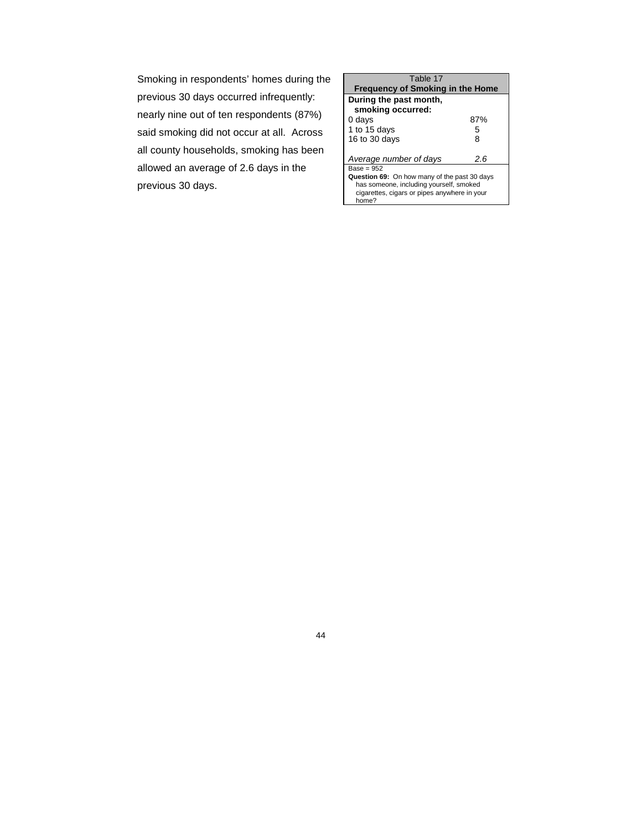Smoking in respondents' homes during the previous 30 days occurred infrequently: nearly nine out of ten respondents (87%) said smoking did not occur at all. Across all county households, smoking has been allowed an average of 2.6 days in the previous 30 days.

| Table 17                                              |     |  |
|-------------------------------------------------------|-----|--|
| <b>Frequency of Smoking in the Home</b>               |     |  |
| During the past month,                                |     |  |
| smoking occurred:                                     |     |  |
| 0 days                                                | 87% |  |
| 1 to 15 days                                          | 5   |  |
| 16 to 30 days                                         | 8   |  |
|                                                       |     |  |
| Average number of days                                | 2.6 |  |
| Base = 952                                            |     |  |
| Question 69: On how many of the past 30 days          |     |  |
| has someone, including yourself, smoked               |     |  |
| cigarettes, cigars or pipes anywhere in your<br>home? |     |  |
|                                                       |     |  |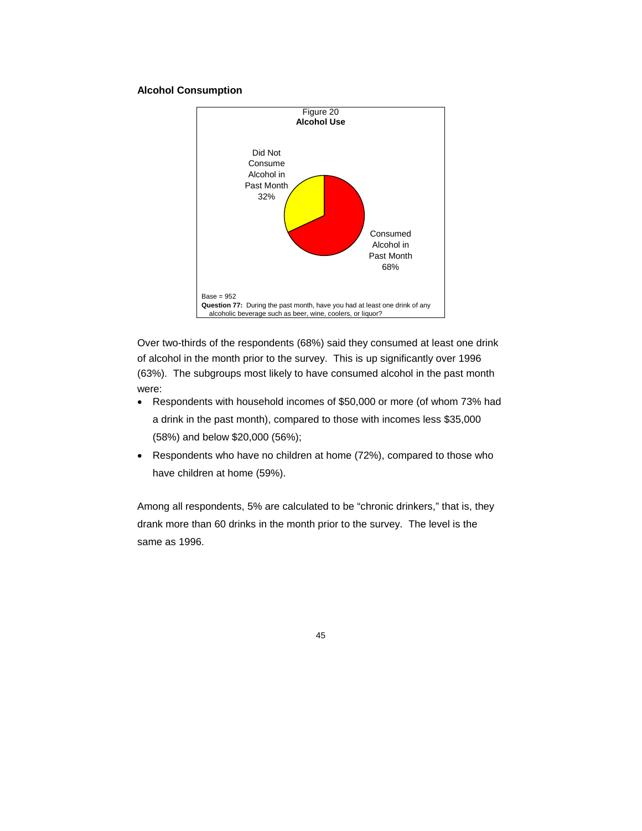#### **Alcohol Consumption**



Over two-thirds of the respondents (68%) said they consumed at least one drink of alcohol in the month prior to the survey. This is up significantly over 1996 (63%). The subgroups most likely to have consumed alcohol in the past month were:

- Respondents with household incomes of \$50,000 or more (of whom 73% had a drink in the past month), compared to those with incomes less \$35,000 (58%) and below \$20,000 (56%);
- Respondents who have no children at home (72%), compared to those who have children at home (59%).

Among all respondents, 5% are calculated to be "chronic drinkers," that is, they drank more than 60 drinks in the month prior to the survey. The level is the same as 1996.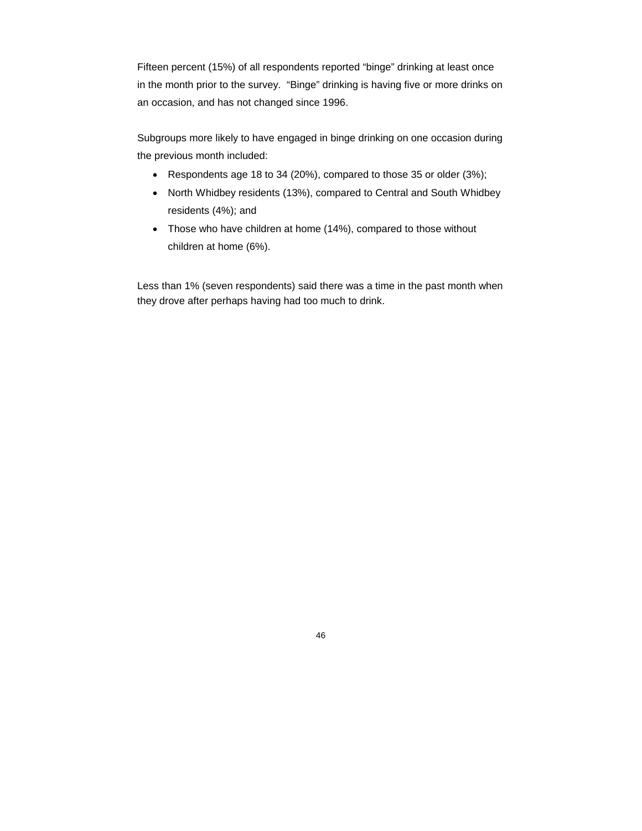Fifteen percent (15%) of all respondents reported "binge" drinking at least once in the month prior to the survey. "Binge" drinking is having five or more drinks on an occasion, and has not changed since 1996.

Subgroups more likely to have engaged in binge drinking on one occasion during the previous month included:

- Respondents age 18 to 34 (20%), compared to those 35 or older (3%);
- North Whidbey residents (13%), compared to Central and South Whidbey residents (4%); and
- Those who have children at home (14%), compared to those without children at home (6%).

Less than 1% (seven respondents) said there was a time in the past month when they drove after perhaps having had too much to drink.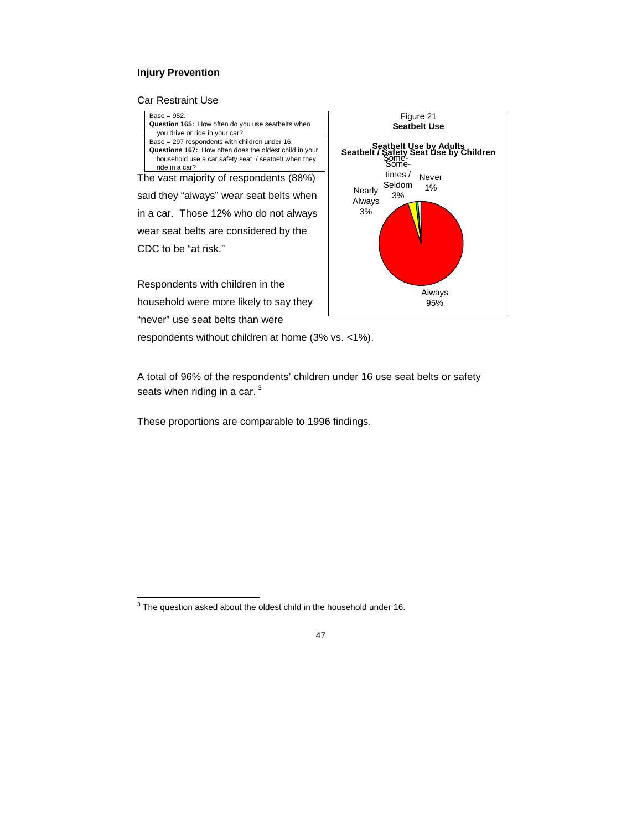## **Injury Prevention**

#### **Car Restraint Use**



household were more likely to say they "never" use seat belts than were



respondents without children at home (3% vs. <1%).

A total of 96% of the respondents' children under 16 use seat belts or safety seats when riding in a car.<sup>3</sup>

These proportions are comparable to 1996 findings.

 $3$  The question asked about the oldest child in the household under 16.

<sup>47</sup>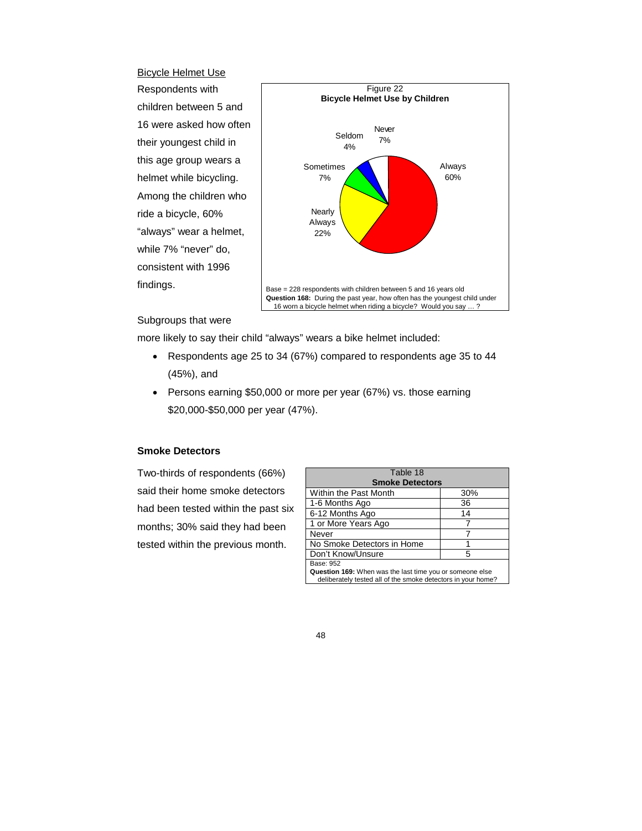Bicycle Helmet Use Respondents with children between 5 and 16 were asked how often their youngest child in this age group wears a helmet while bicycling. Among the children who ride a bicycle, 60% "always" wear a helmet, while 7% "never" do, consistent with 1996 findings.



#### Subgroups that were

more likely to say their child "always" wears a bike helmet included:

- Respondents age 25 to 34 (67%) compared to respondents age 35 to 44 (45%), and
- Persons earning \$50,000 or more per year (67%) vs. those earning \$20,000-\$50,000 per year (47%).

#### **Smoke Detectors**

Two-thirds of respondents (66%) said their home smoke detectors had been tested within the past six months; 30% said they had been tested within the previous month.

| Table 18                                                                                                                 |     |  |
|--------------------------------------------------------------------------------------------------------------------------|-----|--|
| <b>Smoke Detectors</b>                                                                                                   |     |  |
| Within the Past Month                                                                                                    | 30% |  |
| 1-6 Months Ago                                                                                                           | 36  |  |
| 6-12 Months Ago                                                                                                          | 14  |  |
| 1 or More Years Ago                                                                                                      |     |  |
| Never                                                                                                                    |     |  |
| No Smoke Detectors in Home                                                                                               |     |  |
| Don't Know/Unsure                                                                                                        | 5   |  |
| Base: 952                                                                                                                |     |  |
| Question 169: When was the last time you or someone else<br>deliberately tested all of the smoke detectors in your home? |     |  |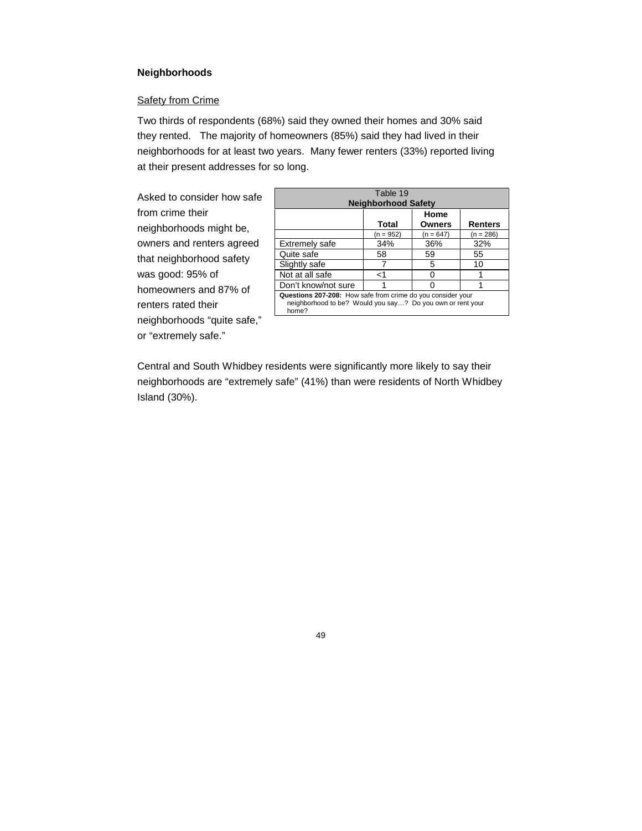## **Neighborhoods**

## **Safety from Crime**

Two thirds of respondents (68%) said they owned their homes and 30% said they rented. The majority of homeowners (85%) said they had lived in their neighborhoods for at least two years. Many fewer renters (33%) reported living at their present addresses for so long.

Asked to consider how safe from crime their neighborhoods might be, owners and renters agreed that neighborhood safety was good: 95% of homeowners and 87% of renters rated their neighborhoods "quite safe," or "extremely safe."

| Table 19<br><b>Neighborhood Safety</b>                                                                                             |                    |                              |                        |
|------------------------------------------------------------------------------------------------------------------------------------|--------------------|------------------------------|------------------------|
|                                                                                                                                    |                    | Home                         |                        |
|                                                                                                                                    | Total<br>(n = 952) | <b>Owners</b><br>$(n = 647)$ | Renters<br>$(n = 286)$ |
| <b>Extremely safe</b>                                                                                                              | 34%                | 36%                          | 32%                    |
| Quite safe                                                                                                                         | 58                 | 59                           | 55                     |
| Slightly safe                                                                                                                      |                    | 5                            | 10                     |
| Not at all safe                                                                                                                    | ا>                 |                              |                        |
| Don't know/not sure                                                                                                                |                    |                              |                        |
| Questions 207-208: How safe from crime do you consider your<br>neighborhood to be? Would you say? Do you own or rent your<br>home? |                    |                              |                        |

Central and South Whidbey residents were significantly more likely to say their neighborhoods are "extremely safe" (41%) than were residents of North Whidbey Island (30%).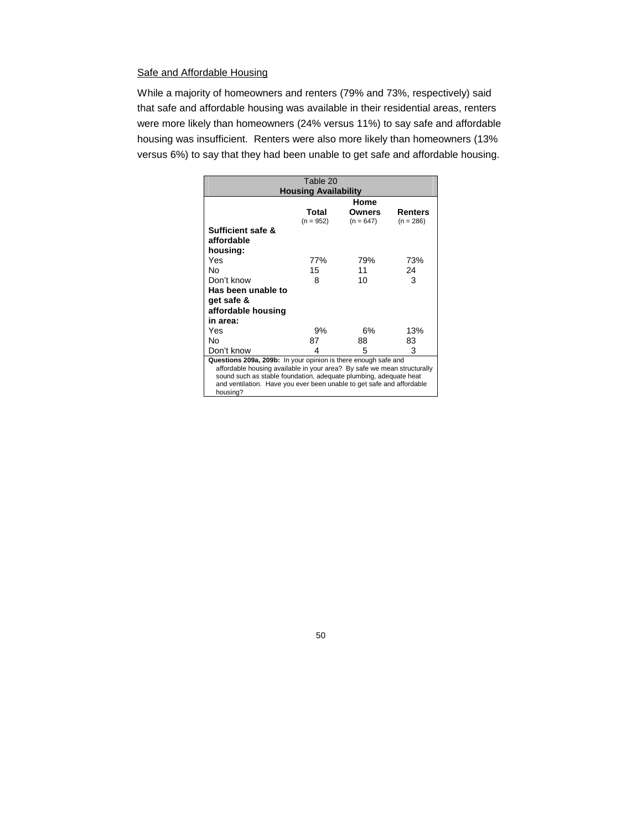## Safe and Affordable Housing

While a majority of homeowners and renters (79% and 73%, respectively) said that safe and affordable housing was available in their residential areas, renters were more likely than homeowners (24% versus 11%) to say safe and affordable housing was insufficient. Renters were also more likely than homeowners (13% versus 6%) to say that they had been unable to get safe and affordable housing.

| Table 20                                                                                                                                               |             |             |             |
|--------------------------------------------------------------------------------------------------------------------------------------------------------|-------------|-------------|-------------|
| <b>Housing Availability</b>                                                                                                                            |             |             |             |
|                                                                                                                                                        |             | Home        |             |
|                                                                                                                                                        | Total       | Owners      | Renters     |
|                                                                                                                                                        | $(n = 952)$ | $(n = 647)$ | $(n = 286)$ |
| Sufficient safe &                                                                                                                                      |             |             |             |
| affordable                                                                                                                                             |             |             |             |
| housing:                                                                                                                                               |             |             |             |
| Yes                                                                                                                                                    | 77%         | 79%         | 73%         |
| Nο                                                                                                                                                     | 15          | 11          | 24          |
| Don't know                                                                                                                                             | 8           | 10          | 3           |
| Has been unable to                                                                                                                                     |             |             |             |
| get safe &                                                                                                                                             |             |             |             |
| affordable housing                                                                                                                                     |             |             |             |
| in area:                                                                                                                                               |             |             |             |
| Yes                                                                                                                                                    | 9%          | 6%          | 13%         |
| N٥                                                                                                                                                     | 87          | 88          | 83          |
| Don't know                                                                                                                                             | 4           | 5           | 3           |
| Questions 209a, 209b: In your opinion is there enough safe and                                                                                         |             |             |             |
| affordable housing available in your area? By safe we mean structurally                                                                                |             |             |             |
|                                                                                                                                                        |             |             |             |
|                                                                                                                                                        |             |             |             |
| sound such as stable foundation, adequate plumbing, adequate heat<br>and ventilation. Have you ever been unable to get safe and affordable<br>housing? |             |             |             |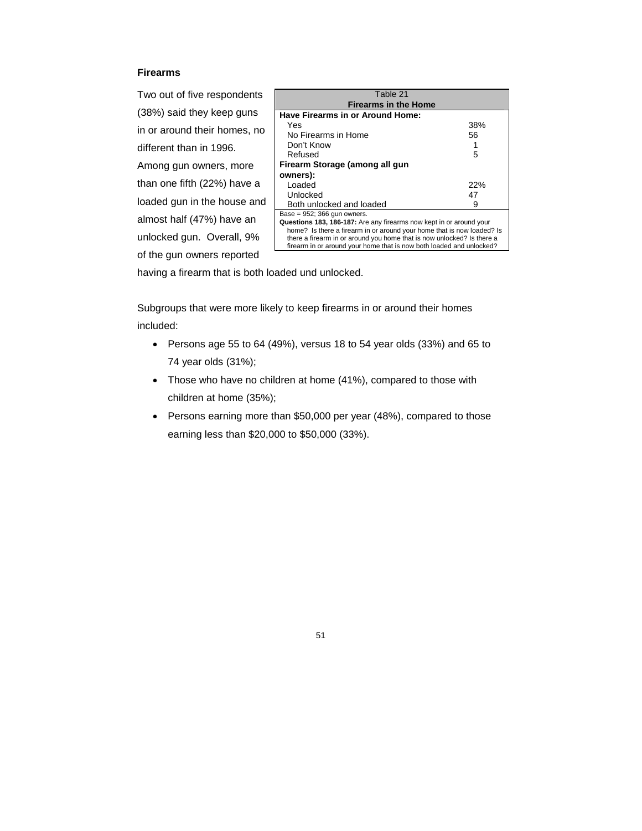## **Firearms**

Two out of five respondents (38%) said they keep guns in or around their homes, no different than in 1996. Among gun owners, more than one fifth (22%) have a loaded gun in the house and almost half (47%) have an unlocked gun. Overall, 9% of the gun owners reported

| Table 21                                                               |     |  |
|------------------------------------------------------------------------|-----|--|
| <b>Firearms in the Home</b>                                            |     |  |
| Have Firearms in or Around Home:                                       |     |  |
| Yes                                                                    | 38% |  |
| No Firearms in Home                                                    | 56  |  |
| Don't Know                                                             |     |  |
| Refused                                                                | 5   |  |
| Firearm Storage (among all gun                                         |     |  |
| owners):                                                               |     |  |
| Loaded                                                                 | 22% |  |
| Unlocked                                                               | 47  |  |
| Both unlocked and loaded                                               | я   |  |
| Base = $952$ ; 366 gun owners.                                         |     |  |
| Questions 183, 186-187: Are any firearms now kept in or around your    |     |  |
| home? Is there a firearm in or around your home that is now loaded? Is |     |  |
| there a firearm in or around you home that is now unlocked? Is there a |     |  |
| firearm in or around your home that is now both loaded and unlocked?   |     |  |

having a firearm that is both loaded und unlocked.

Subgroups that were more likely to keep firearms in or around their homes included:

- Persons age 55 to 64 (49%), versus 18 to 54 year olds (33%) and 65 to 74 year olds (31%);
- Those who have no children at home (41%), compared to those with children at home (35%);
- Persons earning more than \$50,000 per year (48%), compared to those earning less than \$20,000 to \$50,000 (33%).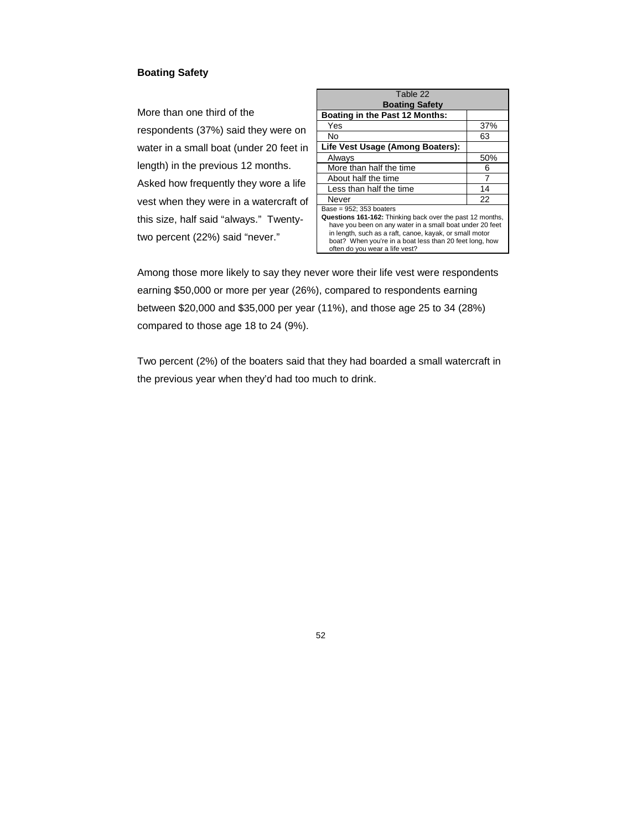## **Boating Safety**

More than one third of the respondents (37%) said they were on water in a small boat (under 20 feet in length) in the previous 12 months. Asked how frequently they wore a life vest when they were in a watercraft of this size, half said "always." Twentytwo percent (22%) said "never."

| Table 22<br><b>Boating Safety</b>                                                                                                                                                                                                                                                                           |     |
|-------------------------------------------------------------------------------------------------------------------------------------------------------------------------------------------------------------------------------------------------------------------------------------------------------------|-----|
| Boating in the Past 12 Months:                                                                                                                                                                                                                                                                              |     |
| Yes                                                                                                                                                                                                                                                                                                         | 37% |
| N٥                                                                                                                                                                                                                                                                                                          | 63  |
| Life Vest Usage (Among Boaters):                                                                                                                                                                                                                                                                            |     |
| Always                                                                                                                                                                                                                                                                                                      | 50% |
| More than half the time                                                                                                                                                                                                                                                                                     | 6   |
| About half the time                                                                                                                                                                                                                                                                                         | 7   |
| Less than half the time                                                                                                                                                                                                                                                                                     | 14  |
| Never                                                                                                                                                                                                                                                                                                       | 22  |
| Base = $952$ ; 353 boaters<br>Questions 161-162: Thinking back over the past 12 months,<br>have you been on any water in a small boat under 20 feet<br>in length, such as a raft, canoe, kayak, or small motor<br>boat? When you're in a boat less than 20 feet long, how<br>often do you wear a life vest? |     |

Among those more likely to say they never wore their life vest were respondents earning \$50,000 or more per year (26%), compared to respondents earning between \$20,000 and \$35,000 per year (11%), and those age 25 to 34 (28%) compared to those age 18 to 24 (9%).

Two percent (2%) of the boaters said that they had boarded a small watercraft in the previous year when they'd had too much to drink.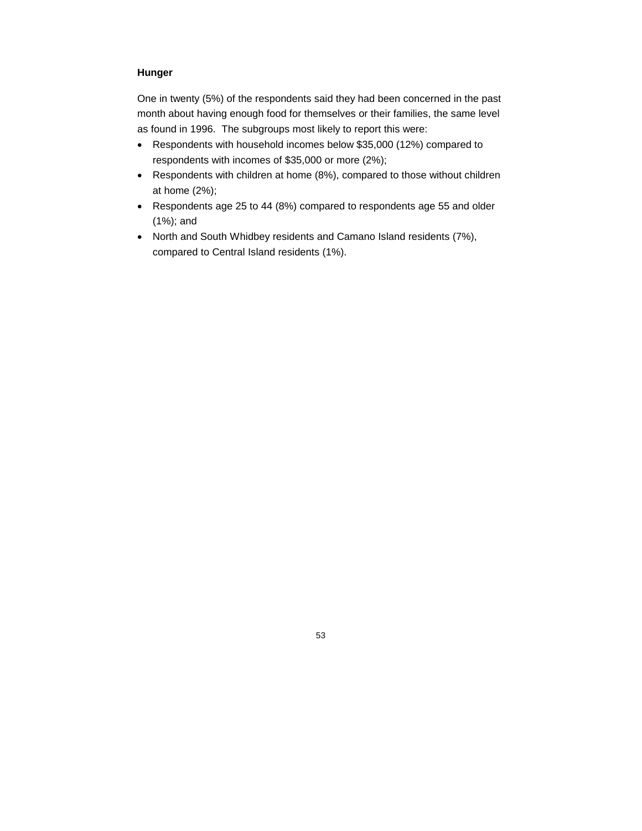## **Hunger**

One in twenty (5%) of the respondents said they had been concerned in the past month about having enough food for themselves or their families, the same level as found in 1996. The subgroups most likely to report this were:

- Respondents with household incomes below \$35,000 (12%) compared to respondents with incomes of \$35,000 or more (2%);
- Respondents with children at home (8%), compared to those without children at home (2%);
- Respondents age 25 to 44 (8%) compared to respondents age 55 and older (1%); and
- North and South Whidbey residents and Camano Island residents (7%), compared to Central Island residents (1%).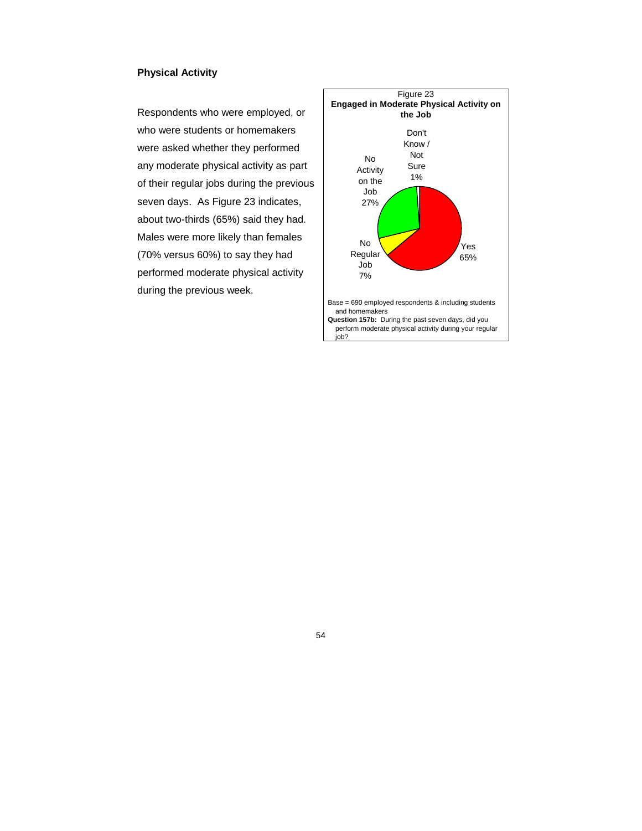## **Physical Activity**

Respondents who were employed, or who were students or homemakers were asked whether they performed any moderate physical activity as part of their regular jobs during the previous seven days. As Figure 23 indicates, about two-thirds (65%) said they had. Males were more likely than females (70% versus 60%) to say they had performed moderate physical activity during the previous week.

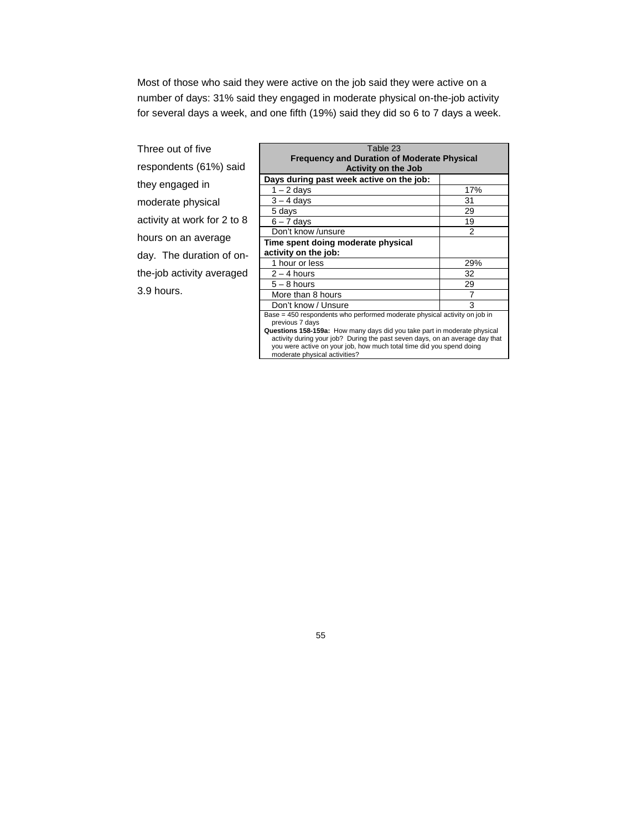Most of those who said they were active on the job said they were active on a number of days: 31% said they engaged in moderate physical on-the-job activity for several days a week, and one fifth (19%) said they did so 6 to 7 days a week.

| Three out of five           |   |
|-----------------------------|---|
| respondents (61%) said      |   |
| they engaged in             | D |
| moderate physical           |   |
| activity at work for 2 to 8 |   |
| hours on an average         | т |
| day. The duration of on-    | а |
| the-job activity averaged   |   |
| 3.9 hours.                  |   |

| Table 23                                                                     |     |  |
|------------------------------------------------------------------------------|-----|--|
|                                                                              |     |  |
| <b>Frequency and Duration of Moderate Physical</b>                           |     |  |
| <b>Activity on the Job</b>                                                   |     |  |
| Days during past week active on the job:                                     |     |  |
| $1 - 2$ days                                                                 | 17% |  |
| $3 - 4$ days                                                                 | 31  |  |
| 5 days                                                                       | 29  |  |
| $6 - 7$ days                                                                 | 19  |  |
| Don't know /unsure                                                           | 2   |  |
| Time spent doing moderate physical                                           |     |  |
| activity on the job:                                                         |     |  |
| 1 hour or less                                                               | 29% |  |
| $2 - 4$ hours                                                                | 32  |  |
| $5 - 8$ hours                                                                | 29  |  |
| More than 8 hours                                                            | 7   |  |
| Don't know / Unsure                                                          | 3   |  |
| Base = 450 respondents who performed moderate physical activity on job in    |     |  |
| previous 7 days                                                              |     |  |
| Questions 158-159a: How many days did you take part in moderate physical     |     |  |
| activity during your job? During the past seven days, on an average day that |     |  |
| you were active on your job, how much total time did you spend doing         |     |  |
| moderate physical activities?                                                |     |  |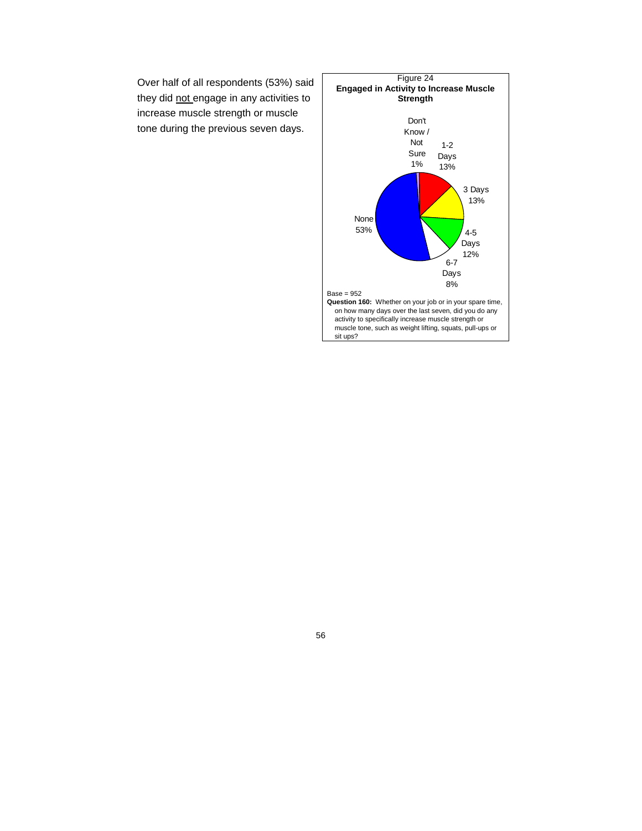Over half of all respondents (53%) said they did not engage in any activities to increase muscle strength or muscle tone during the previous seven days.

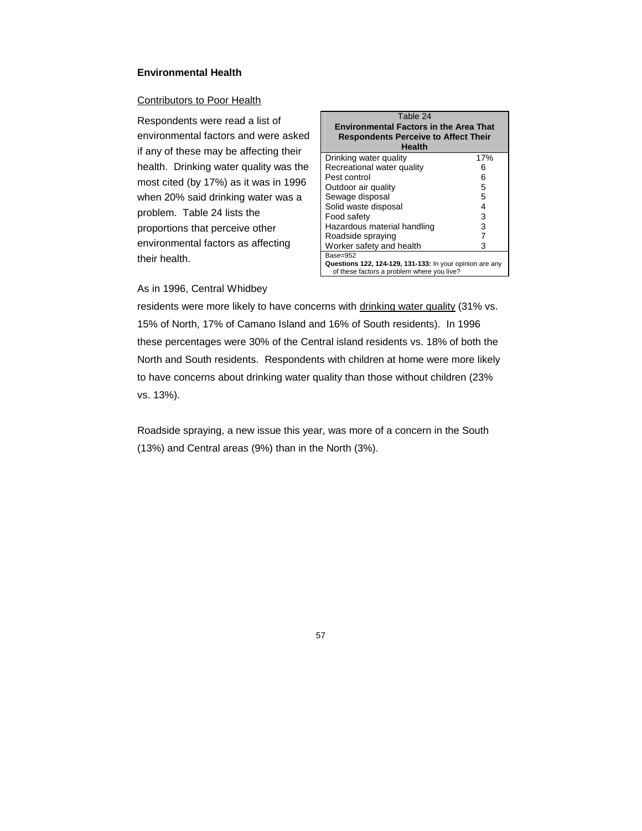## **Environmental Health**

#### Contributors to Poor Health

Respondents were read a list of environmental factors and were asked if any of these may be affecting their health. Drinking water quality was the most cited (by 17%) as it was in 1996 when 20% said drinking water was a problem. Table 24 lists the proportions that perceive other environmental factors as affecting their health.

| Table 24<br><b>Environmental Factors in the Area That</b><br><b>Respondents Perceive to Affect Their</b><br><b>Health</b> |     |  |  |
|---------------------------------------------------------------------------------------------------------------------------|-----|--|--|
| Drinking water quality                                                                                                    | 17% |  |  |
| Recreational water quality                                                                                                | 6   |  |  |
| Pest control                                                                                                              | 6   |  |  |
| Outdoor air quality                                                                                                       | 5   |  |  |
| Sewage disposal                                                                                                           | 5   |  |  |
| Solid waste disposal                                                                                                      | 4   |  |  |
| Food safety                                                                                                               | 3   |  |  |
| Hazardous material handling                                                                                               | 3   |  |  |
| Roadside spraying                                                                                                         | 7   |  |  |
| Worker safety and health                                                                                                  | 3   |  |  |
| $Base=952$                                                                                                                |     |  |  |
| Questions 122, 124-129, 131-133: In your opinion are any<br>of these factors a problem where you live?                    |     |  |  |

## As in 1996, Central Whidbey

residents were more likely to have concerns with drinking water quality (31% vs. 15% of North, 17% of Camano Island and 16% of South residents). In 1996 these percentages were 30% of the Central island residents vs. 18% of both the North and South residents. Respondents with children at home were more likely to have concerns about drinking water quality than those without children (23% vs. 13%).

Roadside spraying, a new issue this year, was more of a concern in the South (13%) and Central areas (9%) than in the North (3%).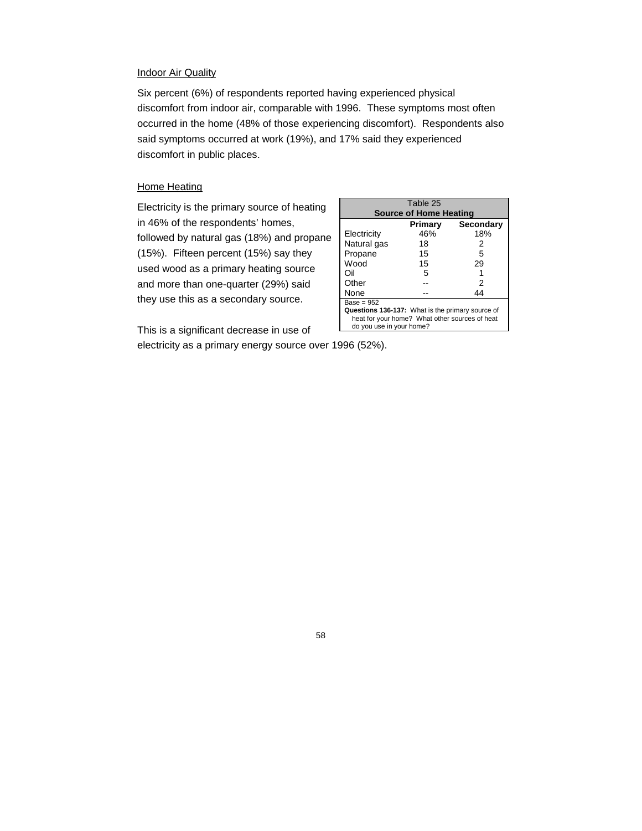#### **Indoor Air Quality**

Six percent (6%) of respondents reported having experienced physical discomfort from indoor air, comparable with 1996. These symptoms most often occurred in the home (48% of those experiencing discomfort). Respondents also said symptoms occurred at work (19%), and 17% said they experienced discomfort in public places.

## **Home Heating**

Electricity is the primary source of heating in 46% of the respondents' homes, followed by natural gas (18%) and propane (15%). Fifteen percent (15%) say they used wood as a primary heating source and more than one-quarter (29%) said they use this as a secondary source.

This is a significant decrease in use of

|                                                  | Table 25 |           |  |
|--------------------------------------------------|----------|-----------|--|
| <b>Source of Home Heating</b>                    |          |           |  |
|                                                  | Primary  | Secondary |  |
| Electricity                                      | 46%      | 18%       |  |
| Natural gas                                      | 18       | 2         |  |
| Propane                                          | 15       | 5         |  |
| Wood                                             | 15       | 29        |  |
| Oil                                              | 5        |           |  |
| Other                                            |          | 2         |  |
| None                                             |          | 44        |  |
| $Base = 952$                                     |          |           |  |
| Questions 136-137: What is the primary source of |          |           |  |
| heat for your home? What other sources of heat   |          |           |  |
| do you use in your home?                         |          |           |  |

electricity as a primary energy source over 1996 (52%).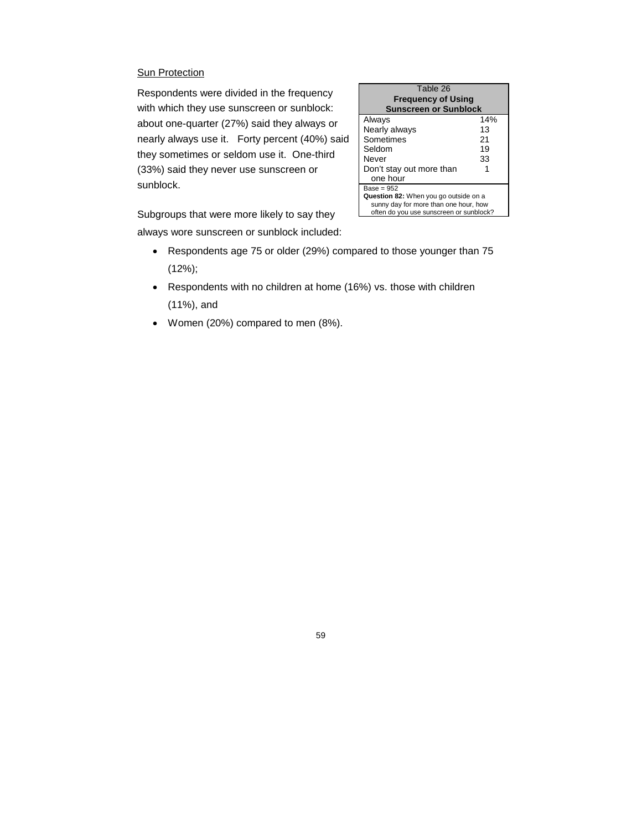## **Sun Protection**

Respondents were divided in the frequency with which they use sunscreen or sunblock: about one-quarter (27%) said they always or nearly always use it. Forty percent (40%) said they sometimes or seldom use it. One-third (33%) said they never use sunscreen or sunblock.

| Table 26                                |     |  |  |
|-----------------------------------------|-----|--|--|
| <b>Frequency of Using</b>               |     |  |  |
| <b>Sunscreen or Sunblock</b>            |     |  |  |
| Always                                  | 14% |  |  |
| Nearly always                           | 13  |  |  |
| Sometimes                               | 21  |  |  |
| Seldom                                  | 19  |  |  |
| Never                                   | 33  |  |  |
| Don't stay out more than                |     |  |  |
| one hour                                |     |  |  |
| $Base = 952$                            |     |  |  |
| Question 82: When you go outside on a   |     |  |  |
| sunny day for more than one hour, how   |     |  |  |
| often do you use sunscreen or sunblock? |     |  |  |

Subgroups that were more likely to say they

always wore sunscreen or sunblock included:

- Respondents age 75 or older (29%) compared to those younger than 75 (12%);
- Respondents with no children at home (16%) vs. those with children (11%), and
- Women (20%) compared to men (8%).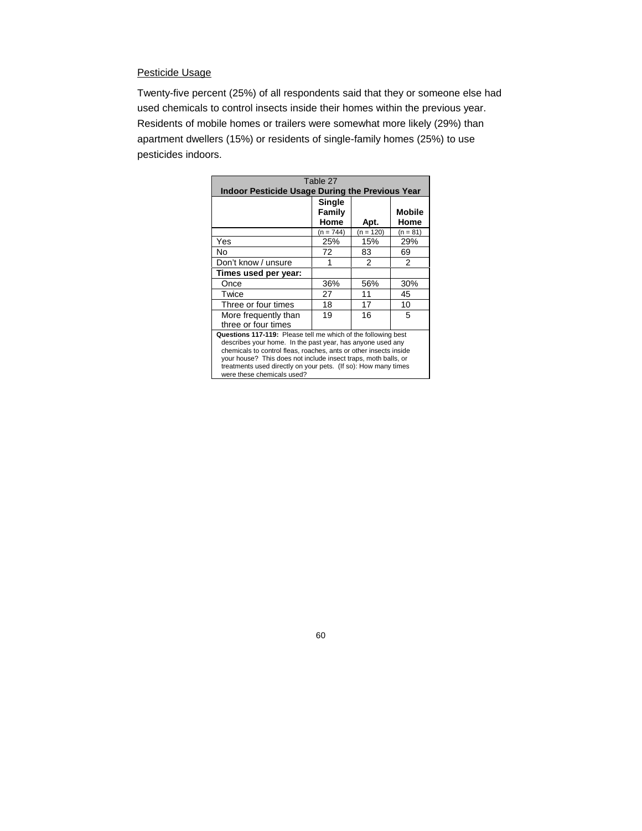## Pesticide Usage

Twenty-five percent (25%) of all respondents said that they or someone else had used chemicals to control insects inside their homes within the previous year. Residents of mobile homes or trailers were somewhat more likely (29%) than apartment dwellers (15%) or residents of single-family homes (25%) to use pesticides indoors.

| Table 27                                                          |             |             |               |  |
|-------------------------------------------------------------------|-------------|-------------|---------------|--|
| <b>Indoor Pesticide Usage During the Previous Year</b>            |             |             |               |  |
|                                                                   | Single      |             |               |  |
|                                                                   | Family      |             | <b>Mobile</b> |  |
|                                                                   | Home        | Apt.        | Home          |  |
|                                                                   | $(n = 744)$ | $(n = 120)$ | $(n = 81)$    |  |
| Yes                                                               | 25%         | 15%         | 29%           |  |
| No.                                                               | 72          | 83          | 69            |  |
| Don't know / unsure                                               |             | 2           | 2             |  |
| Times used per year:                                              |             |             |               |  |
| Once                                                              | 36%         | 56%         | 30%           |  |
| Twice                                                             | 27          | 11          | 45            |  |
| Three or four times                                               | 18          | 17          | 10            |  |
| More frequently than                                              | 19          | 16          | 5             |  |
| three or four times                                               |             |             |               |  |
| Questions 117-119: Please tell me which of the following best     |             |             |               |  |
| describes your home. In the past year, has anyone used any        |             |             |               |  |
| chemicals to control fleas, roaches, ants or other insects inside |             |             |               |  |
| your house? This does not include insect traps, moth balls, or    |             |             |               |  |
| treatments used directly on your pets. (If so): How many times    |             |             |               |  |
| were these chemicals used?                                        |             |             |               |  |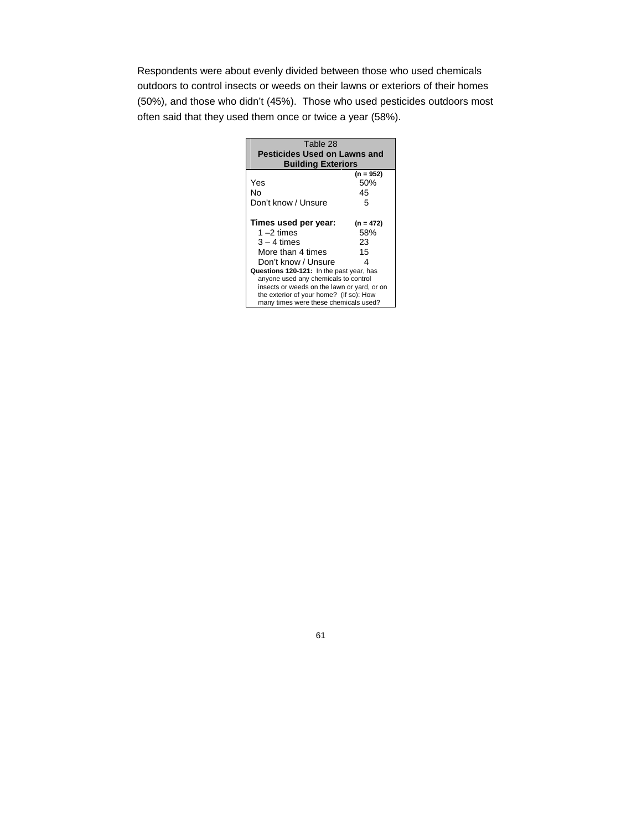Respondents were about evenly divided between those who used chemicals outdoors to control insects or weeds on their lawns or exteriors of their homes (50%), and those who didn't (45%). Those who used pesticides outdoors most often said that they used them once or twice a year (58%).

| Table 28                                    |             |  |  |
|---------------------------------------------|-------------|--|--|
| <b>Pesticides Used on Lawns and</b>         |             |  |  |
| <b>Building Exteriors</b>                   |             |  |  |
|                                             | (n = 952)   |  |  |
| Yes                                         | 50%         |  |  |
| N٥                                          | 45          |  |  |
| Don't know / Unsure                         | 5           |  |  |
| Times used per year:                        | $(n = 472)$ |  |  |
| $1 - 2$ times                               | 58%         |  |  |
| $3 - 4$ times                               | 23          |  |  |
| More than 4 times                           | 15          |  |  |
| Don't know / Unsure                         | Δ           |  |  |
| Questions 120-121: In the past year, has    |             |  |  |
| anyone used any chemicals to control        |             |  |  |
| insects or weeds on the lawn or yard, or on |             |  |  |
| the exterior of your home? (If so): How     |             |  |  |
| many times were these chemicals used?       |             |  |  |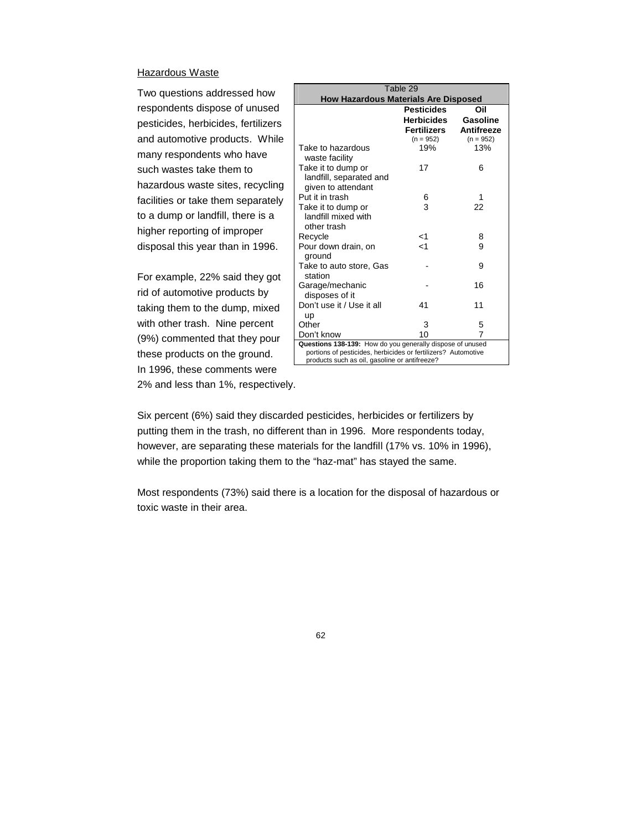#### Hazardous Waste

Two questions addressed how respondents dispose of unused pesticides, herbicides, fertilizers and automotive products. While many respondents who have such wastes take them to hazardous waste sites, recycling facilities or take them separately to a dump or landfill, there is a higher reporting of improper disposal this year than in 1996.

For example, 22% said they got rid of automotive products by taking them to the dump, mixed with other trash. Nine percent (9%) commented that they pour these products on the ground. In 1996, these comments were 2% and less than 1%, respectively.

| Table 29                                                                                                       |                   |             |  |  |
|----------------------------------------------------------------------------------------------------------------|-------------------|-------------|--|--|
| <b>How Hazardous Materials Are Disposed</b>                                                                    |                   |             |  |  |
|                                                                                                                | <b>Pesticides</b> | Oil         |  |  |
|                                                                                                                | Herbicides        | Gasoline    |  |  |
|                                                                                                                | Fertilizers       | Antifreeze  |  |  |
|                                                                                                                | $(n = 952)$       | $(n = 952)$ |  |  |
| Take to hazardous                                                                                              | 19%               | 13%         |  |  |
| waste facility                                                                                                 |                   |             |  |  |
| Take it to dump or                                                                                             | 17                | 6           |  |  |
| landfill, separated and                                                                                        |                   |             |  |  |
| given to attendant<br>Put it in trash                                                                          | 6                 | 1           |  |  |
| Take it to dump or                                                                                             | 3                 | 22          |  |  |
| landfill mixed with                                                                                            |                   |             |  |  |
| other trash                                                                                                    |                   |             |  |  |
| Recycle                                                                                                        | ا>                | 8           |  |  |
| Pour down drain, on                                                                                            | $\leq 1$          | 9           |  |  |
| ground                                                                                                         |                   |             |  |  |
| Take to auto store, Gas                                                                                        |                   | 9           |  |  |
| station                                                                                                        |                   |             |  |  |
| Garage/mechanic                                                                                                |                   | 16          |  |  |
| disposes of it                                                                                                 |                   |             |  |  |
| Don't use it / Use it all                                                                                      | 41                | 11          |  |  |
| up                                                                                                             |                   |             |  |  |
| Other                                                                                                          | 3                 | 5           |  |  |
| Don't know                                                                                                     | 10                | 7           |  |  |
| Questions 138-139: How do you generally dispose of unused                                                      |                   |             |  |  |
| portions of pesticides, herbicides or fertilizers? Automotive<br>products such as oil, gasoline or antifreeze? |                   |             |  |  |
|                                                                                                                |                   |             |  |  |

Six percent (6%) said they discarded pesticides, herbicides or fertilizers by putting them in the trash, no different than in 1996. More respondents today, however, are separating these materials for the landfill (17% vs. 10% in 1996), while the proportion taking them to the "haz-mat" has stayed the same.

Most respondents (73%) said there is a location for the disposal of hazardous or toxic waste in their area.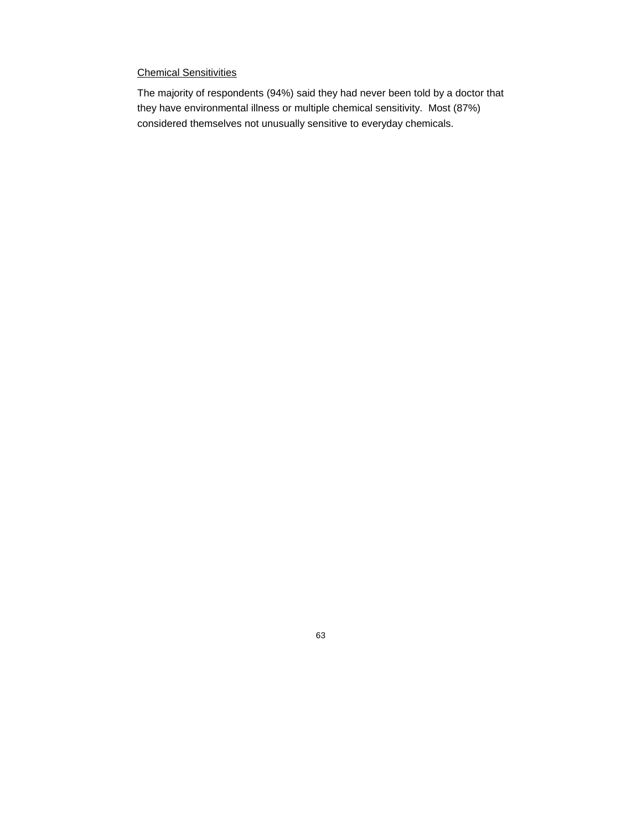# Chemical Sensitivities

The majority of respondents (94%) said they had never been told by a doctor that they have environmental illness or multiple chemical sensitivity. Most (87%) considered themselves not unusually sensitive to everyday chemicals.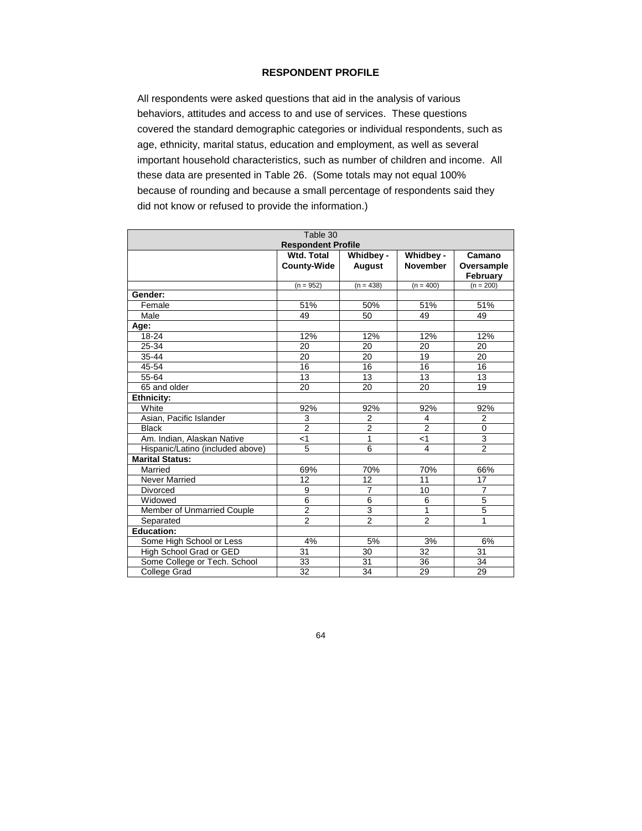## **RESPONDENT PROFILE**

All respondents were asked questions that aid in the analysis of various behaviors, attitudes and access to and use of services. These questions covered the standard demographic categories or individual respondents, such as age, ethnicity, marital status, education and employment, as well as several important household characteristics, such as number of children and income. All these data are presented in Table 26. (Some totals may not equal 100% because of rounding and because a small percentage of respondents said they did not know or refused to provide the information.)

| Table 30                          |                    |                |                 |                |
|-----------------------------------|--------------------|----------------|-----------------|----------------|
| <b>Respondent Profile</b>         |                    |                |                 |                |
|                                   | <b>Wtd. Total</b>  | Whidbey -      | Whidbey -       | Camano         |
|                                   | <b>County-Wide</b> | <b>August</b>  | <b>November</b> | Oversample     |
|                                   |                    |                |                 | February       |
|                                   | $(n = 952)$        | $(n = 438)$    | $(n = 400)$     | $(n = 200)$    |
| Gender:                           |                    |                |                 |                |
| Female                            | 51%                | 50%            | 51%             | 51%            |
| Male                              | 49                 | 50             | 49              | 49             |
| Age:                              |                    |                |                 |                |
| $18 - 24$                         | 12%                | 12%            | 12%             | 12%            |
| 25-34                             | 20                 | 20             | 20              | 20             |
| 35 44                             | 20                 | 20             | 19              | 20             |
| 45-54                             | 16                 | 16             | 16              | 16             |
| 55-64                             | 13                 | 13             | 13              | 13             |
| 65 and older                      | 20                 | 20             | 20              | 19             |
| <b>Ethnicity:</b>                 |                    |                |                 |                |
| White                             | 92%                | 92%            | 92%             | 92%            |
| Asian, Pacific Islander           | 3                  | 2              | $\overline{4}$  | $\overline{2}$ |
| <b>Black</b>                      | $\overline{2}$     | $\overline{2}$ | $\overline{2}$  | $\Omega$       |
| Am. Indian, Alaskan Native        | $<$ 1              | 1              | $<$ 1           | 3              |
| Hispanic/Latino (included above)  | 5                  | 6              | 4               | $\overline{2}$ |
| <b>Marital Status:</b>            |                    |                |                 |                |
| Married                           | 69%                | 70%            | 70%             | 66%            |
| <b>Never Married</b>              | 12                 | 12             | 11              | 17             |
| Divorced                          | 9                  | $\overline{7}$ | 10              | $\overline{7}$ |
| Widowed                           | 6                  | 6              | 6               | 5              |
| <b>Member of Unmarried Couple</b> | $\overline{2}$     | $\overline{3}$ | 1               | $\overline{5}$ |
| Separated                         | $\overline{2}$     | $\overline{2}$ | $\overline{2}$  | 1              |
| <b>Education:</b>                 |                    |                |                 |                |
| Some High School or Less          | 4%                 | 5%             | 3%              | 6%             |
| High School Grad or GED           | 31                 | 30             | 32              | 31             |
| Some College or Tech. School      | 33                 | 31             | 36              | 34             |
| College Grad                      | 32                 | 34             | 29              | 29             |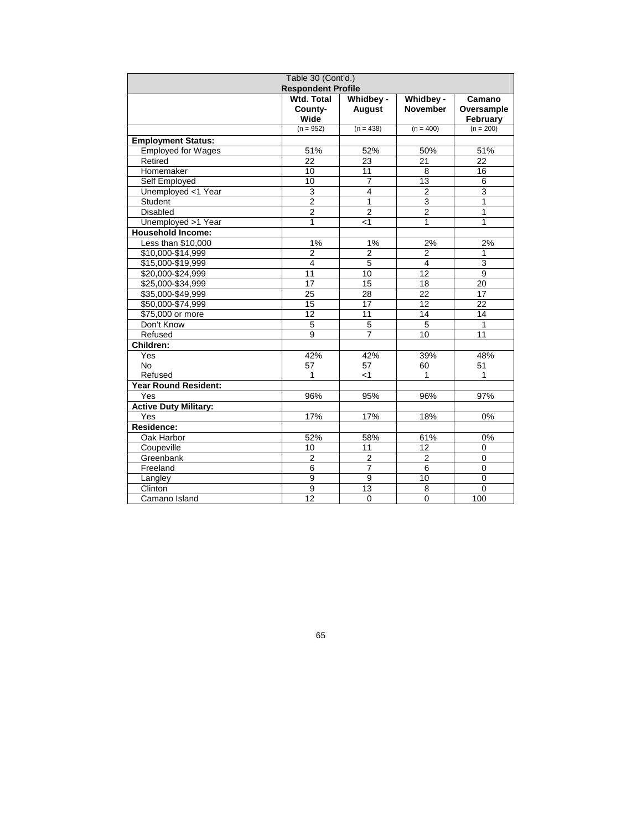| Table 30 (Cont'd.)           |                   |                         |                 |                |
|------------------------------|-------------------|-------------------------|-----------------|----------------|
| <b>Respondent Profile</b>    |                   |                         |                 |                |
|                              | <b>Wtd. Total</b> | Whidbey -               | Whidbey -       | Camano         |
|                              | County-           | <b>August</b>           | <b>November</b> | Oversample     |
|                              | Wide              |                         |                 | February       |
|                              | $(n = 952)$       | $(n = 438)$             | $(n = 400)$     | $(n = 200)$    |
| <b>Employment Status:</b>    |                   |                         |                 |                |
| <b>Employed for Wages</b>    | 51%               | 52%                     | 50%             | 51%            |
| Retired                      | 22                | 23                      | 21              | 22             |
| Homemaker                    | 10                | 11                      | 8               | 16             |
| Self Employed                | 10                | $\overline{7}$          | 13              | 6              |
| Unemployed <1 Year           | 3                 | $\overline{\mathbf{4}}$ | $\overline{2}$  | $\overline{3}$ |
| Student                      | $\overline{2}$    | $\mathbf{1}$            | $\overline{3}$  | 1              |
| <b>Disabled</b>              | $\overline{2}$    | $\overline{2}$          | $\overline{c}$  | 1              |
| Unemployed >1 Year           | $\mathbf{1}$      | < 1                     | $\mathbf{1}$    | 1              |
| <b>Household Income:</b>     |                   |                         |                 |                |
| Less than \$10,000           | 1%                | 1%                      | 2%              | 2%             |
| \$10,000-\$14,999            | $\overline{2}$    | $\overline{2}$          | 2               | 1              |
| \$15,000-\$19,999            | $\overline{4}$    | 5                       | $\overline{4}$  | $\overline{3}$ |
| \$20,000-\$24,999            | $\overline{11}$   | 10                      | $\overline{12}$ | $\overline{9}$ |
| \$25,000-\$34,999            | 17                | 15                      | 18              | 20             |
| \$35,000-\$49,999            | $\overline{25}$   | 28                      | 22              | 17             |
| \$50,000-\$74,999            | 15                | 17                      | 12              | 22             |
| \$75,000 or more             | $\overline{12}$   | 11                      | 14              | 14             |
| Don't Know                   | 5                 | 5                       | 5               | $\mathbf{1}$   |
| Refused                      | 9                 | $\overline{7}$          | 10              | 11             |
| Children:                    |                   |                         |                 |                |
| Yes                          | 42%               | 42%                     | 39%             | 48%            |
| <b>No</b>                    | 57                | 57                      | 60              | 51             |
| Refused                      | 1                 | < 1                     | 1               | $\mathbf{1}$   |
| <b>Year Round Resident:</b>  |                   |                         |                 |                |
| Yes                          | 96%               | 95%                     | 96%             | 97%            |
| <b>Active Duty Military:</b> |                   |                         |                 |                |
| Yes                          | 17%               | 17%                     | 18%             | 0%             |
| Residence:                   |                   |                         |                 |                |
| Oak Harbor                   | 52%               | 58%                     | 61%             | 0%             |
| Coupeville                   | 10                | 11                      | 12              | $\mathbf 0$    |
| Greenbank                    | $\overline{2}$    | $\overline{2}$          | $\overline{2}$  | $\mathbf 0$    |
| Freeland                     | $\overline{6}$    | $\overline{7}$          | 6               | $\mathbf 0$    |
| Langley                      | 9                 | 9                       | 10              | 0              |
| Clinton                      | $\overline{9}$    | 13                      | 8               | $\mathbf 0$    |
| Camano Island                | $\overline{12}$   | $\mathbf 0$             | $\mathbf 0$     | 100            |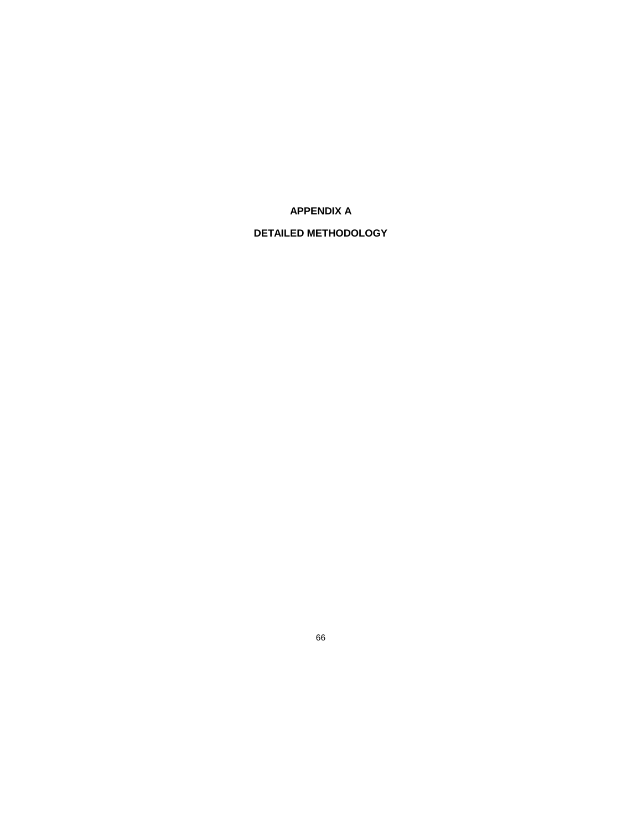**APPENDIX A**

# **DETAILED METHODOLOGY**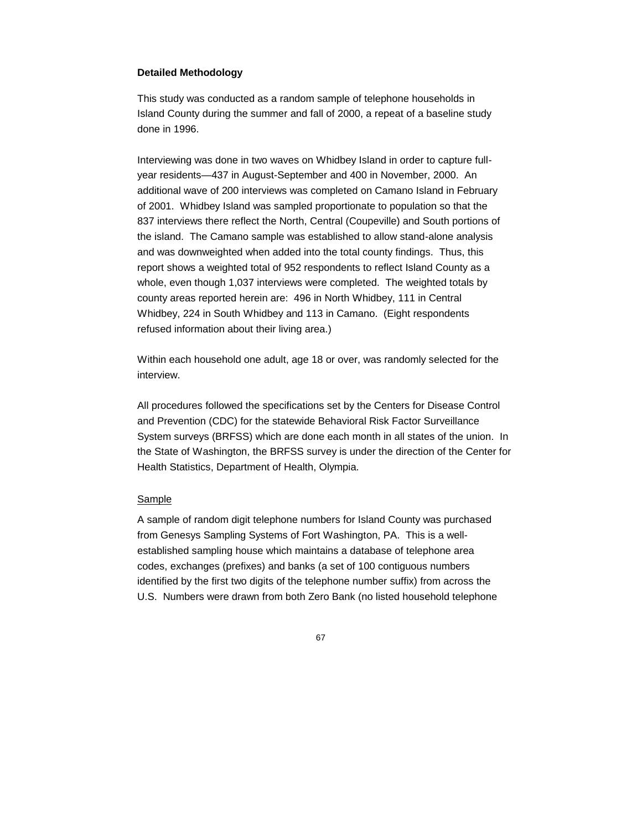#### **Detailed Methodology**

This study was conducted as a random sample of telephone households in Island County during the summer and fall of 2000, a repeat of a baseline study done in 1996.

Interviewing was done in two waves on Whidbey Island in order to capture fullyear residents—437 in August-September and 400 in November, 2000. An additional wave of 200 interviews was completed on Camano Island in February of 2001. Whidbey Island was sampled proportionate to population so that the 837 interviews there reflect the North, Central (Coupeville) and South portions of the island. The Camano sample was established to allow stand-alone analysis and was downweighted when added into the total county findings. Thus, this report shows a weighted total of 952 respondents to reflect Island County as a whole, even though 1,037 interviews were completed. The weighted totals by county areas reported herein are: 496 in North Whidbey, 111 in Central Whidbey, 224 in South Whidbey and 113 in Camano. (Eight respondents refused information about their living area.)

Within each household one adult, age 18 or over, was randomly selected for the interview.

All procedures followed the specifications set by the Centers for Disease Control and Prevention (CDC) for the statewide Behavioral Risk Factor Surveillance System surveys (BRFSS) which are done each month in all states of the union. In the State of Washington, the BRFSS survey is under the direction of the Center for Health Statistics, Department of Health, Olympia.

#### Sample

A sample of random digit telephone numbers for Island County was purchased from Genesys Sampling Systems of Fort Washington, PA. This is a wellestablished sampling house which maintains a database of telephone area codes, exchanges (prefixes) and banks (a set of 100 contiguous numbers identified by the first two digits of the telephone number suffix) from across the U.S. Numbers were drawn from both Zero Bank (no listed household telephone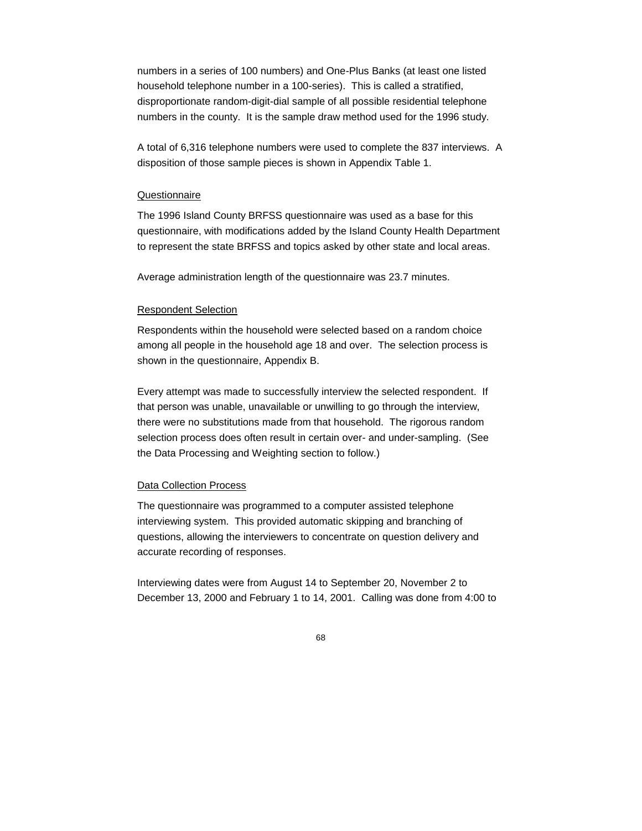numbers in a series of 100 numbers) and One-Plus Banks (at least one listed household telephone number in a 100-series). This is called a stratified, disproportionate random-digit-dial sample of all possible residential telephone numbers in the county. It is the sample draw method used for the 1996 study.

A total of 6,316 telephone numbers were used to complete the 837 interviews. A disposition of those sample pieces is shown in Appendix Table 1.

#### **Questionnaire**

The 1996 Island County BRFSS questionnaire was used as a base for this questionnaire, with modifications added by the Island County Health Department to represent the state BRFSS and topics asked by other state and local areas.

Average administration length of the questionnaire was 23.7 minutes.

#### Respondent Selection

Respondents within the household were selected based on a random choice among all people in the household age 18 and over. The selection process is shown in the questionnaire, Appendix B.

Every attempt was made to successfully interview the selected respondent. If that person was unable, unavailable or unwilling to go through the interview, there were no substitutions made from that household. The rigorous random selection process does often result in certain over- and under-sampling. (See the Data Processing and Weighting section to follow.)

#### Data Collection Process

The questionnaire was programmed to a computer assisted telephone interviewing system. This provided automatic skipping and branching of questions, allowing the interviewers to concentrate on question delivery and accurate recording of responses.

Interviewing dates were from August 14 to September 20, November 2 to December 13, 2000 and February 1 to 14, 2001. Calling was done from 4:00 to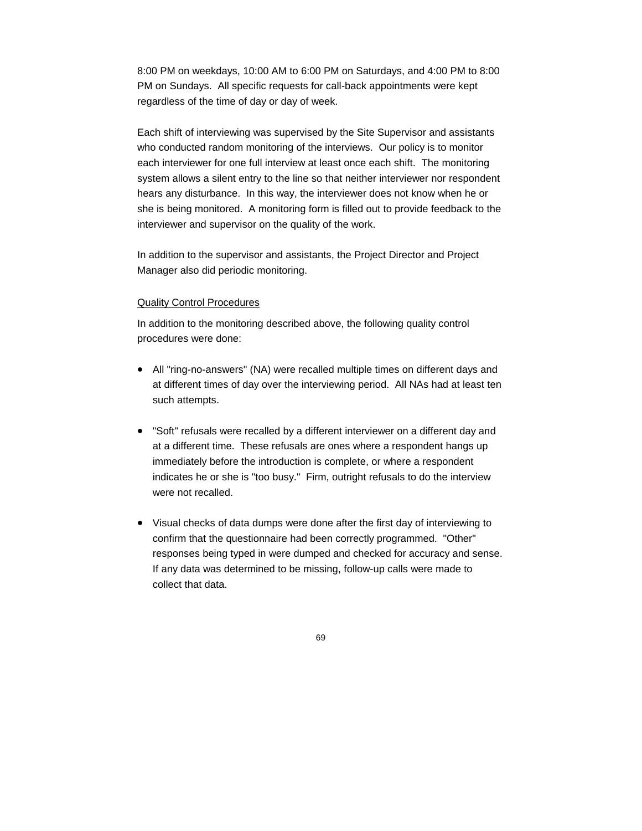8:00 PM on weekdays, 10:00 AM to 6:00 PM on Saturdays, and 4:00 PM to 8:00 PM on Sundays. All specific requests for call-back appointments were kept regardless of the time of day or day of week.

Each shift of interviewing was supervised by the Site Supervisor and assistants who conducted random monitoring of the interviews. Our policy is to monitor each interviewer for one full interview at least once each shift. The monitoring system allows a silent entry to the line so that neither interviewer nor respondent hears any disturbance. In this way, the interviewer does not know when he or she is being monitored. A monitoring form is filled out to provide feedback to the interviewer and supervisor on the quality of the work.

In addition to the supervisor and assistants, the Project Director and Project Manager also did periodic monitoring.

#### Quality Control Procedures

In addition to the monitoring described above, the following quality control procedures were done:

- All "ring-no-answers" (NA) were recalled multiple times on different days and at different times of day over the interviewing period. All NAs had at least ten such attempts.
- "Soft" refusals were recalled by a different interviewer on a different day and at a different time. These refusals are ones where a respondent hangs up immediately before the introduction is complete, or where a respondent indicates he or she is "too busy." Firm, outright refusals to do the interview were not recalled.
- Visual checks of data dumps were done after the first day of interviewing to confirm that the questionnaire had been correctly programmed. "Other" responses being typed in were dumped and checked for accuracy and sense. If any data was determined to be missing, follow-up calls were made to collect that data.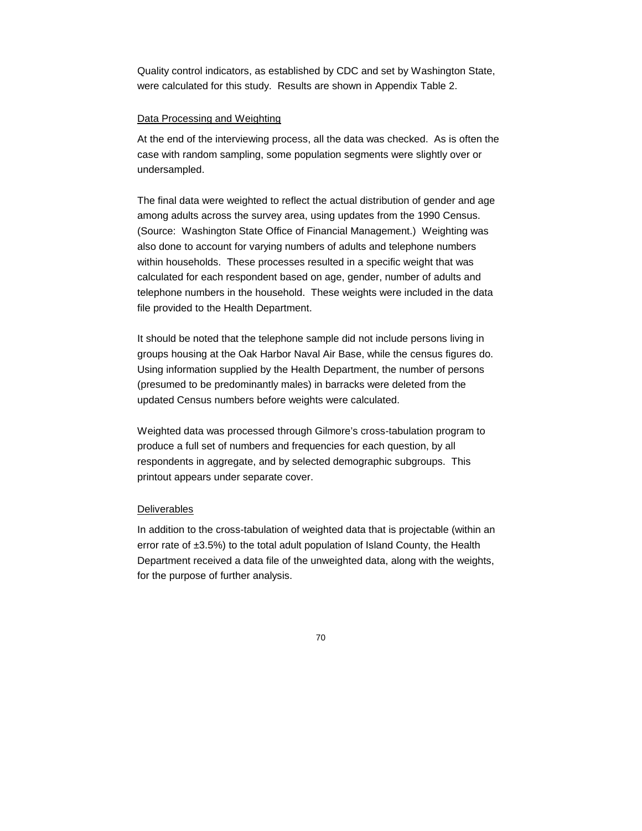Quality control indicators, as established by CDC and set by Washington State, were calculated for this study. Results are shown in Appendix Table 2.

### Data Processing and Weighting

At the end of the interviewing process, all the data was checked. As is often the case with random sampling, some population segments were slightly over or undersampled.

The final data were weighted to reflect the actual distribution of gender and age among adults across the survey area, using updates from the 1990 Census. (Source: Washington State Office of Financial Management.) Weighting was also done to account for varying numbers of adults and telephone numbers within households. These processes resulted in a specific weight that was calculated for each respondent based on age, gender, number of adults and telephone numbers in the household. These weights were included in the data file provided to the Health Department.

It should be noted that the telephone sample did not include persons living in groups housing at the Oak Harbor Naval Air Base, while the census figures do. Using information supplied by the Health Department, the number of persons (presumed to be predominantly males) in barracks were deleted from the updated Census numbers before weights were calculated.

Weighted data was processed through Gilmore's cross-tabulation program to produce a full set of numbers and frequencies for each question, by all respondents in aggregate, and by selected demographic subgroups. This printout appears under separate cover.

### **Deliverables**

In addition to the cross-tabulation of weighted data that is projectable (within an error rate of  $\pm 3.5\%$ ) to the total adult population of Island County, the Health Department received a data file of the unweighted data, along with the weights, for the purpose of further analysis.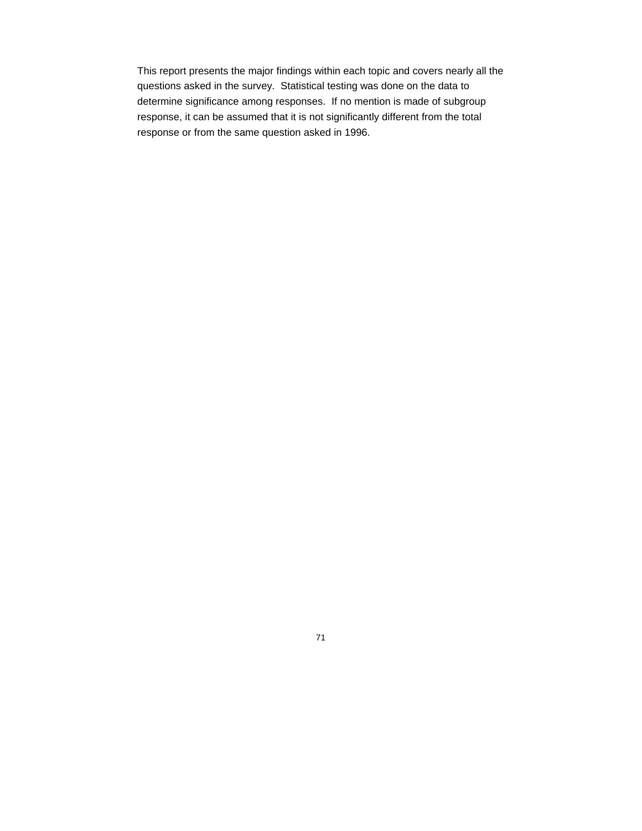This report presents the major findings within each topic and covers nearly all the questions asked in the survey. Statistical testing was done on the data to determine significance among responses. If no mention is made of subgroup response, it can be assumed that it is not significantly different from the total response or from the same question asked in 1996.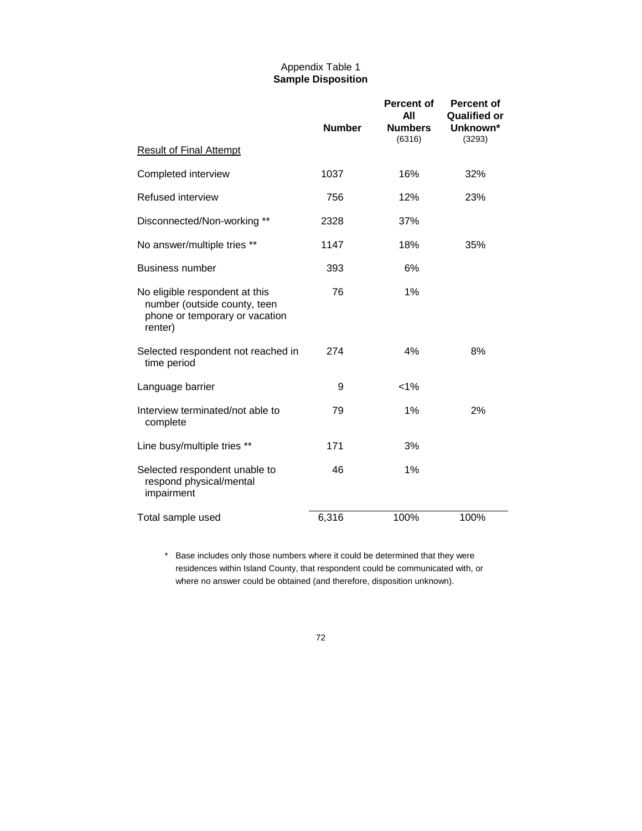## Appendix Table 1 **Sample Disposition**

|                                                                                                             | <b>Number</b> | <b>Percent of</b><br>AII<br><b>Numbers</b> | <b>Percent of</b><br><b>Qualified or</b><br>Unknown* |  |
|-------------------------------------------------------------------------------------------------------------|---------------|--------------------------------------------|------------------------------------------------------|--|
|                                                                                                             |               | (6316)                                     | (3293)                                               |  |
| <b>Result of Final Attempt</b>                                                                              |               |                                            |                                                      |  |
| Completed interview                                                                                         | 1037          | 16%                                        | 32%                                                  |  |
| <b>Refused interview</b>                                                                                    | 756           | 12%                                        | 23%                                                  |  |
| Disconnected/Non-working **                                                                                 | 2328          | 37%                                        |                                                      |  |
| No answer/multiple tries **                                                                                 | 1147          | 18%                                        | 35%                                                  |  |
| <b>Business number</b>                                                                                      | 393           | 6%                                         |                                                      |  |
| No eligible respondent at this<br>number (outside county, teen<br>phone or temporary or vacation<br>renter) | 76            | 1%                                         |                                                      |  |
| Selected respondent not reached in<br>time period                                                           | 274           | 4%                                         | 8%                                                   |  |
| Language barrier                                                                                            | 9             | $< 1\%$                                    |                                                      |  |
| Interview terminated/not able to<br>complete                                                                | 79            | 1%                                         | 2%                                                   |  |
| Line busy/multiple tries **                                                                                 | 171           | 3%                                         |                                                      |  |
| Selected respondent unable to<br>respond physical/mental<br>impairment                                      | 46            | 1%                                         |                                                      |  |
| Total sample used                                                                                           | 6,316         | 100%                                       | 100%                                                 |  |

\* Base includes only those numbers where it could be determined that they were residences within Island County, that respondent could be communicated with, or where no answer could be obtained (and therefore, disposition unknown).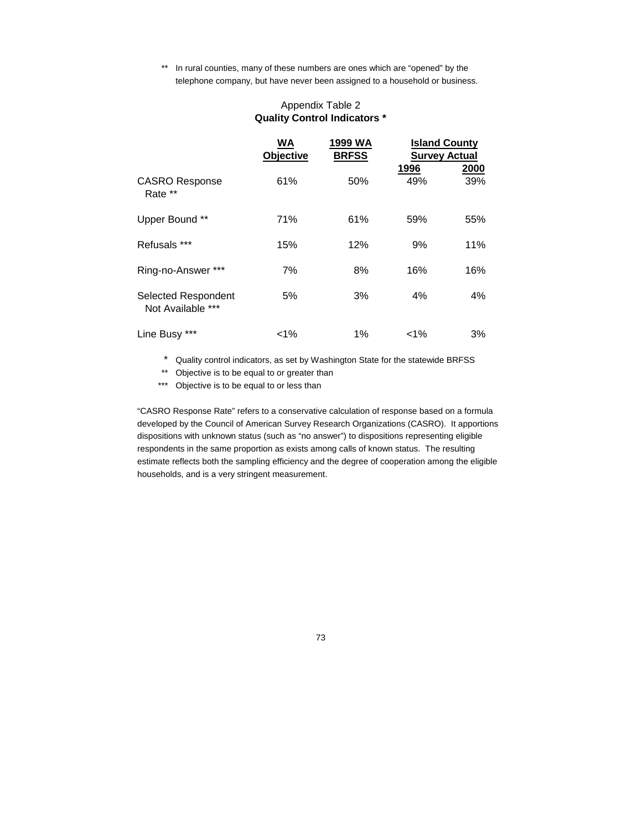\*\* In rural counties, many of these numbers are ones which are "opened" by the telephone company, but have never been assigned to a household or business.

|                                          | WA<br><b>Objective</b> | 1999 WA<br><b>BRFSS</b> | <b>Survey Actual</b><br>1996 | <b>Island County</b><br>2000 |
|------------------------------------------|------------------------|-------------------------|------------------------------|------------------------------|
| <b>CASRO Response</b><br>Rate **         | 61%                    | 50%                     | 49%                          | 39%                          |
| Upper Bound **                           | 71%                    | 61%                     | 59%                          | 55%                          |
| Refusals ***                             | 15%                    | 12%                     | 9%                           | 11%                          |
| Ring-no-Answer ***                       | 7%                     | 8%                      | 16%                          | 16%                          |
| Selected Respondent<br>Not Available *** | 5%                     | 3%                      | 4%                           | 4%                           |
| Line Busy ***                            | $1\%$                  | 1%                      | $< 1\%$                      | 3%                           |

## Appendix Table 2 **Quality Control Indicators \***

\* Quality control indicators, as set by Washington State for the statewide BRFSS

- \*\* Objective is to be equal to or greater than
- \*\*\* Objective is to be equal to or less than

"CASRO Response Rate" refers to a conservative calculation of response based on a formula developed by the Council of American Survey Research Organizations (CASRO). It apportions dispositions with unknown status (such as "no answer") to dispositions representing eligible respondents in the same proportion as exists among calls of known status. The resulting estimate reflects both the sampling efficiency and the degree of cooperation among the eligible households, and is a very stringent measurement.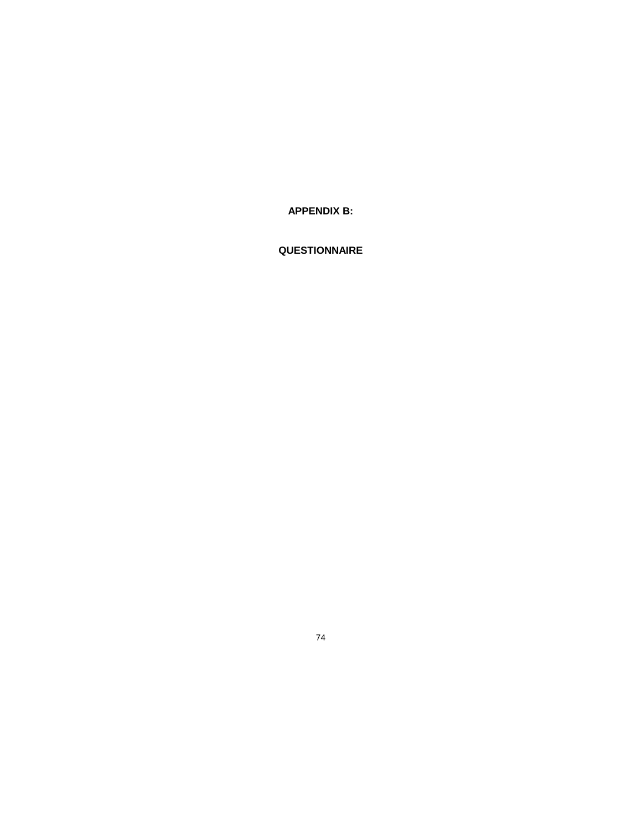**APPENDIX B:** 

## QUESTIONNAIRE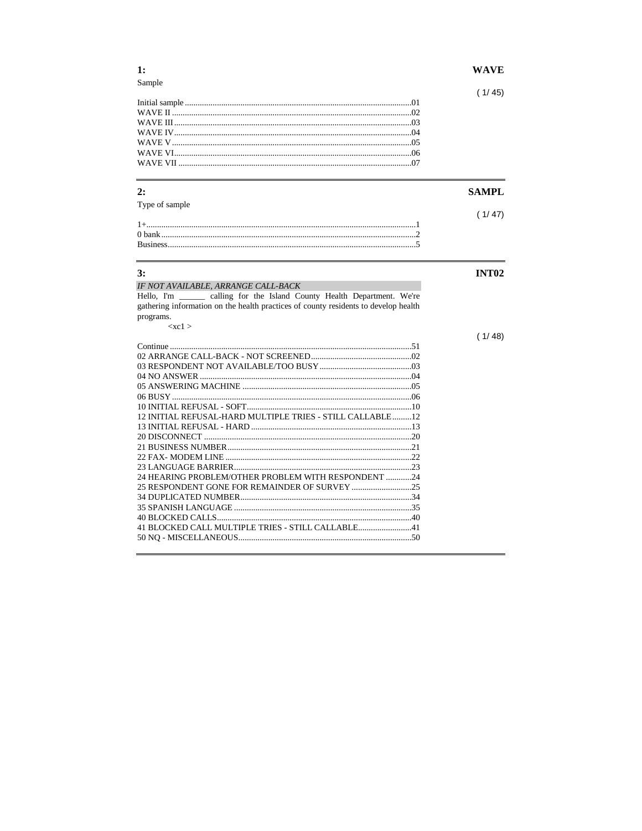| $\mathbf{1}$ :                                                                      | <b>WAVE</b>  |
|-------------------------------------------------------------------------------------|--------------|
| Sample                                                                              | (1/45)       |
|                                                                                     |              |
|                                                                                     |              |
|                                                                                     |              |
|                                                                                     |              |
|                                                                                     |              |
|                                                                                     |              |
|                                                                                     |              |
| 2:                                                                                  | <b>SAMPL</b> |
| Type of sample                                                                      |              |
|                                                                                     | (1/47)       |
|                                                                                     |              |
|                                                                                     |              |
|                                                                                     |              |
| 3:                                                                                  | <b>INT02</b> |
|                                                                                     |              |
|                                                                                     |              |
| IF NOT AVAILABLE, ARRANGE CALL-BACK                                                 |              |
| Hello, I'm _______ calling for the Island County Health Department. We're           |              |
| gathering information on the health practices of county residents to develop health |              |
| programs.<br>$<$ xc1 >                                                              |              |
|                                                                                     |              |
|                                                                                     |              |
|                                                                                     |              |
|                                                                                     |              |
|                                                                                     |              |
|                                                                                     | (1/48)       |
|                                                                                     |              |
|                                                                                     |              |
| 12 INITIAL REFUSAL-HARD MULTIPLE TRIES - STILL CALLABLE12                           |              |
|                                                                                     |              |
|                                                                                     |              |
|                                                                                     |              |
|                                                                                     |              |
|                                                                                     |              |
| 24 HEARING PROBLEM/OTHER PROBLEM WITH RESPONDENT 24                                 |              |
|                                                                                     |              |
|                                                                                     |              |
|                                                                                     |              |
|                                                                                     |              |
|                                                                                     |              |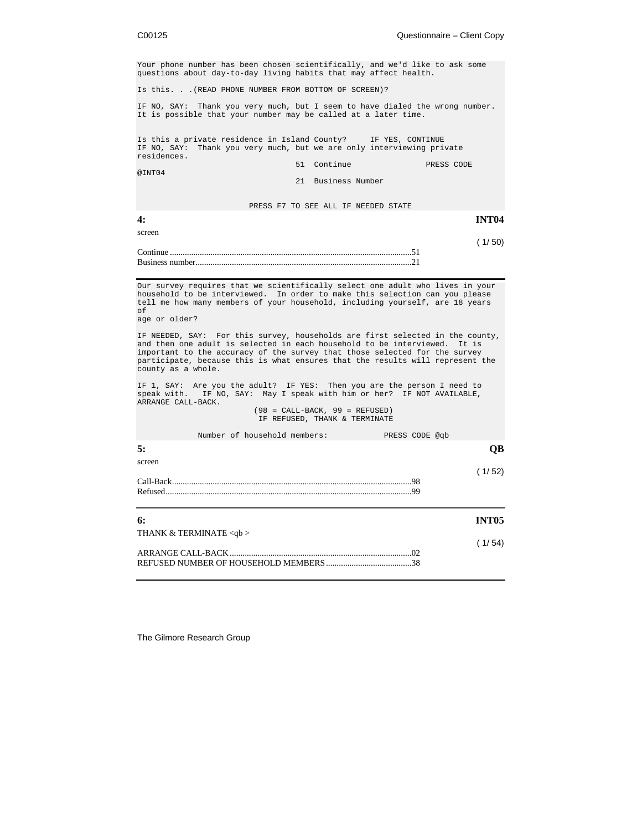|  | C00125 |
|--|--------|
|  |        |
|  |        |

Your phone number has been chosen scientifically, and we'd like to ask some questions about day-to-day living habits that may affect health. Is this. . .(READ PHONE NUMBER FROM BOTTOM OF SCREEN)? IF NO, SAY: Thank you very much, but I seem to have dialed the wrong number. It is possible that your number may be called at a later time. Is this a private residence in Island County? IF YES, CONTINUE IF NO, SAY: Thank you very much, but we are only interviewing private residences. 51 Continue PRESS CODE @INT04 21 Business Number PRESS F7 TO SEE ALL IF NEEDED STATE **4: INT04** screen ( 1/ 50) Continue .................................................................................................................51 Business number.....................................................................................................21 Our survey requires that we scientifically select one adult who lives in your household to be interviewed. In order to make this selection can you please tell me how many members of your household, including yourself, are 18 years of age or older? IF NEEDED, SAY: For this survey, households are first selected in the county, and then one adult is selected in each household to be interviewed. It is important to the accuracy of the survey that those selected for the survey participate, because this is what ensures that the results will represent the county as a whole. IF 1, SAY: Are you the adult? IF YES: Then you are the person I need to speak with. IF NO, SAY: May I speak with him or her? IF NOT AVAILABLE, ARRANGE CALL-BACK. (98 = CALL-BACK, 99 = REFUSED) IF REFUSED, THANK & TERMINATE Number of household members: PRESS CODE @qb **5: QB** screen ( 1/ 52) Call-Back................................................................................................................98 Refused...................................................................................................................99 **6: INT05** THANK & TERMINATE <qb > ( 1/ 54) ARRANGE CALL-BACK .....................................................................................02 REFUSED NUMBER OF HOUSEHOLD MEMBERS........................................38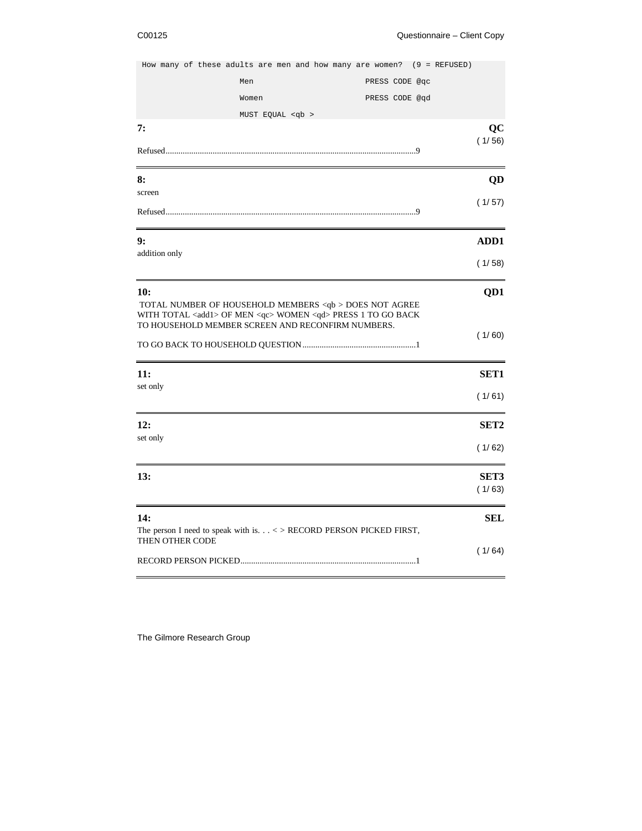|                 |                                                                                                                                             | How many of these adults are men and how many are women? (9 = REFUSED) |                  |
|-----------------|---------------------------------------------------------------------------------------------------------------------------------------------|------------------------------------------------------------------------|------------------|
|                 | Men                                                                                                                                         | PRESS CODE @qc                                                         |                  |
|                 | Women                                                                                                                                       | PRESS CODE @qd                                                         |                  |
|                 | MUST EQUAL <qb></qb>                                                                                                                        |                                                                        |                  |
| 7:              |                                                                                                                                             |                                                                        | QC<br>(1/56)     |
|                 |                                                                                                                                             |                                                                        |                  |
| 8:              |                                                                                                                                             |                                                                        | QD               |
| screen          |                                                                                                                                             |                                                                        | (1/57)           |
|                 |                                                                                                                                             |                                                                        |                  |
| 9:              |                                                                                                                                             |                                                                        | ADD1             |
| addition only   |                                                                                                                                             |                                                                        | (1/58)           |
| 10:             |                                                                                                                                             |                                                                        | QD1              |
|                 | TOTAL NUMBER OF HOUSEHOLD MEMBERS <qb> DOES NOT AGREE<br/>WITH TOTAL <add1> OF MEN <qc> WOMEN <qd> PRESS 1 TO GO BACK</qd></qc></add1></qb> |                                                                        |                  |
|                 | TO HOUSEHOLD MEMBER SCREEN AND RECONFIRM NUMBERS.                                                                                           |                                                                        |                  |
|                 |                                                                                                                                             |                                                                        | (1/60)           |
| <b>11:</b>      |                                                                                                                                             |                                                                        | SET <sub>1</sub> |
| set only        |                                                                                                                                             |                                                                        | (1/61)           |
| 12:             |                                                                                                                                             |                                                                        | SET <sub>2</sub> |
| set only        |                                                                                                                                             |                                                                        | (1/62)           |
| 13:             |                                                                                                                                             |                                                                        | SET3             |
|                 |                                                                                                                                             |                                                                        | (1/63)           |
| 14:             |                                                                                                                                             |                                                                        | <b>SEL</b>       |
| THEN OTHER CODE | The person I need to speak with is. $\ldots$ < > RECORD PERSON PICKED FIRST,                                                                |                                                                        |                  |
|                 |                                                                                                                                             |                                                                        | (1/64)           |
|                 |                                                                                                                                             |                                                                        |                  |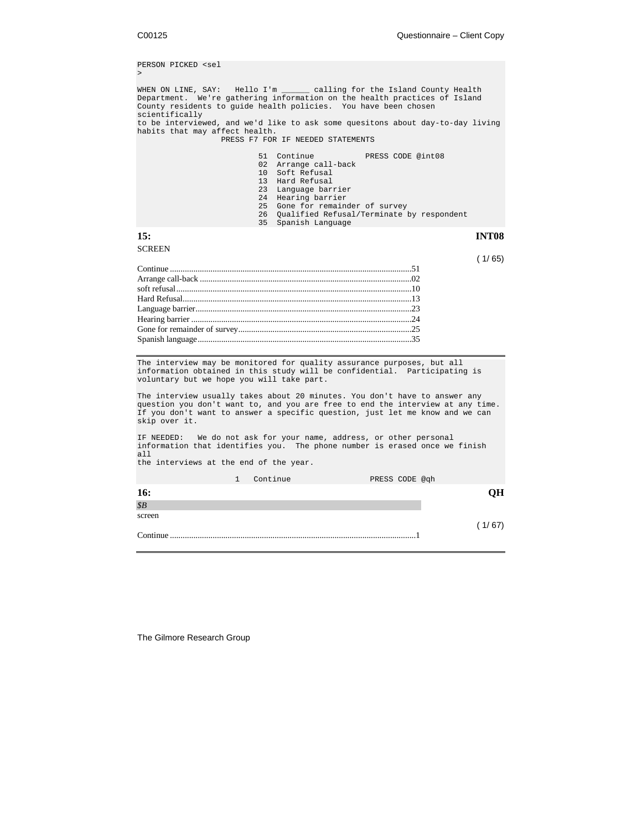```
PERSON PICKED <sel
>
WHEN ON LINE, SAY: Hello I'm ______ calling for the Island County Health
Department. We're gathering information on the health practices of Island
County residents to guide health policies. You have been chosen
scientifically
to be interviewed, and we'd like to ask some quesitons about day-to-day living
habits that may affect health.
                          PRESS F7 FOR IF NEEDED STATEMENTS
                                      51 Continue PRESS CODE @int08
02 Arrange call-back
                                      10 Soft Refusal
13 Hard Refusal
                                      23 Language barrier
                                      24 Hearing barrier
                                      25 Gone for remainder of survey
                                      26 Qualified Refusal/Terminate by respondent
                                      35 Spanish Language
15: INT08
SCREEN
                                                                                                          ( 1/ 65)
Continue .................................................................................................................51
Arrange call-back ...................................................................................................02
soft refusal..............................................................................................................10
Hard Refusal...........................................................................................................13
Language barrier.....................................................................................................23
Hearing barrier .......................................................................................................24
Gone for remainder of survey.................................................................................25
Spanish language....................................................................................................35
The interview may be monitored for quality assurance purposes, but all
information obtained in this study will be confidential. Participating is
voluntary but we hope you will take part.
The interview usually takes about 20 minutes. You don't have to answer any
question you don't want to, and you are free to end the interview at any time.
If you don't want to answer a specific question, just let me know and we can
skip over it.
IF NEEDED: We do not ask for your name, address, or other personal
information that identifies you. The phone number is erased once we finish
all
the interviews at the end of the year.
                             1 Continue PRESS CODE @qh
16: QH
$B
screen
                                                                                                          (1/67)Continue ...................................................................................................................1
```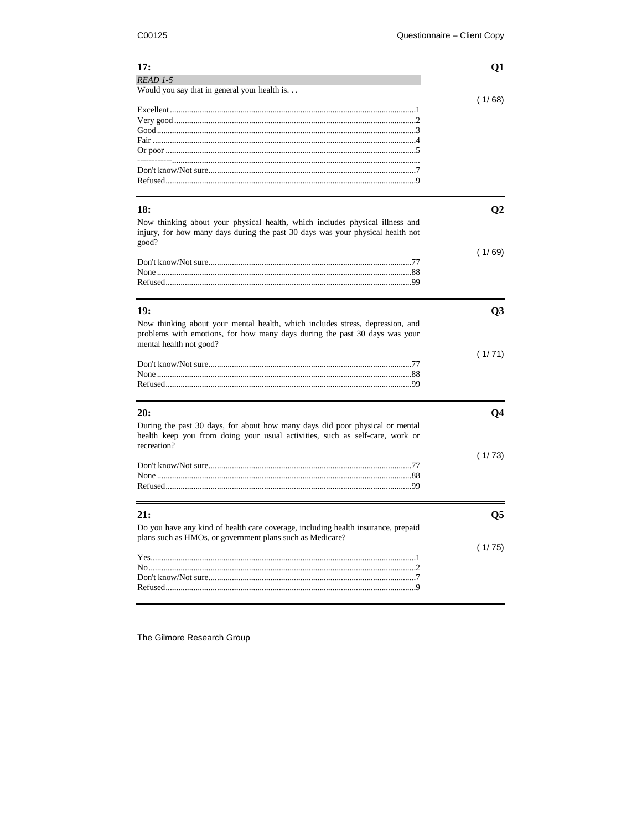L

| 17:                                                                               | Q1             |
|-----------------------------------------------------------------------------------|----------------|
| READ 1-5                                                                          |                |
| Would you say that in general your health is.                                     |                |
|                                                                                   | (1/68)         |
|                                                                                   |                |
|                                                                                   |                |
|                                                                                   |                |
|                                                                                   |                |
|                                                                                   |                |
|                                                                                   |                |
|                                                                                   |                |
|                                                                                   |                |
| 18:                                                                               | Q <sub>2</sub> |
|                                                                                   |                |
| Now thinking about your physical health, which includes physical illness and      |                |
| injury, for how many days during the past 30 days was your physical health not    |                |
| good?                                                                             | (1/69)         |
|                                                                                   |                |
|                                                                                   |                |
|                                                                                   |                |
|                                                                                   |                |
|                                                                                   |                |
| 19:                                                                               | Q <sub>3</sub> |
| Now thinking about your mental health, which includes stress, depression, and     |                |
| problems with emotions, for how many days during the past 30 days was your        |                |
| mental health not good?                                                           |                |
|                                                                                   | (1/71)         |
|                                                                                   |                |
|                                                                                   |                |
|                                                                                   |                |
|                                                                                   |                |
| 20:                                                                               | Q <sub>4</sub> |
| During the past 30 days, for about how many days did poor physical or mental      |                |
| health keep you from doing your usual activities, such as self-care, work or      |                |
| recreation?                                                                       |                |
|                                                                                   | (1/73)         |
|                                                                                   |                |
|                                                                                   |                |
|                                                                                   |                |
|                                                                                   |                |
| 21:                                                                               | Q <sub>5</sub> |
| Do you have any kind of health care coverage, including health insurance, prepaid |                |
| plans such as HMOs, or government plans such as Medicare?                         |                |
|                                                                                   | (1/75)         |
|                                                                                   |                |
|                                                                                   |                |
|                                                                                   |                |
|                                                                                   |                |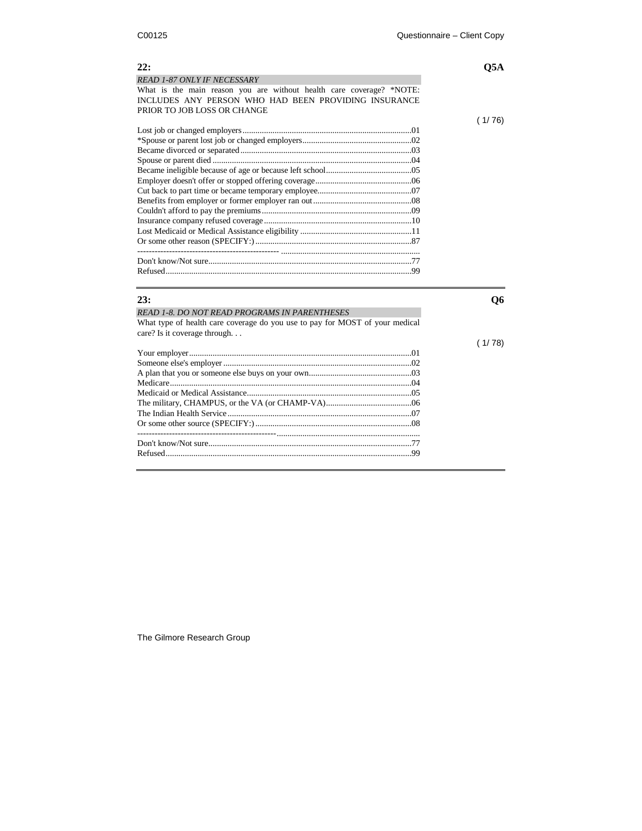| READ 1-87 ONLY IF NECESSARY                                          |
|----------------------------------------------------------------------|
| What is the main reason you are without health care coverage? *NOTE: |
| INCLUDES ANY PERSON WHO HAD BEEN PROVIDING INSURANCE                 |
| PRIOR TO JOB LOSS OR CHANGE                                          |
|                                                                      |

### **23: Q6**

# *READ 1-8. DO NOT READ PROGRAMS IN PARENTHESES* What type of health care coverage do you use to pay for MOST of your medical care? Is it coverage through. . . Your employer........................................................................................................01

The Gilmore Research Group

### **22: Q5A**

( 1/ 76)

( 1/ 78)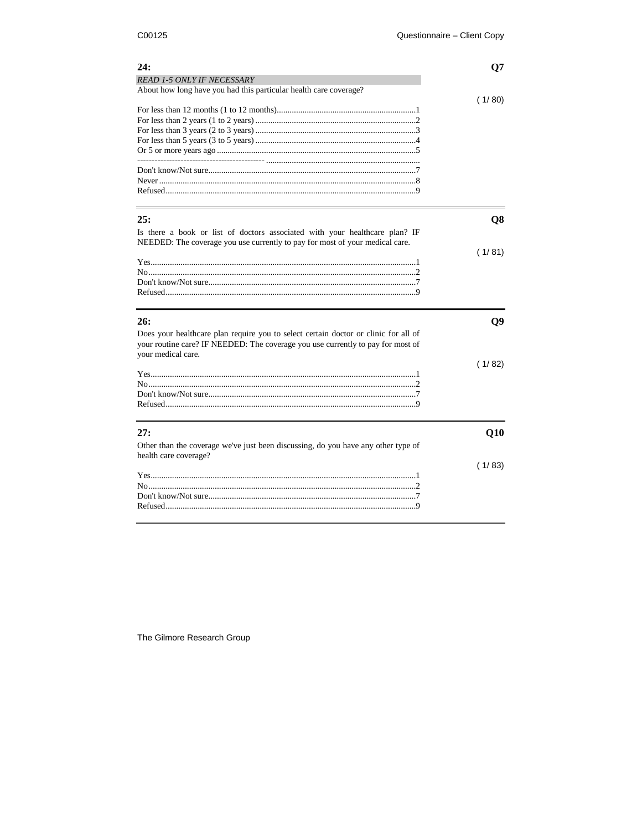| <b>READ 1-5 ONLY IF NECESSARY</b><br>About how long have you had this particular health care coverage?<br>(1/80)<br>25:<br>Q8<br>Is there a book or list of doctors associated with your healthcare plan? IF<br>NEEDED: The coverage you use currently to pay for most of your medical care.<br>(1/81)<br>26: |
|---------------------------------------------------------------------------------------------------------------------------------------------------------------------------------------------------------------------------------------------------------------------------------------------------------------|
|                                                                                                                                                                                                                                                                                                               |
|                                                                                                                                                                                                                                                                                                               |
|                                                                                                                                                                                                                                                                                                               |
|                                                                                                                                                                                                                                                                                                               |
|                                                                                                                                                                                                                                                                                                               |
|                                                                                                                                                                                                                                                                                                               |
|                                                                                                                                                                                                                                                                                                               |
|                                                                                                                                                                                                                                                                                                               |
|                                                                                                                                                                                                                                                                                                               |
|                                                                                                                                                                                                                                                                                                               |
|                                                                                                                                                                                                                                                                                                               |
|                                                                                                                                                                                                                                                                                                               |
|                                                                                                                                                                                                                                                                                                               |
|                                                                                                                                                                                                                                                                                                               |
|                                                                                                                                                                                                                                                                                                               |
|                                                                                                                                                                                                                                                                                                               |
|                                                                                                                                                                                                                                                                                                               |
|                                                                                                                                                                                                                                                                                                               |
|                                                                                                                                                                                                                                                                                                               |
|                                                                                                                                                                                                                                                                                                               |
|                                                                                                                                                                                                                                                                                                               |
|                                                                                                                                                                                                                                                                                                               |
|                                                                                                                                                                                                                                                                                                               |
| Q9                                                                                                                                                                                                                                                                                                            |
| Does your healthcare plan require you to select certain doctor or clinic for all of                                                                                                                                                                                                                           |
| your routine care? IF NEEDED: The coverage you use currently to pay for most of                                                                                                                                                                                                                               |
| your medical care.                                                                                                                                                                                                                                                                                            |
| (1/82)                                                                                                                                                                                                                                                                                                        |
|                                                                                                                                                                                                                                                                                                               |
|                                                                                                                                                                                                                                                                                                               |
|                                                                                                                                                                                                                                                                                                               |
|                                                                                                                                                                                                                                                                                                               |
|                                                                                                                                                                                                                                                                                                               |
| 27:<br>Q10                                                                                                                                                                                                                                                                                                    |
| Other than the coverage we've just been discussing, do you have any other type of                                                                                                                                                                                                                             |
| health care coverage?                                                                                                                                                                                                                                                                                         |
| (1/83)                                                                                                                                                                                                                                                                                                        |
|                                                                                                                                                                                                                                                                                                               |
|                                                                                                                                                                                                                                                                                                               |
|                                                                                                                                                                                                                                                                                                               |
|                                                                                                                                                                                                                                                                                                               |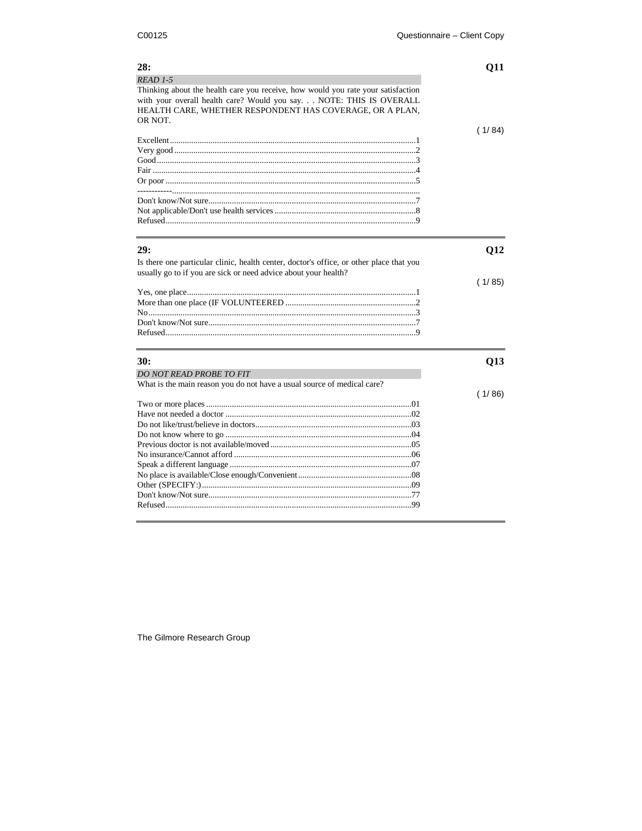$\overline{a}$ 

| 28:                                                                                     | 011    |
|-----------------------------------------------------------------------------------------|--------|
| $READ$ 1-5                                                                              |        |
| Thinking about the health care you receive, how would you rate your satisfaction        |        |
| with your overall health care? Would you say. NOTE: THIS IS OVERALL                     |        |
| HEALTH CARE, WHETHER RESPONDENT HAS COVERAGE, OR A PLAN,                                |        |
| OR NOT.                                                                                 |        |
|                                                                                         | (1/84) |
|                                                                                         |        |
|                                                                                         |        |
|                                                                                         |        |
|                                                                                         |        |
|                                                                                         |        |
|                                                                                         |        |
|                                                                                         |        |
|                                                                                         |        |
|                                                                                         |        |
| 29:                                                                                     | Q12    |
| Is there one particular clinic, health center, doctor's office, or other place that you |        |
| usually go to if you are sick or need advice about your health?                         |        |
|                                                                                         | (1/85) |
|                                                                                         |        |
|                                                                                         |        |
|                                                                                         |        |
|                                                                                         |        |
|                                                                                         |        |
| 30:                                                                                     | Q13    |
| DO NOT READ PROBE TO FIT                                                                |        |
| What is the main reason you do not have a usual source of medical care?                 |        |
|                                                                                         | (1/86) |
|                                                                                         |        |
|                                                                                         |        |
|                                                                                         |        |
|                                                                                         |        |
|                                                                                         |        |
|                                                                                         |        |
|                                                                                         |        |
|                                                                                         |        |
|                                                                                         |        |
|                                                                                         |        |
|                                                                                         |        |
|                                                                                         |        |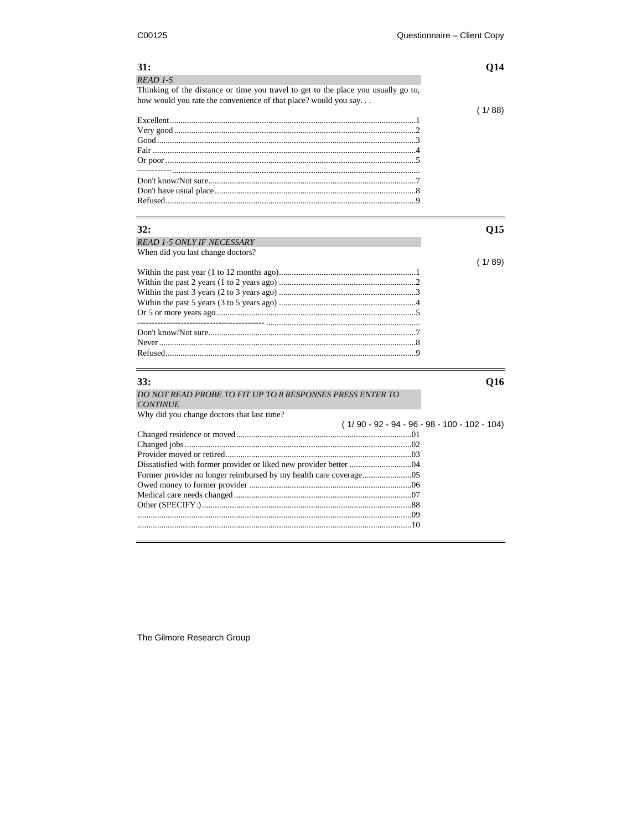| <b>31:</b><br>$READ$ 1-5<br>Thinking of the distance or time you travel to get to the place you usually go to, | Q14                                            |
|----------------------------------------------------------------------------------------------------------------|------------------------------------------------|
| how would you rate the convenience of that place? would you say                                                |                                                |
|                                                                                                                | (1/88)                                         |
|                                                                                                                |                                                |
| 32:                                                                                                            | Q15                                            |
| <b>READ 1-5 ONLY IF NECESSARY</b>                                                                              |                                                |
| When did you last change doctors?                                                                              |                                                |
|                                                                                                                | (1/89)                                         |
|                                                                                                                |                                                |
| 33:                                                                                                            | Q16                                            |
| DO NOT READ PROBE TO FIT UP TO 8 RESPONSES PRESS ENTER TO<br><b>CONTINUE</b>                                   |                                                |
| Why did you change doctors that last time?                                                                     |                                                |
|                                                                                                                | $(1/90 - 92 - 94 - 96 - 98 - 100 - 102 - 104)$ |
|                                                                                                                |                                                |
|                                                                                                                |                                                |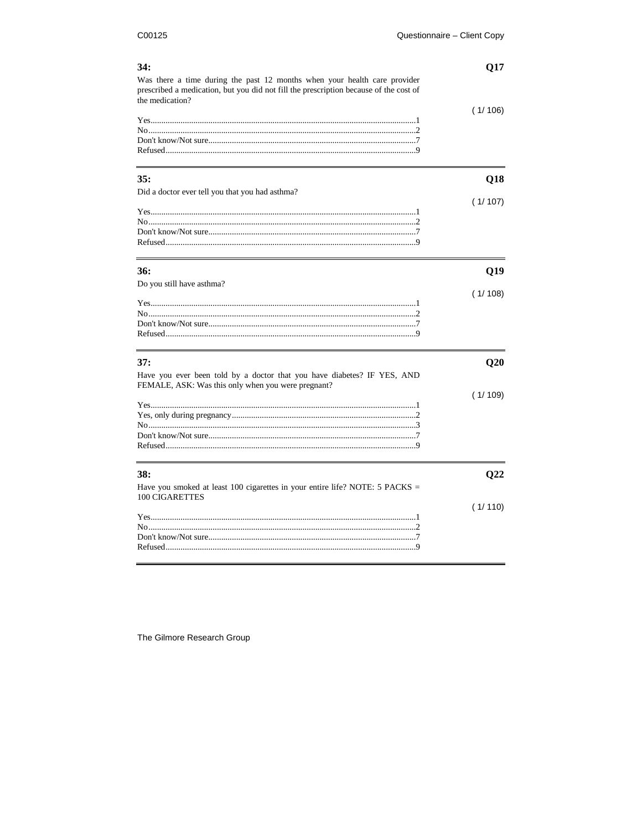$\overline{\phantom{0}}$ 

| 34:                                                                                                                                                                                   | Q17     |
|---------------------------------------------------------------------------------------------------------------------------------------------------------------------------------------|---------|
| Was there a time during the past 12 months when your health care provider<br>prescribed a medication, but you did not fill the prescription because of the cost of<br>the medication? |         |
|                                                                                                                                                                                       | (1/106) |
|                                                                                                                                                                                       |         |
|                                                                                                                                                                                       |         |
|                                                                                                                                                                                       |         |
| 35:                                                                                                                                                                                   | Q18     |
| Did a doctor ever tell you that you had asthma?                                                                                                                                       |         |
|                                                                                                                                                                                       | (1/107) |
|                                                                                                                                                                                       |         |
|                                                                                                                                                                                       |         |
| 36:                                                                                                                                                                                   | Q19     |
| Do you still have asthma?                                                                                                                                                             |         |
|                                                                                                                                                                                       | (1/108) |
|                                                                                                                                                                                       |         |
|                                                                                                                                                                                       |         |
|                                                                                                                                                                                       |         |
| 37:                                                                                                                                                                                   | Q20     |
| Have you ever been told by a doctor that you have diabetes? IF YES, AND                                                                                                               |         |
| FEMALE, ASK: Was this only when you were pregnant?                                                                                                                                    |         |
|                                                                                                                                                                                       | (1/109) |
|                                                                                                                                                                                       |         |
|                                                                                                                                                                                       |         |
|                                                                                                                                                                                       |         |
|                                                                                                                                                                                       |         |
| 38:                                                                                                                                                                                   | O22     |
| Have you smoked at least 100 cigarettes in your entire life? NOTE: 5 PACKS =                                                                                                          |         |
| <b>100 CIGARETTES</b>                                                                                                                                                                 |         |
|                                                                                                                                                                                       |         |
|                                                                                                                                                                                       |         |
|                                                                                                                                                                                       |         |
|                                                                                                                                                                                       | (1/110) |

The Gilmore Research Group

 $\equiv$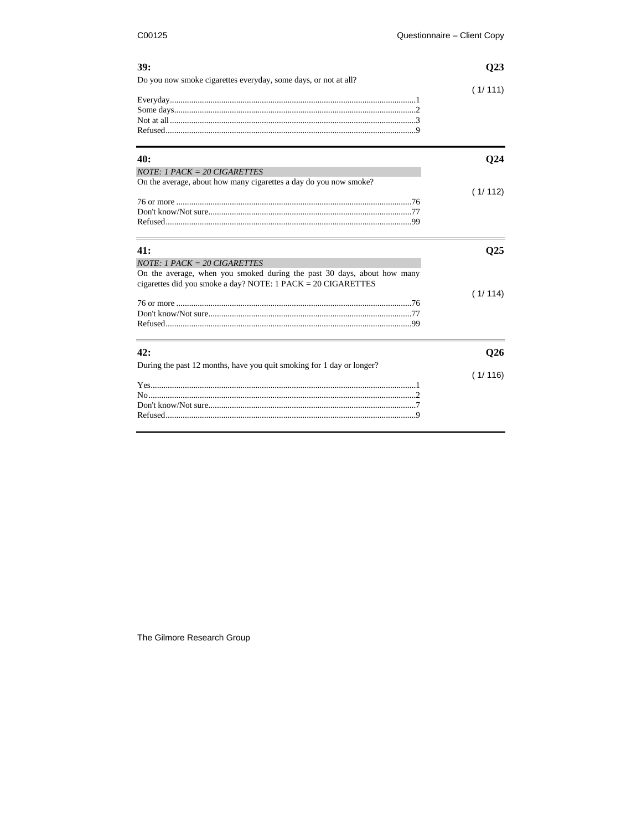| 39:<br>Do you now smoke cigarettes everyday, some days, or not at all?                                                                                                            | Q23        |  |
|-----------------------------------------------------------------------------------------------------------------------------------------------------------------------------------|------------|--|
|                                                                                                                                                                                   |            |  |
|                                                                                                                                                                                   | (1/111)    |  |
| 40:                                                                                                                                                                               | <b>O24</b> |  |
| $NOTE: 1$ $PACK = 20$ $CIGARETTES$                                                                                                                                                |            |  |
| On the average, about how many cigarettes a day do you now smoke?                                                                                                                 |            |  |
|                                                                                                                                                                                   | (1/112)    |  |
| 41:                                                                                                                                                                               | <b>O25</b> |  |
|                                                                                                                                                                                   |            |  |
| $NOTE: 1$ $PACK = 20$ $CIGARETTES$<br>On the average, when you smoked during the past 30 days, about how many<br>cigarettes did you smoke a day? NOTE: $1$ PACK = $20$ CIGARETTES |            |  |
|                                                                                                                                                                                   | (1/114)    |  |
| 42:                                                                                                                                                                               | Q26        |  |
| During the past 12 months, have you quit smoking for 1 day or longer?                                                                                                             |            |  |
|                                                                                                                                                                                   | (1/116)    |  |
|                                                                                                                                                                                   |            |  |
|                                                                                                                                                                                   |            |  |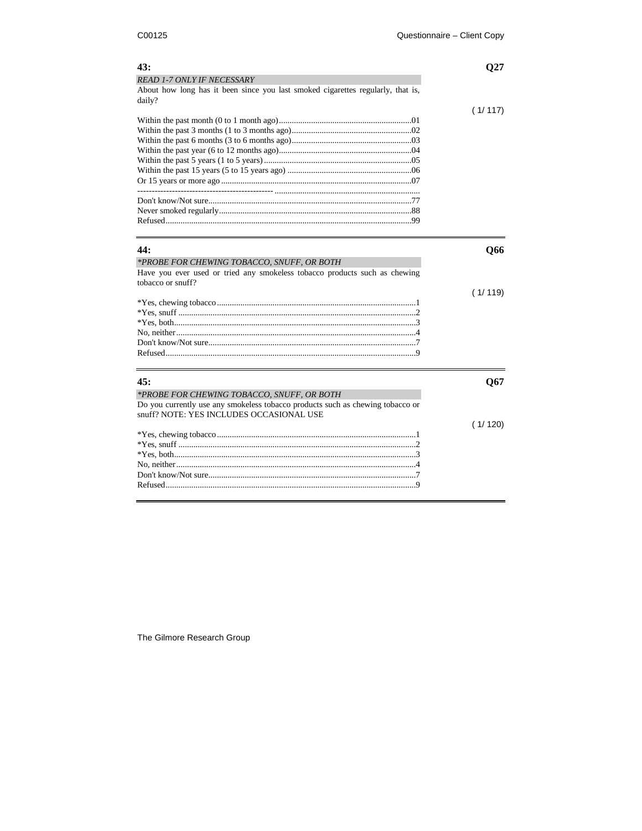| 43:<br><b>READ 1-7 ONLY IF NECESSARY</b><br>About how long has it been since you last smoked cigarettes regularly, that is,<br>daily?                                    | O27     |
|--------------------------------------------------------------------------------------------------------------------------------------------------------------------------|---------|
|                                                                                                                                                                          | (1/117) |
|                                                                                                                                                                          |         |
| 44:                                                                                                                                                                      | Q66     |
| *PROBE FOR CHEWING TOBACCO, SNUFF, OR BOTH<br>Have you ever used or tried any smokeless tobacco products such as chewing<br>tobacco or snuff?                            |         |
|                                                                                                                                                                          | (1/119) |
| 45:                                                                                                                                                                      | Q67     |
| *PROBE FOR CHEWING TOBACCO, SNUFF, OR BOTH<br>Do you currently use any smokeless tobacco products such as chewing tobacco or<br>snuff? NOTE: YES INCLUDES OCCASIONAL USE |         |
|                                                                                                                                                                          | (1/120) |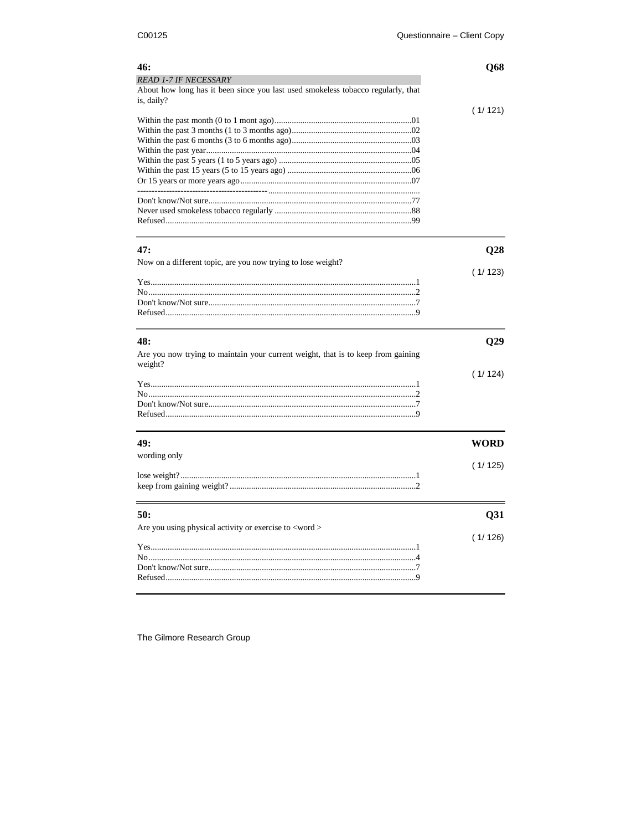| 46:                                                                                            | Q68     |
|------------------------------------------------------------------------------------------------|---------|
| <b>READ 1-7 IF NECESSARY</b>                                                                   |         |
| About how long has it been since you last used smokeless tobacco regularly, that<br>is, daily? |         |
|                                                                                                | (1/121) |
|                                                                                                |         |
|                                                                                                |         |
|                                                                                                |         |
|                                                                                                |         |
|                                                                                                |         |
|                                                                                                |         |
|                                                                                                |         |
|                                                                                                |         |
|                                                                                                |         |
| 47:                                                                                            | Q28     |
| Now on a different topic, are you now trying to lose weight?                                   |         |
|                                                                                                | (1/123) |
|                                                                                                |         |
|                                                                                                |         |
|                                                                                                |         |
|                                                                                                |         |
| 48:                                                                                            |         |
|                                                                                                | Q29     |
| Are you now trying to maintain your current weight, that is to keep from gaining<br>weight?    |         |
|                                                                                                | (1/124) |
|                                                                                                |         |
|                                                                                                |         |
|                                                                                                |         |
|                                                                                                |         |
| 49:                                                                                            | WORD    |
| wording only                                                                                   |         |
|                                                                                                | (1/125) |
|                                                                                                |         |
|                                                                                                |         |
| 50:                                                                                            | Q31     |
| Are you using physical activity or exercise to <word></word>                                   |         |
|                                                                                                | (1/126) |
|                                                                                                |         |
|                                                                                                |         |
|                                                                                                |         |
|                                                                                                |         |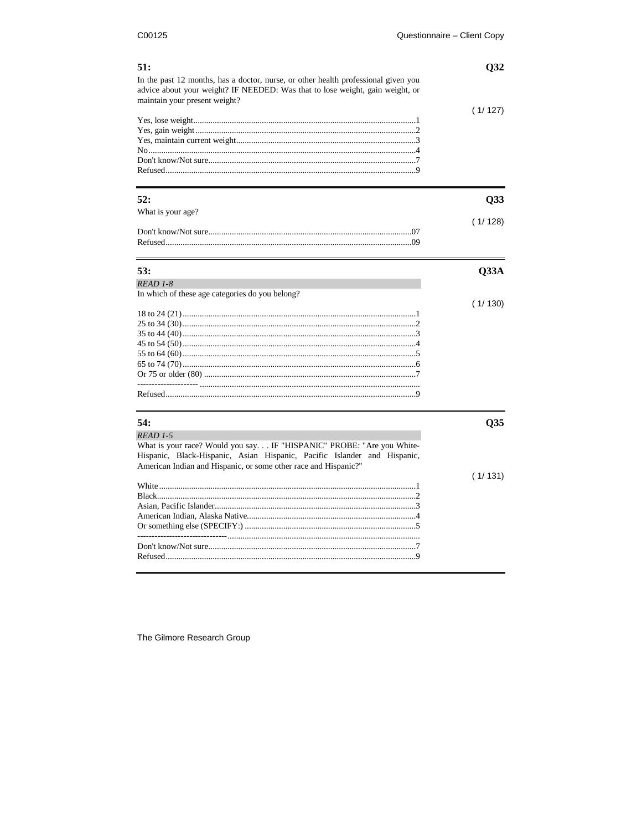| 51:<br>In the past 12 months, has a doctor, nurse, or other health professional given you<br>advice about your weight? IF NEEDED: Was that to lose weight, gain weight, or                                            | Q <sub>32</sub> |
|-----------------------------------------------------------------------------------------------------------------------------------------------------------------------------------------------------------------------|-----------------|
| maintain your present weight?                                                                                                                                                                                         | (1/127)         |
| 52:                                                                                                                                                                                                                   | Q33             |
| What is your age?                                                                                                                                                                                                     |                 |
|                                                                                                                                                                                                                       | (1/128)         |
| 53:                                                                                                                                                                                                                   | Q33A            |
| READ 1-8                                                                                                                                                                                                              |                 |
| In which of these age categories do you belong?                                                                                                                                                                       |                 |
|                                                                                                                                                                                                                       | (1/130)         |
|                                                                                                                                                                                                                       |                 |
|                                                                                                                                                                                                                       |                 |
|                                                                                                                                                                                                                       |                 |
|                                                                                                                                                                                                                       |                 |
|                                                                                                                                                                                                                       |                 |
|                                                                                                                                                                                                                       |                 |
|                                                                                                                                                                                                                       |                 |
|                                                                                                                                                                                                                       |                 |
| 54:                                                                                                                                                                                                                   | Q <sub>35</sub> |
| READ 1-5                                                                                                                                                                                                              |                 |
| What is your race? Would you say. IF "HISPANIC" PROBE: "Are you White-<br>Hispanic, Black-Hispanic, Asian Hispanic, Pacific Islander and Hispanic,<br>American Indian and Hispanic, or some other race and Hispanic?" |                 |
|                                                                                                                                                                                                                       | (1/131)         |
|                                                                                                                                                                                                                       |                 |
|                                                                                                                                                                                                                       |                 |
|                                                                                                                                                                                                                       |                 |
|                                                                                                                                                                                                                       |                 |
|                                                                                                                                                                                                                       |                 |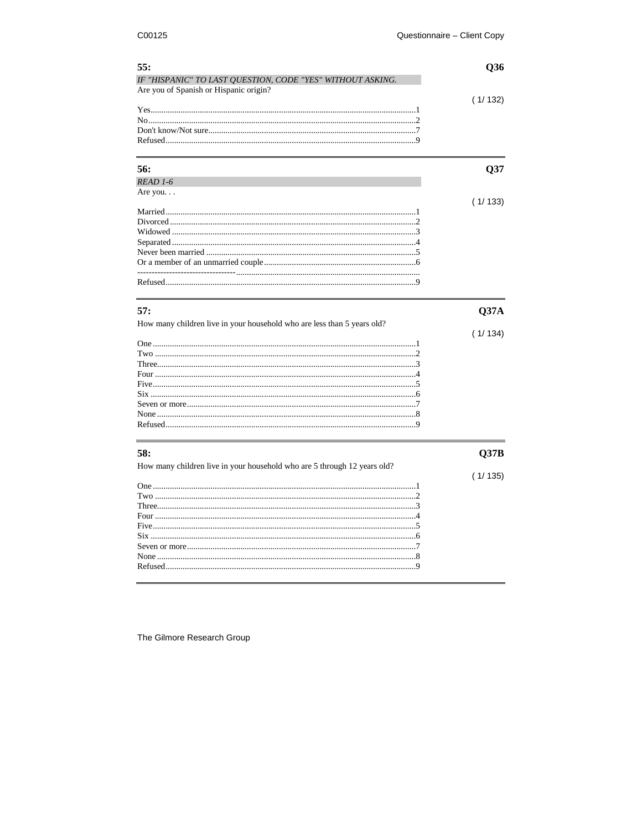| 55:                                                                                                  | Q36     |
|------------------------------------------------------------------------------------------------------|---------|
| IF "HISPANIC" TO LAST QUESTION, CODE "YES" WITHOUT ASKING.<br>Are you of Spanish or Hispanic origin? |         |
|                                                                                                      |         |
|                                                                                                      | (1/132) |
|                                                                                                      |         |
|                                                                                                      |         |
|                                                                                                      |         |
|                                                                                                      |         |
|                                                                                                      |         |
|                                                                                                      |         |
| 56:                                                                                                  | Q37     |
| READ 1-6                                                                                             |         |
| Are you. $\ldots$                                                                                    |         |
|                                                                                                      | (1/133) |
|                                                                                                      |         |
|                                                                                                      |         |
|                                                                                                      |         |
|                                                                                                      |         |
|                                                                                                      |         |
|                                                                                                      |         |
|                                                                                                      |         |
|                                                                                                      |         |
|                                                                                                      |         |
|                                                                                                      |         |
| 57:                                                                                                  | Q37A    |
| How many children live in your household who are less than 5 years old?                              |         |
|                                                                                                      | (1/134) |
|                                                                                                      |         |
|                                                                                                      |         |
|                                                                                                      |         |
|                                                                                                      |         |
|                                                                                                      |         |
|                                                                                                      |         |
|                                                                                                      |         |
|                                                                                                      |         |
|                                                                                                      |         |
|                                                                                                      |         |
| 58:                                                                                                  |         |
|                                                                                                      | Q37B    |
| How many children live in your household who are 5 through 12 years old?                             |         |
|                                                                                                      | (1/135) |
|                                                                                                      |         |
|                                                                                                      |         |
|                                                                                                      |         |
|                                                                                                      |         |
|                                                                                                      |         |
|                                                                                                      |         |
|                                                                                                      |         |
|                                                                                                      |         |
|                                                                                                      |         |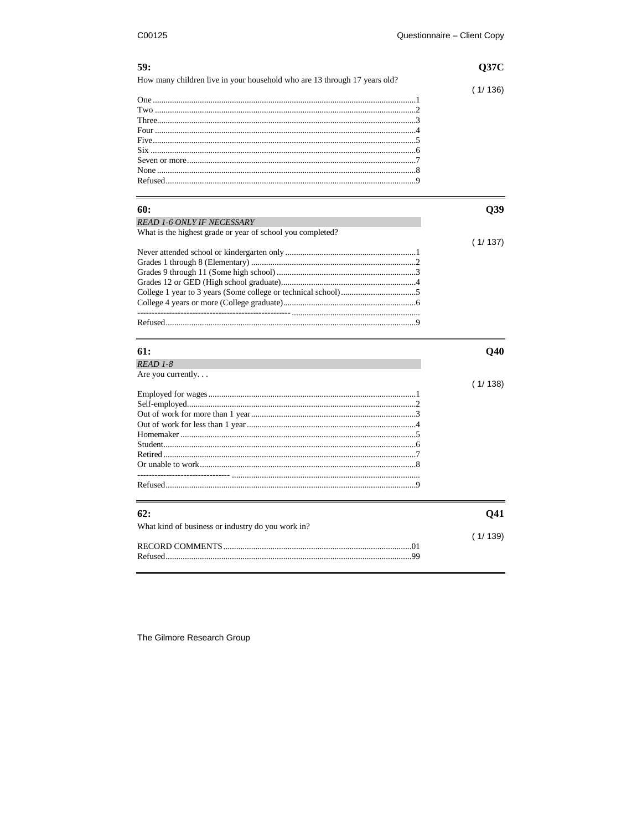| 59:                                                                       | Q37C                                  |
|---------------------------------------------------------------------------|---------------------------------------|
| How many children live in your household who are 13 through 17 years old? | (1/136)                               |
|                                                                           |                                       |
|                                                                           |                                       |
|                                                                           |                                       |
|                                                                           |                                       |
|                                                                           |                                       |
|                                                                           |                                       |
|                                                                           |                                       |
|                                                                           |                                       |
|                                                                           |                                       |
| 60:                                                                       | Q39                                   |
| <b>READ 1-6 ONLY IF NECESSARY</b>                                         |                                       |
| What is the highest grade or year of school you completed?                |                                       |
|                                                                           |                                       |
|                                                                           | (1/137)                               |
|                                                                           |                                       |
|                                                                           |                                       |
|                                                                           |                                       |
|                                                                           |                                       |
|                                                                           |                                       |
|                                                                           |                                       |
|                                                                           |                                       |
|                                                                           |                                       |
| 61:                                                                       | Q40                                   |
| READ 1-8                                                                  |                                       |
| Are you currently                                                         |                                       |
|                                                                           |                                       |
|                                                                           |                                       |
|                                                                           |                                       |
|                                                                           |                                       |
|                                                                           |                                       |
|                                                                           |                                       |
|                                                                           |                                       |
|                                                                           |                                       |
|                                                                           |                                       |
|                                                                           |                                       |
| 62:                                                                       |                                       |
|                                                                           |                                       |
| What kind of business or industry do you work in?                         |                                       |
|                                                                           | (1/138)<br>Q <sub>41</sub><br>(1/139) |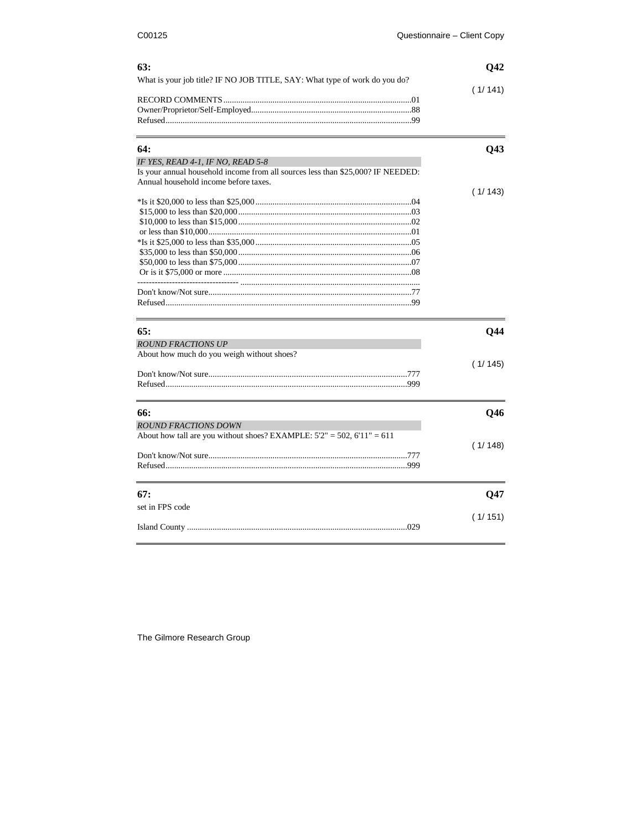| 63:                                                                                                                      | Q42     |
|--------------------------------------------------------------------------------------------------------------------------|---------|
| What is your job title? IF NO JOB TITLE, SAY: What type of work do you do?                                               |         |
|                                                                                                                          | (1/141) |
|                                                                                                                          |         |
|                                                                                                                          |         |
|                                                                                                                          |         |
| 64:                                                                                                                      | Q43     |
| IF YES, READ 4-1, IF NO, READ 5-8                                                                                        |         |
| Is your annual household income from all sources less than \$25,000? IF NEEDED:<br>Annual household income before taxes. |         |
|                                                                                                                          | (1/143) |
|                                                                                                                          |         |
|                                                                                                                          |         |
|                                                                                                                          |         |
|                                                                                                                          |         |
|                                                                                                                          |         |
|                                                                                                                          |         |
|                                                                                                                          |         |
|                                                                                                                          |         |
|                                                                                                                          |         |
|                                                                                                                          |         |
| 65:                                                                                                                      | Q44     |
| <b>ROUND FRACTIONS UP</b>                                                                                                |         |
| About how much do you weigh without shoes?                                                                               |         |
|                                                                                                                          | (1/145) |
|                                                                                                                          |         |
|                                                                                                                          |         |
| 66:                                                                                                                      |         |
|                                                                                                                          | Q46     |
| <b>ROUND FRACTIONS DOWN</b>                                                                                              |         |
| About how tall are you without shoes? EXAMPLE: $5'2" = 502$ , $6'11" = 611$                                              |         |
|                                                                                                                          | (1/148) |
|                                                                                                                          |         |
|                                                                                                                          |         |
| 67:                                                                                                                      | Q47     |
| set in FPS code                                                                                                          |         |
|                                                                                                                          | (1/151) |
|                                                                                                                          |         |
|                                                                                                                          |         |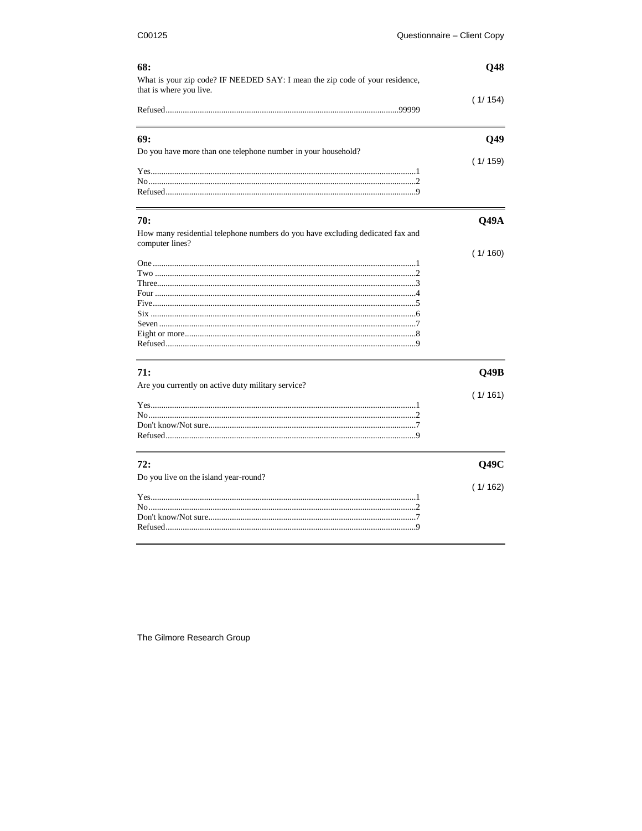| What is your zip code? IF NEEDED SAY: I mean the zip code of your residence,<br>that is where you live.<br>(1/154)<br>Q49<br>(1/159)<br>70:<br>Q49A<br>How many residential telephone numbers do you have excluding dedicated fax and<br>computer lines?<br>(1/160)<br>71:<br>Q49B<br>Are you currently on active duty military service?<br>(1/161)<br>72:<br>Q49C<br>Do you live on the island year-round?<br>(1/162) | 68:                                                           | Q48 |
|------------------------------------------------------------------------------------------------------------------------------------------------------------------------------------------------------------------------------------------------------------------------------------------------------------------------------------------------------------------------------------------------------------------------|---------------------------------------------------------------|-----|
|                                                                                                                                                                                                                                                                                                                                                                                                                        |                                                               |     |
|                                                                                                                                                                                                                                                                                                                                                                                                                        |                                                               |     |
|                                                                                                                                                                                                                                                                                                                                                                                                                        |                                                               |     |
|                                                                                                                                                                                                                                                                                                                                                                                                                        | 69:                                                           |     |
|                                                                                                                                                                                                                                                                                                                                                                                                                        | Do you have more than one telephone number in your household? |     |
|                                                                                                                                                                                                                                                                                                                                                                                                                        |                                                               |     |
|                                                                                                                                                                                                                                                                                                                                                                                                                        |                                                               |     |
|                                                                                                                                                                                                                                                                                                                                                                                                                        |                                                               |     |
|                                                                                                                                                                                                                                                                                                                                                                                                                        |                                                               |     |
|                                                                                                                                                                                                                                                                                                                                                                                                                        |                                                               |     |
|                                                                                                                                                                                                                                                                                                                                                                                                                        |                                                               |     |
|                                                                                                                                                                                                                                                                                                                                                                                                                        |                                                               |     |
|                                                                                                                                                                                                                                                                                                                                                                                                                        |                                                               |     |
|                                                                                                                                                                                                                                                                                                                                                                                                                        |                                                               |     |
|                                                                                                                                                                                                                                                                                                                                                                                                                        |                                                               |     |
|                                                                                                                                                                                                                                                                                                                                                                                                                        |                                                               |     |
|                                                                                                                                                                                                                                                                                                                                                                                                                        |                                                               |     |
|                                                                                                                                                                                                                                                                                                                                                                                                                        |                                                               |     |
|                                                                                                                                                                                                                                                                                                                                                                                                                        |                                                               |     |
|                                                                                                                                                                                                                                                                                                                                                                                                                        |                                                               |     |
|                                                                                                                                                                                                                                                                                                                                                                                                                        |                                                               |     |
|                                                                                                                                                                                                                                                                                                                                                                                                                        |                                                               |     |
|                                                                                                                                                                                                                                                                                                                                                                                                                        |                                                               |     |
|                                                                                                                                                                                                                                                                                                                                                                                                                        |                                                               |     |
|                                                                                                                                                                                                                                                                                                                                                                                                                        |                                                               |     |
|                                                                                                                                                                                                                                                                                                                                                                                                                        |                                                               |     |
|                                                                                                                                                                                                                                                                                                                                                                                                                        |                                                               |     |
|                                                                                                                                                                                                                                                                                                                                                                                                                        |                                                               |     |
|                                                                                                                                                                                                                                                                                                                                                                                                                        |                                                               |     |
|                                                                                                                                                                                                                                                                                                                                                                                                                        |                                                               |     |
|                                                                                                                                                                                                                                                                                                                                                                                                                        |                                                               |     |
|                                                                                                                                                                                                                                                                                                                                                                                                                        |                                                               |     |
|                                                                                                                                                                                                                                                                                                                                                                                                                        |                                                               |     |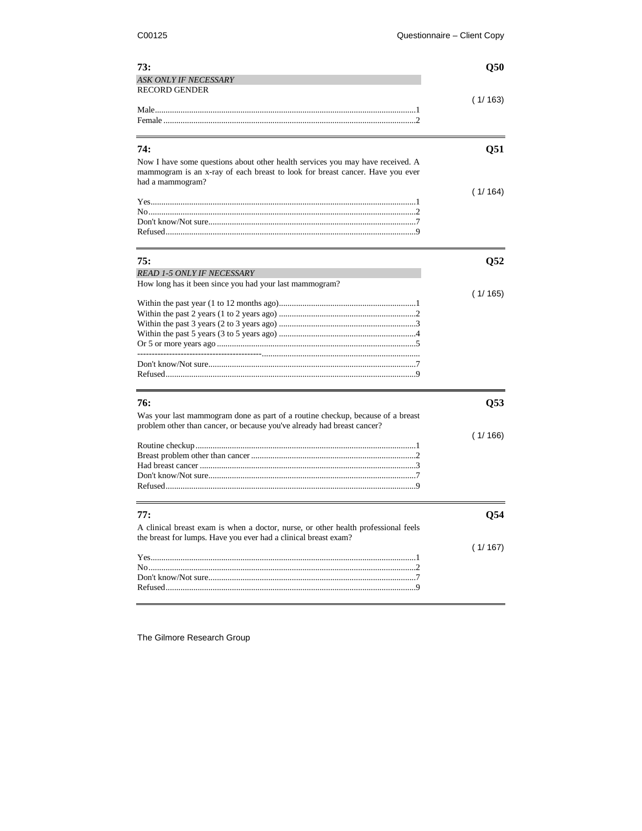| 73:                          | O50     |
|------------------------------|---------|
| <b>ASK ONLY IF NECESSARY</b> |         |
| <b>RECORD GENDER</b>         |         |
|                              | (1/163) |
|                              |         |
|                              |         |
|                              |         |
| 74:                          | 051     |

| Now I have some questions about other health services you may have received. A<br>mammogram is an x-ray of each breast to look for breast cancer. Have you ever<br>had a mammogram? |         |
|-------------------------------------------------------------------------------------------------------------------------------------------------------------------------------------|---------|
|                                                                                                                                                                                     | (1/164) |
|                                                                                                                                                                                     |         |
|                                                                                                                                                                                     |         |
|                                                                                                                                                                                     |         |
|                                                                                                                                                                                     |         |

| 75:                                                     |          |
|---------------------------------------------------------|----------|
| <b>READ 1-5 ONLY IF NECESSARY</b>                       |          |
| How long has it been since you had your last mammogram? |          |
|                                                         | (1/ 165) |
|                                                         |          |
|                                                         |          |
|                                                         |          |
|                                                         |          |
|                                                         |          |
|                                                         |          |
|                                                         |          |
|                                                         |          |

| 76:                                                                                                                                                       | 053   |
|-----------------------------------------------------------------------------------------------------------------------------------------------------------|-------|
| Was your last mammogram done as part of a routine checkup, because of a breast<br>problem other than cancer, or because you've already had breast cancer? |       |
|                                                                                                                                                           | 1/166 |
|                                                                                                                                                           |       |
|                                                                                                                                                           |       |
|                                                                                                                                                           |       |
|                                                                                                                                                           |       |
|                                                                                                                                                           |       |
|                                                                                                                                                           |       |
|                                                                                                                                                           |       |
| 77:                                                                                                                                                       | 054   |
|                                                                                                                                                           |       |
| A clinical breast exam is when a doctor, nurse, or other health professional feels<br>the breast for lumps. Have you ever had a clinical breast exam?     |       |
|                                                                                                                                                           | 1/167 |
|                                                                                                                                                           |       |
|                                                                                                                                                           |       |
|                                                                                                                                                           |       |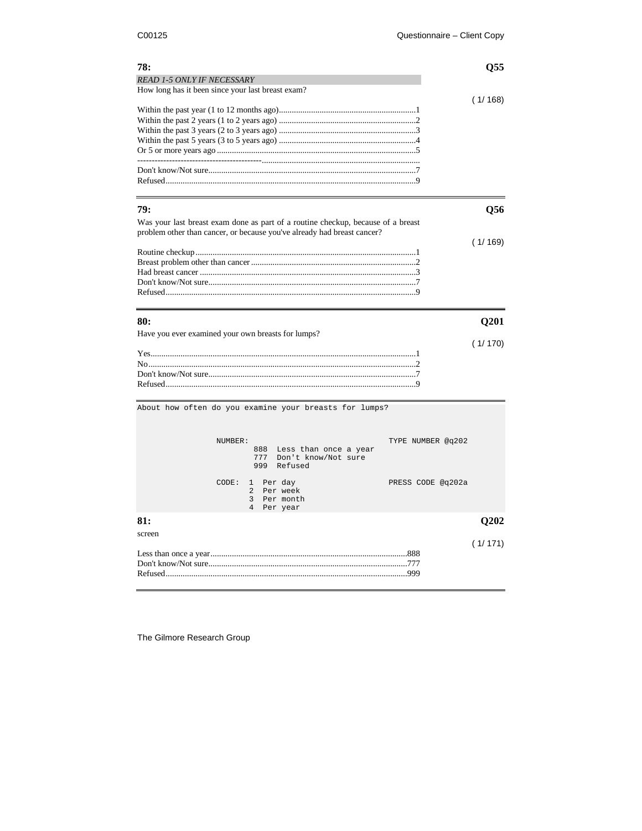| (1/168)<br>79:<br><b>O56</b><br>Was your last breast exam done as part of a routine checkup, because of a breast<br>problem other than cancer, or because you've already had breast cancer?<br>(1/169)<br>80:<br><b>O201</b><br>(1/170) | 78:                                                | <b>O55</b> |
|-----------------------------------------------------------------------------------------------------------------------------------------------------------------------------------------------------------------------------------------|----------------------------------------------------|------------|
|                                                                                                                                                                                                                                         | <b>READ 1-5 ONLY IF NECESSARY</b>                  |            |
|                                                                                                                                                                                                                                         | How long has it been since your last breast exam?  |            |
|                                                                                                                                                                                                                                         |                                                    |            |
|                                                                                                                                                                                                                                         |                                                    |            |
|                                                                                                                                                                                                                                         |                                                    |            |
|                                                                                                                                                                                                                                         |                                                    |            |
|                                                                                                                                                                                                                                         |                                                    |            |
|                                                                                                                                                                                                                                         |                                                    |            |
|                                                                                                                                                                                                                                         |                                                    |            |
|                                                                                                                                                                                                                                         |                                                    |            |
|                                                                                                                                                                                                                                         |                                                    |            |
|                                                                                                                                                                                                                                         |                                                    |            |
|                                                                                                                                                                                                                                         |                                                    |            |
|                                                                                                                                                                                                                                         |                                                    |            |
|                                                                                                                                                                                                                                         |                                                    |            |
|                                                                                                                                                                                                                                         |                                                    |            |
|                                                                                                                                                                                                                                         |                                                    |            |
|                                                                                                                                                                                                                                         |                                                    |            |
|                                                                                                                                                                                                                                         |                                                    |            |
|                                                                                                                                                                                                                                         |                                                    |            |
|                                                                                                                                                                                                                                         |                                                    |            |
|                                                                                                                                                                                                                                         |                                                    |            |
|                                                                                                                                                                                                                                         | Have you ever examined your own breasts for lumps? |            |
|                                                                                                                                                                                                                                         |                                                    |            |
|                                                                                                                                                                                                                                         |                                                    |            |
|                                                                                                                                                                                                                                         |                                                    |            |

About how often do you examine your breasts for lumps?

|                    | NUMBER: | TYPE NUMBER @q202<br>888 Less than once a year<br>777 Don't know/Not sure<br>999<br>Refused       |         |
|--------------------|---------|---------------------------------------------------------------------------------------------------|---------|
|                    |         | $CODE: 1$ Per day<br>PRESS CODE @q202a<br>2 Per week<br>3 Per month<br>$\overline{4}$<br>Per year |         |
| 81:                |         |                                                                                                   | O202    |
| screen<br>Refused. |         | .777<br>.999                                                                                      | (1/171) |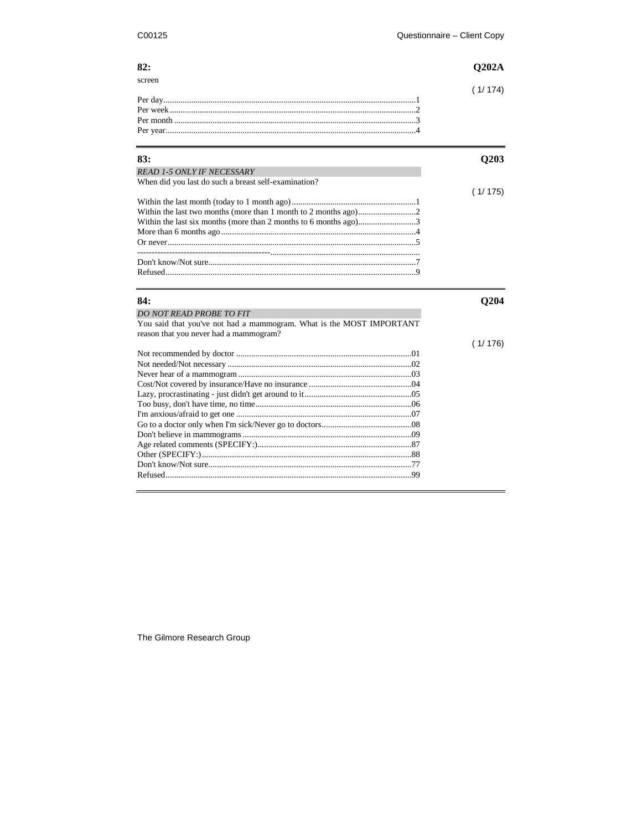| screen |  |
|--------|--|
|        |  |
|        |  |
|        |  |
|        |  |
|        |  |

| 83:                                                                  | Q203    |
|----------------------------------------------------------------------|---------|
| <b>READ 1-5 ONLY IF NECESSARY</b>                                    |         |
| When did you last do such a breast self-examination?                 |         |
|                                                                      | (1/175) |
|                                                                      |         |
|                                                                      |         |
|                                                                      |         |
|                                                                      |         |
|                                                                      |         |
|                                                                      |         |
|                                                                      |         |
|                                                                      |         |
| 84:                                                                  | Q204    |
| <b>DO NOT READ PROBE TO FIT</b>                                      |         |
| You said that you've not had a mammogram. What is the MOST IMPORTANT |         |
| reason that you never had a mammogram?                               |         |
|                                                                      | (1/176) |
|                                                                      |         |
|                                                                      |         |
|                                                                      |         |
|                                                                      |         |
|                                                                      |         |
|                                                                      |         |
|                                                                      |         |
|                                                                      |         |
|                                                                      |         |
|                                                                      |         |
|                                                                      |         |
|                                                                      |         |
|                                                                      |         |
|                                                                      |         |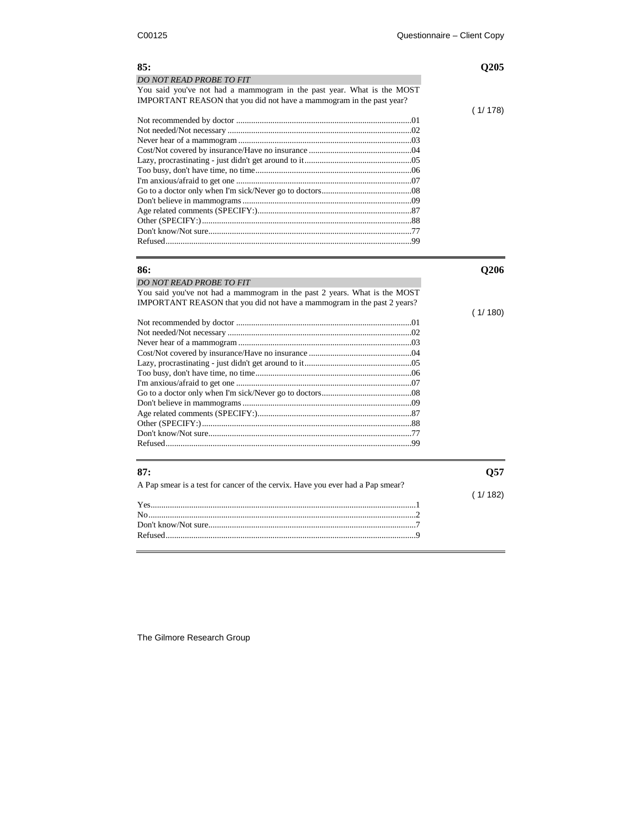| DO NOT READ PROBE TO FIT<br>You said you've not had a mammogram in the past year. What is the MOST<br>IMPORTANT REASON that you did not have a mammogram in the past year?<br>(1/178)<br>86:<br>Q206<br><b>DO NOT READ PROBE TO FIT</b><br>You said you've not had a mammogram in the past 2 years. What is the MOST<br>IMPORTANT REASON that you did not have a mammogram in the past 2 years?<br>(1/180)<br>87:<br>Q57<br>A Pap smear is a test for cancer of the cervix. Have you ever had a Pap smear?<br>(1/182) | 85: | Q205 |
|-----------------------------------------------------------------------------------------------------------------------------------------------------------------------------------------------------------------------------------------------------------------------------------------------------------------------------------------------------------------------------------------------------------------------------------------------------------------------------------------------------------------------|-----|------|
|                                                                                                                                                                                                                                                                                                                                                                                                                                                                                                                       |     |      |
|                                                                                                                                                                                                                                                                                                                                                                                                                                                                                                                       |     |      |
|                                                                                                                                                                                                                                                                                                                                                                                                                                                                                                                       |     |      |
|                                                                                                                                                                                                                                                                                                                                                                                                                                                                                                                       |     |      |
|                                                                                                                                                                                                                                                                                                                                                                                                                                                                                                                       |     |      |
|                                                                                                                                                                                                                                                                                                                                                                                                                                                                                                                       |     |      |
|                                                                                                                                                                                                                                                                                                                                                                                                                                                                                                                       |     |      |
|                                                                                                                                                                                                                                                                                                                                                                                                                                                                                                                       |     |      |
|                                                                                                                                                                                                                                                                                                                                                                                                                                                                                                                       |     |      |
|                                                                                                                                                                                                                                                                                                                                                                                                                                                                                                                       |     |      |
|                                                                                                                                                                                                                                                                                                                                                                                                                                                                                                                       |     |      |
|                                                                                                                                                                                                                                                                                                                                                                                                                                                                                                                       |     |      |
|                                                                                                                                                                                                                                                                                                                                                                                                                                                                                                                       |     |      |
|                                                                                                                                                                                                                                                                                                                                                                                                                                                                                                                       |     |      |
|                                                                                                                                                                                                                                                                                                                                                                                                                                                                                                                       |     |      |
|                                                                                                                                                                                                                                                                                                                                                                                                                                                                                                                       |     |      |
|                                                                                                                                                                                                                                                                                                                                                                                                                                                                                                                       |     |      |
|                                                                                                                                                                                                                                                                                                                                                                                                                                                                                                                       |     |      |
|                                                                                                                                                                                                                                                                                                                                                                                                                                                                                                                       |     |      |
|                                                                                                                                                                                                                                                                                                                                                                                                                                                                                                                       |     |      |
|                                                                                                                                                                                                                                                                                                                                                                                                                                                                                                                       |     |      |
|                                                                                                                                                                                                                                                                                                                                                                                                                                                                                                                       |     |      |
|                                                                                                                                                                                                                                                                                                                                                                                                                                                                                                                       |     |      |
|                                                                                                                                                                                                                                                                                                                                                                                                                                                                                                                       |     |      |
|                                                                                                                                                                                                                                                                                                                                                                                                                                                                                                                       |     |      |
|                                                                                                                                                                                                                                                                                                                                                                                                                                                                                                                       |     |      |
|                                                                                                                                                                                                                                                                                                                                                                                                                                                                                                                       |     |      |
|                                                                                                                                                                                                                                                                                                                                                                                                                                                                                                                       |     |      |
|                                                                                                                                                                                                                                                                                                                                                                                                                                                                                                                       |     |      |
|                                                                                                                                                                                                                                                                                                                                                                                                                                                                                                                       |     |      |
|                                                                                                                                                                                                                                                                                                                                                                                                                                                                                                                       |     |      |
|                                                                                                                                                                                                                                                                                                                                                                                                                                                                                                                       |     |      |
|                                                                                                                                                                                                                                                                                                                                                                                                                                                                                                                       |     |      |
|                                                                                                                                                                                                                                                                                                                                                                                                                                                                                                                       |     |      |
|                                                                                                                                                                                                                                                                                                                                                                                                                                                                                                                       |     |      |
|                                                                                                                                                                                                                                                                                                                                                                                                                                                                                                                       |     |      |
|                                                                                                                                                                                                                                                                                                                                                                                                                                                                                                                       |     |      |
|                                                                                                                                                                                                                                                                                                                                                                                                                                                                                                                       |     |      |
|                                                                                                                                                                                                                                                                                                                                                                                                                                                                                                                       |     |      |
|                                                                                                                                                                                                                                                                                                                                                                                                                                                                                                                       |     |      |
|                                                                                                                                                                                                                                                                                                                                                                                                                                                                                                                       |     |      |
|                                                                                                                                                                                                                                                                                                                                                                                                                                                                                                                       |     |      |
|                                                                                                                                                                                                                                                                                                                                                                                                                                                                                                                       |     |      |
|                                                                                                                                                                                                                                                                                                                                                                                                                                                                                                                       |     |      |
|                                                                                                                                                                                                                                                                                                                                                                                                                                                                                                                       |     |      |
|                                                                                                                                                                                                                                                                                                                                                                                                                                                                                                                       |     |      |
|                                                                                                                                                                                                                                                                                                                                                                                                                                                                                                                       |     |      |

Refused.....................................................................................................................9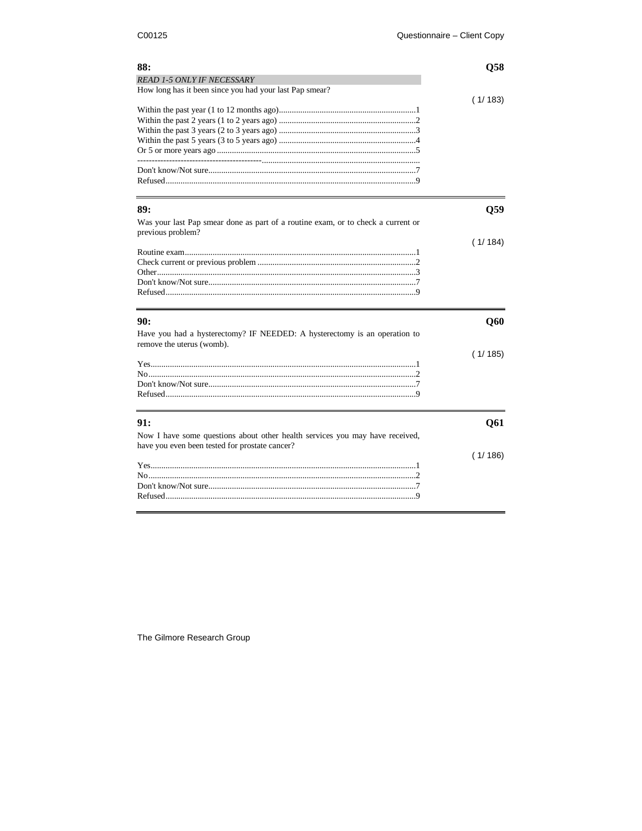| 88:                                                                              | O58     |
|----------------------------------------------------------------------------------|---------|
| <b>READ 1-5 ONLY IF NECESSARY</b>                                                |         |
| How long has it been since you had your last Pap smear?                          |         |
|                                                                                  | (1/183) |
|                                                                                  |         |
|                                                                                  |         |
|                                                                                  |         |
|                                                                                  |         |
|                                                                                  |         |
|                                                                                  |         |
|                                                                                  |         |
|                                                                                  |         |
|                                                                                  |         |
| 89:                                                                              | O59     |
| Was your last Pap smear done as part of a routine exam, or to check a current or |         |
| previous problem?                                                                |         |
|                                                                                  | (1/184) |
|                                                                                  |         |
|                                                                                  |         |
|                                                                                  |         |
|                                                                                  |         |
|                                                                                  |         |
|                                                                                  |         |
|                                                                                  |         |
| 90:                                                                              | Q60     |
| Have you had a hysterectomy? IF NEEDED: A hysterectomy is an operation to        |         |
| remove the uterus (womb).                                                        |         |
|                                                                                  | (1/185) |
|                                                                                  |         |
|                                                                                  |         |
|                                                                                  |         |
|                                                                                  |         |
|                                                                                  |         |
| 91:                                                                              | Q61     |
|                                                                                  |         |
| Now I have some questions about other health services you may have received,     |         |
| have you even been tested for prostate cancer?                                   |         |
|                                                                                  | (1/186) |
|                                                                                  |         |
|                                                                                  |         |
|                                                                                  |         |
|                                                                                  |         |
|                                                                                  |         |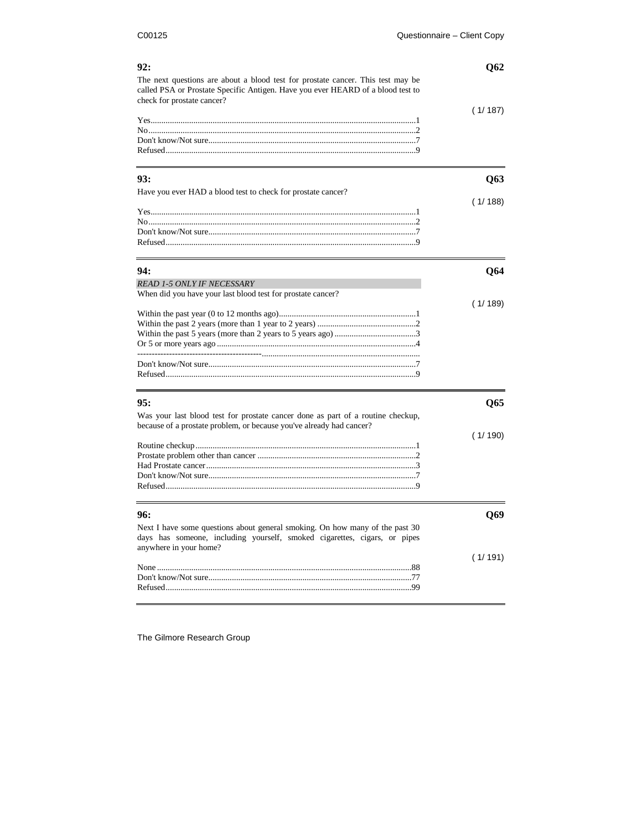| 92:<br>The next questions are about a blood test for prostate cancer. This test may be                        | Q62     |
|---------------------------------------------------------------------------------------------------------------|---------|
| called PSA or Prostate Specific Antigen. Have you ever HEARD of a blood test to<br>check for prostate cancer? |         |
|                                                                                                               | (1/187) |
|                                                                                                               |         |
|                                                                                                               |         |
|                                                                                                               |         |
|                                                                                                               |         |
| 93:                                                                                                           | Q63     |
| Have you ever HAD a blood test to check for prostate cancer?                                                  |         |
|                                                                                                               | (1/188) |
|                                                                                                               |         |
|                                                                                                               |         |
|                                                                                                               |         |
|                                                                                                               |         |
| 94:                                                                                                           | Q64     |
|                                                                                                               |         |
| <b>READ 1-5 ONLY IF NECESSARY</b><br>When did you have your last blood test for prostate cancer?              |         |
|                                                                                                               | (1/189) |
|                                                                                                               |         |
|                                                                                                               |         |
|                                                                                                               |         |
|                                                                                                               |         |
|                                                                                                               |         |
|                                                                                                               |         |
|                                                                                                               |         |
| 95:                                                                                                           |         |
|                                                                                                               | Q65     |
| Was your last blood test for prostate cancer done as part of a routine checkup,                               |         |
| because of a prostate problem, or because you've already had cancer?                                          | (1/190) |
|                                                                                                               |         |
|                                                                                                               |         |
|                                                                                                               |         |
|                                                                                                               |         |
|                                                                                                               |         |
|                                                                                                               |         |
| 96:                                                                                                           | Q69     |
| Next I have some questions about general smoking. On how many of the past 30                                  |         |
| days has someone, including yourself, smoked cigarettes, cigars, or pipes                                     |         |
| anywhere in your home?                                                                                        |         |
|                                                                                                               | (1/191) |
|                                                                                                               |         |
|                                                                                                               |         |
|                                                                                                               |         |

The Gilmore Research Group

 $\overline{a}$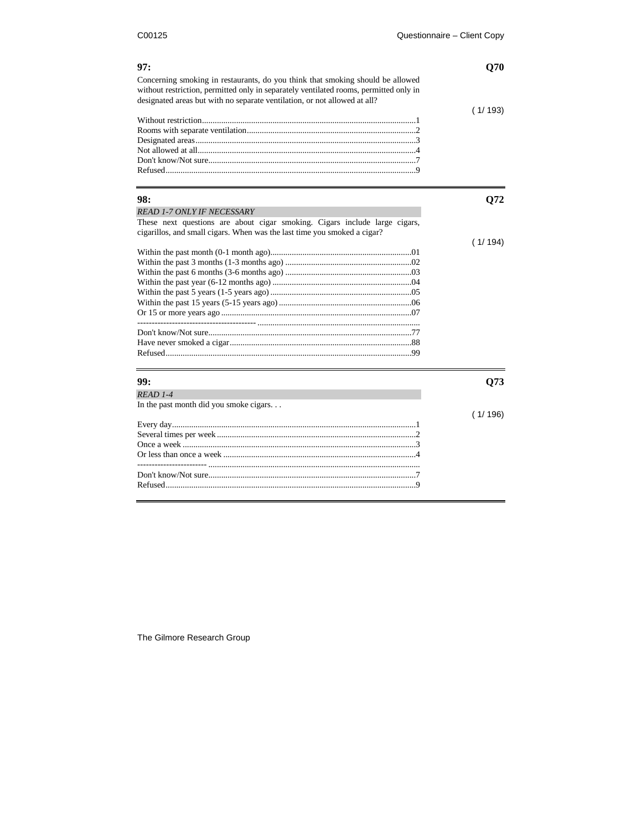| 97:                                                                                                                                                                                                                                                  | <b>O70</b> |
|------------------------------------------------------------------------------------------------------------------------------------------------------------------------------------------------------------------------------------------------------|------------|
| Concerning smoking in restaurants, do you think that smoking should be allowed<br>without restriction, permitted only in separately ventilated rooms, permitted only in<br>designated areas but with no separate ventilation, or not allowed at all? |            |
|                                                                                                                                                                                                                                                      | (1/193)    |
|                                                                                                                                                                                                                                                      |            |
|                                                                                                                                                                                                                                                      |            |
|                                                                                                                                                                                                                                                      |            |
|                                                                                                                                                                                                                                                      |            |
|                                                                                                                                                                                                                                                      |            |
| 98:                                                                                                                                                                                                                                                  | Q72        |
| <b>READ 1-7 ONLY IF NECESSARY</b>                                                                                                                                                                                                                    |            |
| These next questions are about cigar smoking. Cigars include large cigars,<br>cigarillos, and small cigars. When was the last time you smoked a cigar?                                                                                               |            |
|                                                                                                                                                                                                                                                      | (1/194)    |
|                                                                                                                                                                                                                                                      |            |
|                                                                                                                                                                                                                                                      |            |
|                                                                                                                                                                                                                                                      |            |
|                                                                                                                                                                                                                                                      |            |
|                                                                                                                                                                                                                                                      |            |
|                                                                                                                                                                                                                                                      |            |
|                                                                                                                                                                                                                                                      |            |
|                                                                                                                                                                                                                                                      |            |
|                                                                                                                                                                                                                                                      |            |
|                                                                                                                                                                                                                                                      |            |
| 99:                                                                                                                                                                                                                                                  | Q73        |
| $READ$ 1-4                                                                                                                                                                                                                                           |            |
| In the past month did you smoke cigars                                                                                                                                                                                                               |            |
|                                                                                                                                                                                                                                                      | (1/196)    |
|                                                                                                                                                                                                                                                      |            |
|                                                                                                                                                                                                                                                      |            |
|                                                                                                                                                                                                                                                      |            |
|                                                                                                                                                                                                                                                      |            |
|                                                                                                                                                                                                                                                      |            |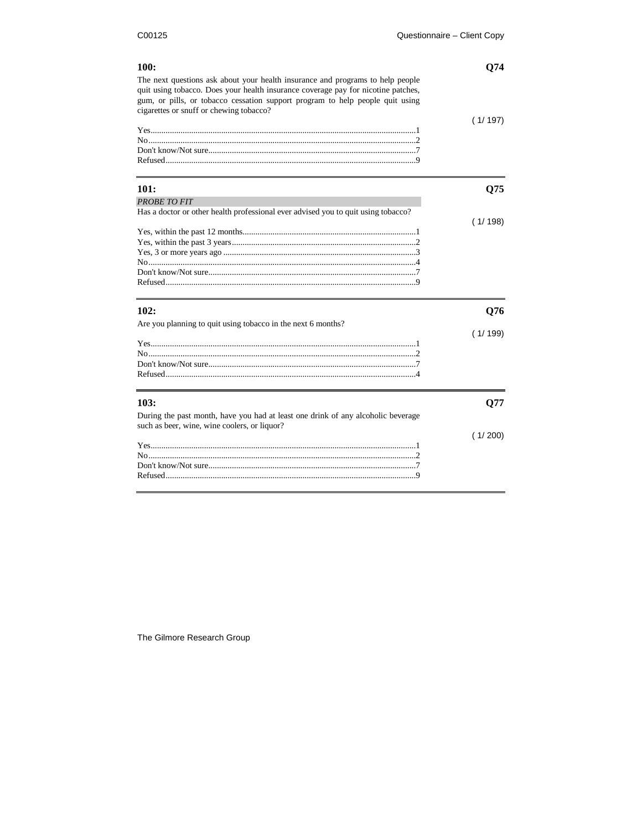| 100:                                                                                                                                                                                                                                                                                            | Q74     |
|-------------------------------------------------------------------------------------------------------------------------------------------------------------------------------------------------------------------------------------------------------------------------------------------------|---------|
| The next questions ask about your health insurance and programs to help people<br>quit using tobacco. Does your health insurance coverage pay for nicotine patches,<br>gum, or pills, or tobacco cessation support program to help people quit using<br>cigarettes or snuff or chewing tobacco? |         |
|                                                                                                                                                                                                                                                                                                 | (1/197) |
|                                                                                                                                                                                                                                                                                                 |         |
|                                                                                                                                                                                                                                                                                                 |         |
|                                                                                                                                                                                                                                                                                                 |         |
| 101:                                                                                                                                                                                                                                                                                            | Q75     |
| <b>PROBETO FIT</b>                                                                                                                                                                                                                                                                              |         |
| Has a doctor or other health professional ever advised you to quit using tobacco?                                                                                                                                                                                                               |         |
|                                                                                                                                                                                                                                                                                                 | (1/198) |
|                                                                                                                                                                                                                                                                                                 |         |
|                                                                                                                                                                                                                                                                                                 |         |
|                                                                                                                                                                                                                                                                                                 |         |
|                                                                                                                                                                                                                                                                                                 |         |
|                                                                                                                                                                                                                                                                                                 |         |
|                                                                                                                                                                                                                                                                                                 |         |
| 102:                                                                                                                                                                                                                                                                                            | Q76     |
| Are you planning to quit using tobacco in the next 6 months?                                                                                                                                                                                                                                    |         |
|                                                                                                                                                                                                                                                                                                 | (1/199) |
|                                                                                                                                                                                                                                                                                                 |         |
|                                                                                                                                                                                                                                                                                                 |         |
|                                                                                                                                                                                                                                                                                                 |         |
|                                                                                                                                                                                                                                                                                                 |         |
| 103:                                                                                                                                                                                                                                                                                            | Q77     |
| During the past month, have you had at least one drink of any alcoholic beverage                                                                                                                                                                                                                |         |
| such as beer, wine, wine coolers, or liquor?                                                                                                                                                                                                                                                    |         |
|                                                                                                                                                                                                                                                                                                 | (1/200) |
|                                                                                                                                                                                                                                                                                                 |         |
|                                                                                                                                                                                                                                                                                                 |         |
|                                                                                                                                                                                                                                                                                                 |         |
|                                                                                                                                                                                                                                                                                                 |         |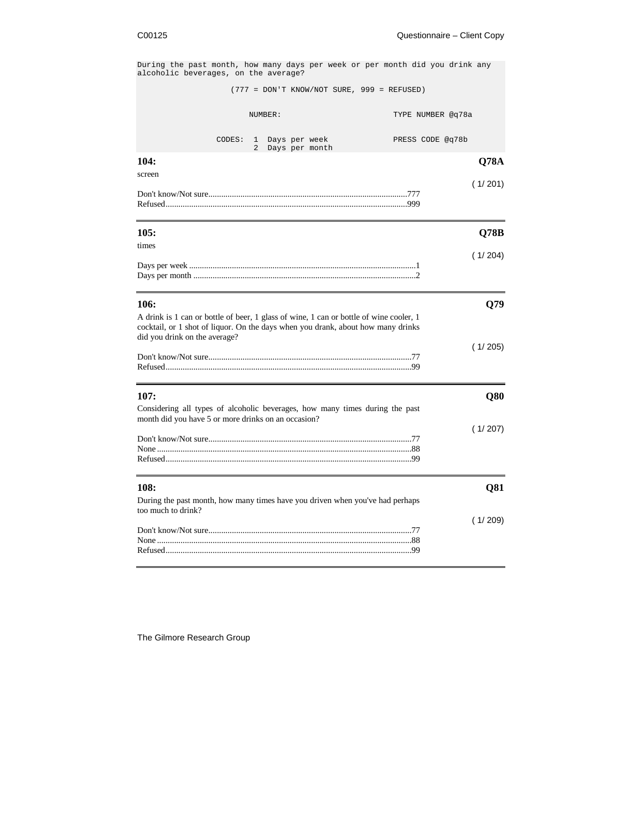During the past month, how many days per week or per month did you drink any alcoholic beverages, on the average?

(777 = DON'T KNOW/NOT SURE, 999 = REFUSED)

| (777 = DON'T KNOW/NOT SURE, 999 = REFUSED)                                                                                                                                                                          |                   |
|---------------------------------------------------------------------------------------------------------------------------------------------------------------------------------------------------------------------|-------------------|
| NUMBER:                                                                                                                                                                                                             | TYPE NUMBER @q78a |
| CODES:<br>Days per week<br>$\mathbf{1}$<br>$\overline{a}$<br>Days per month                                                                                                                                         | PRESS CODE @q78b  |
| 104:<br>screen                                                                                                                                                                                                      | <b>Q78A</b>       |
|                                                                                                                                                                                                                     | (1/201)           |
| 105:<br>times                                                                                                                                                                                                       | Q78B              |
|                                                                                                                                                                                                                     | (1/204)           |
| 106:<br>A drink is 1 can or bottle of beer, 1 glass of wine, 1 can or bottle of wine cooler, 1<br>cocktail, or 1 shot of liquor. On the days when you drank, about how many drinks<br>did you drink on the average? | Q79<br>(1/205)    |
|                                                                                                                                                                                                                     |                   |
| 107:<br>Considering all types of alcoholic beverages, how many times during the past<br>month did you have 5 or more drinks on an occasion?                                                                         | Q80               |
|                                                                                                                                                                                                                     | (1/207)           |
| 108:<br>During the past month, how many times have you driven when you've had perhaps<br>too much to drink?                                                                                                         | Q81               |
|                                                                                                                                                                                                                     | (1/209)           |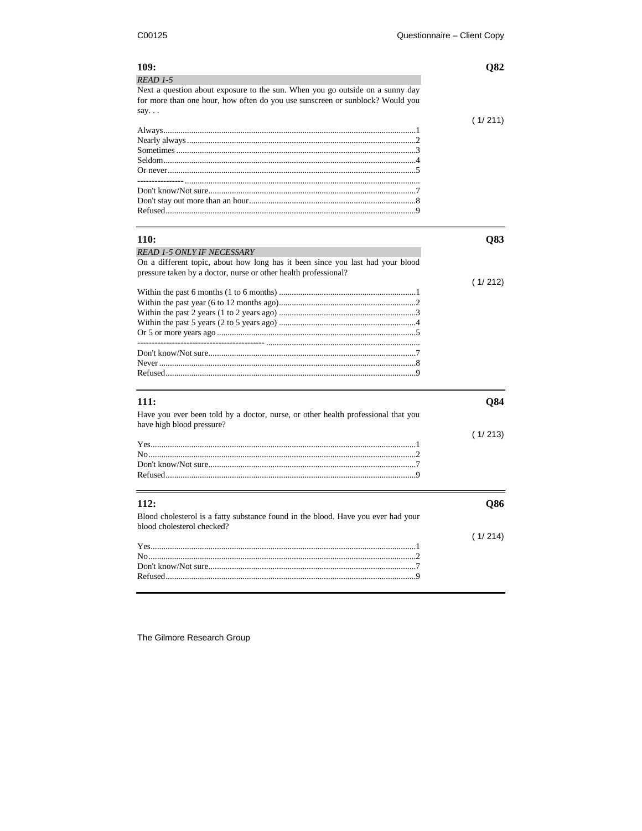| 109:                                                                                                                                                           | O82     |
|----------------------------------------------------------------------------------------------------------------------------------------------------------------|---------|
| $READ 1-5$                                                                                                                                                     |         |
| Next a question about exposure to the sun. When you go outside on a sunny day<br>for more than one hour, how often do you use sunscreen or sunblock? Would you |         |
| say. $\ldots$                                                                                                                                                  | (1/211) |
|                                                                                                                                                                |         |
|                                                                                                                                                                |         |
|                                                                                                                                                                |         |
|                                                                                                                                                                |         |
| 110:                                                                                                                                                           | Q83     |
| <b>READ 1-5 ONLY IF NECESSARY</b>                                                                                                                              |         |
| On a different topic, about how long has it been since you last had your blood<br>pressure taken by a doctor, nurse or other health professional?              |         |
|                                                                                                                                                                | (1/212) |
|                                                                                                                                                                |         |
|                                                                                                                                                                |         |
|                                                                                                                                                                |         |
|                                                                                                                                                                |         |
|                                                                                                                                                                |         |
|                                                                                                                                                                |         |
|                                                                                                                                                                |         |
| <b>111:</b>                                                                                                                                                    | Q84     |
| Have you ever been told by a doctor, nurse, or other health professional that you<br>have high blood pressure?                                                 |         |
|                                                                                                                                                                | (1/213) |
|                                                                                                                                                                |         |
|                                                                                                                                                                |         |
|                                                                                                                                                                |         |
| 112:                                                                                                                                                           | Q86     |
| Blood cholesterol is a fatty substance found in the blood. Have you ever had your<br>blood cholesterol checked?                                                |         |
|                                                                                                                                                                | (1/214) |
|                                                                                                                                                                |         |
|                                                                                                                                                                |         |
|                                                                                                                                                                |         |
|                                                                                                                                                                |         |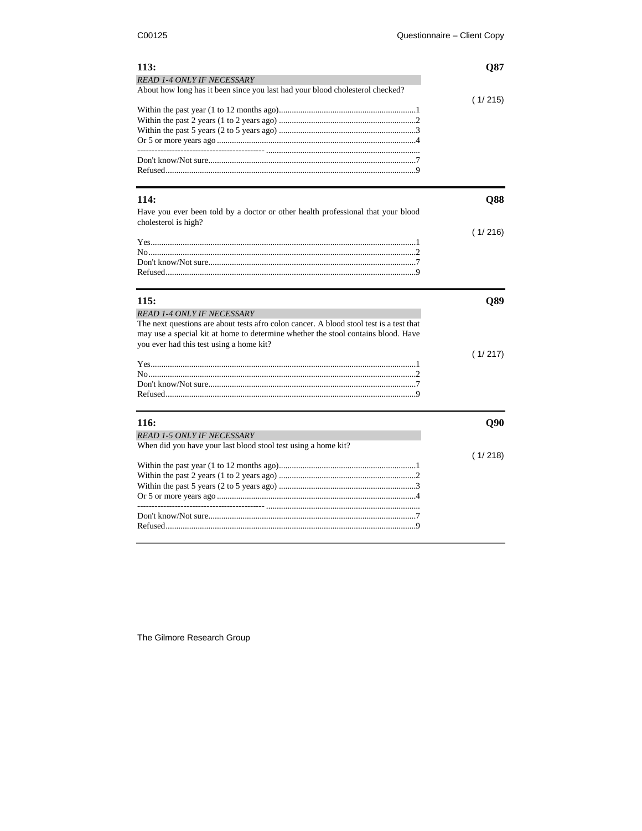| 113:                                                                                                               | Q87     |
|--------------------------------------------------------------------------------------------------------------------|---------|
| <b>READ 1-4 ONLY IF NECESSARY</b><br>About how long has it been since you last had your blood cholesterol checked? |         |
|                                                                                                                    |         |
|                                                                                                                    | (1/215) |
|                                                                                                                    |         |
|                                                                                                                    |         |
|                                                                                                                    |         |
|                                                                                                                    |         |
|                                                                                                                    |         |
|                                                                                                                    |         |
|                                                                                                                    |         |
| <b>114:</b>                                                                                                        | Q88     |
|                                                                                                                    |         |
| Have you ever been told by a doctor or other health professional that your blood<br>cholesterol is high?           |         |
|                                                                                                                    | (1/216) |
|                                                                                                                    |         |
|                                                                                                                    |         |
|                                                                                                                    |         |
|                                                                                                                    |         |
|                                                                                                                    |         |
| 115:                                                                                                               | Q89     |
| <b>READ 1-4 ONLY IF NECESSARY</b>                                                                                  |         |
| The next questions are about tests afro colon cancer. A blood stool test is a test that                            |         |
| may use a special kit at home to determine whether the stool contains blood. Have                                  |         |
| you ever had this test using a home kit?                                                                           |         |
|                                                                                                                    | (1/217) |
|                                                                                                                    |         |
|                                                                                                                    |         |
|                                                                                                                    |         |
|                                                                                                                    |         |
| 116:                                                                                                               | Q90     |
| <b>READ 1-5 ONLY IF NECESSARY</b>                                                                                  |         |
| When did you have your last blood stool test using a home kit?                                                     |         |
|                                                                                                                    | (1/218) |
|                                                                                                                    |         |
|                                                                                                                    |         |
|                                                                                                                    |         |
|                                                                                                                    |         |
|                                                                                                                    |         |
|                                                                                                                    |         |
|                                                                                                                    |         |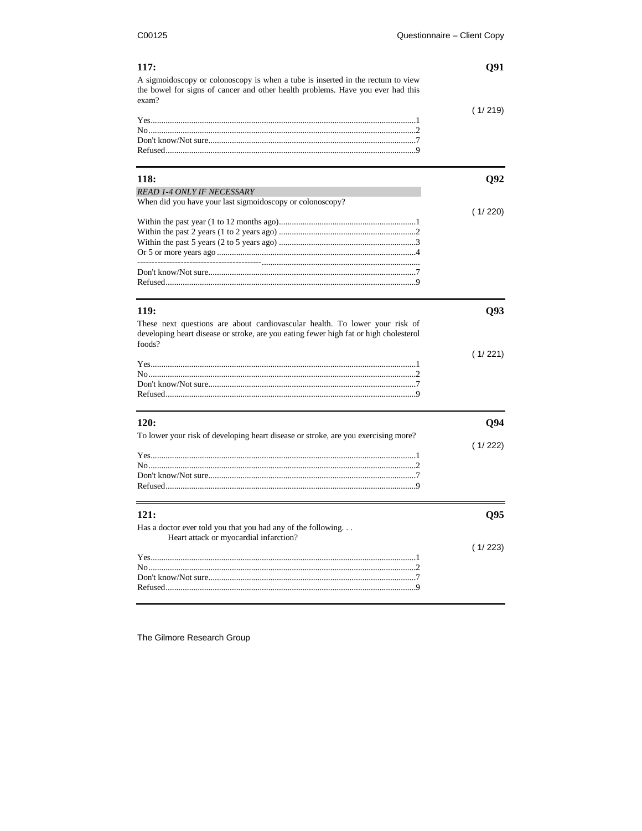| 117:<br>A sigmoidoscopy or colonoscopy is when a tube is inserted in the rectum to view<br>the bowel for signs of cancer and other health problems. Have you ever had this<br>exam? | Q91     |
|-------------------------------------------------------------------------------------------------------------------------------------------------------------------------------------|---------|
|                                                                                                                                                                                     |         |
|                                                                                                                                                                                     | (1/219) |
|                                                                                                                                                                                     |         |
|                                                                                                                                                                                     |         |
|                                                                                                                                                                                     |         |
| <b>118:</b>                                                                                                                                                                         | Q92     |
| <b>READ 1-4 ONLY IF NECESSARY</b>                                                                                                                                                   |         |
| When did you have your last sigmoidoscopy or colonoscopy?                                                                                                                           |         |
|                                                                                                                                                                                     | (1/220) |
|                                                                                                                                                                                     |         |
|                                                                                                                                                                                     |         |
|                                                                                                                                                                                     |         |
|                                                                                                                                                                                     |         |
|                                                                                                                                                                                     |         |
| <b>119:</b>                                                                                                                                                                         | Q93     |
| These next questions are about cardiovascular health. To lower your risk of                                                                                                         |         |
| developing heart disease or stroke, are you eating fewer high fat or high cholesterol<br>foods?                                                                                     |         |
|                                                                                                                                                                                     | (1/221) |
|                                                                                                                                                                                     |         |
|                                                                                                                                                                                     |         |
|                                                                                                                                                                                     |         |
| 120:                                                                                                                                                                                | Q94     |
| To lower your risk of developing heart disease or stroke, are you exercising more?                                                                                                  |         |
|                                                                                                                                                                                     | (1/222) |
|                                                                                                                                                                                     |         |
|                                                                                                                                                                                     |         |
|                                                                                                                                                                                     |         |
| 121:                                                                                                                                                                                | Q95     |
| Has a doctor ever told you that you had any of the following                                                                                                                        |         |
| Heart attack or myocardial infarction?                                                                                                                                              | (1/223) |
|                                                                                                                                                                                     |         |
|                                                                                                                                                                                     |         |
|                                                                                                                                                                                     |         |
|                                                                                                                                                                                     |         |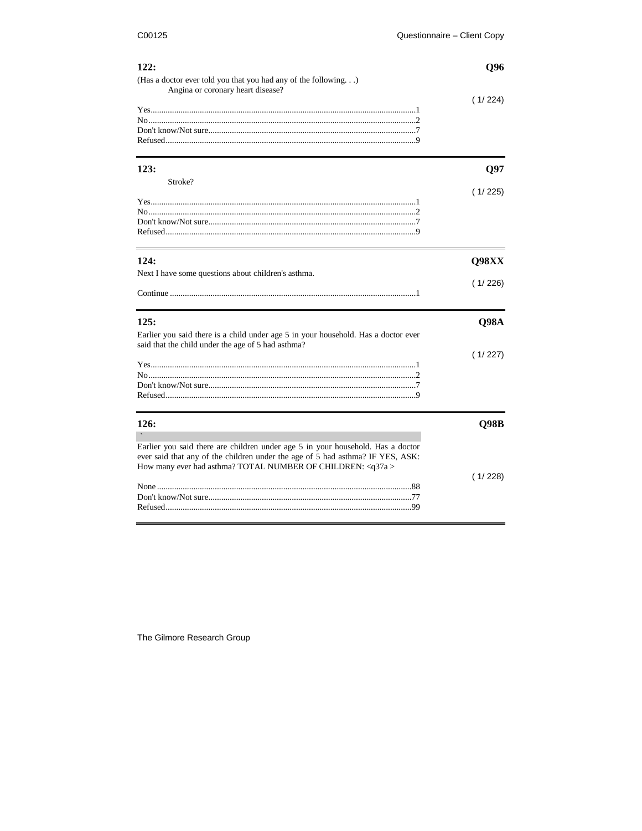| 122:                                                                               | Q96         |
|------------------------------------------------------------------------------------|-------------|
| (Has a doctor ever told you that you had any of the following)                     |             |
| Angina or coronary heart disease?                                                  |             |
|                                                                                    | (1/224)     |
|                                                                                    |             |
|                                                                                    |             |
|                                                                                    |             |
|                                                                                    |             |
| 123:                                                                               | O97         |
| Stroke?                                                                            |             |
|                                                                                    | (1/225)     |
|                                                                                    |             |
|                                                                                    |             |
|                                                                                    |             |
|                                                                                    |             |
|                                                                                    |             |
| 124:                                                                               | Q98XX       |
| Next I have some questions about children's asthma.                                |             |
|                                                                                    | (1/226)     |
|                                                                                    |             |
|                                                                                    |             |
| 125:                                                                               | Q98A        |
| Earlier you said there is a child under age 5 in your household. Has a doctor ever |             |
| said that the child under the age of 5 had asthma?                                 |             |
|                                                                                    | (1/227)     |
|                                                                                    |             |
|                                                                                    |             |
|                                                                                    |             |
|                                                                                    |             |
| 126:                                                                               | <b>Q98B</b> |
|                                                                                    |             |
|                                                                                    |             |
| Earlier you said there are children under age 5 in your household. Has a doctor    |             |
| ever said that any of the children under the age of 5 had asthma? IF YES, ASK:     |             |
| How many ever had asthma? TOTAL NUMBER OF CHILDREN: <q37a></q37a>                  |             |
|                                                                                    | (1/228)     |
|                                                                                    |             |
|                                                                                    |             |
|                                                                                    |             |

 $\overline{a}$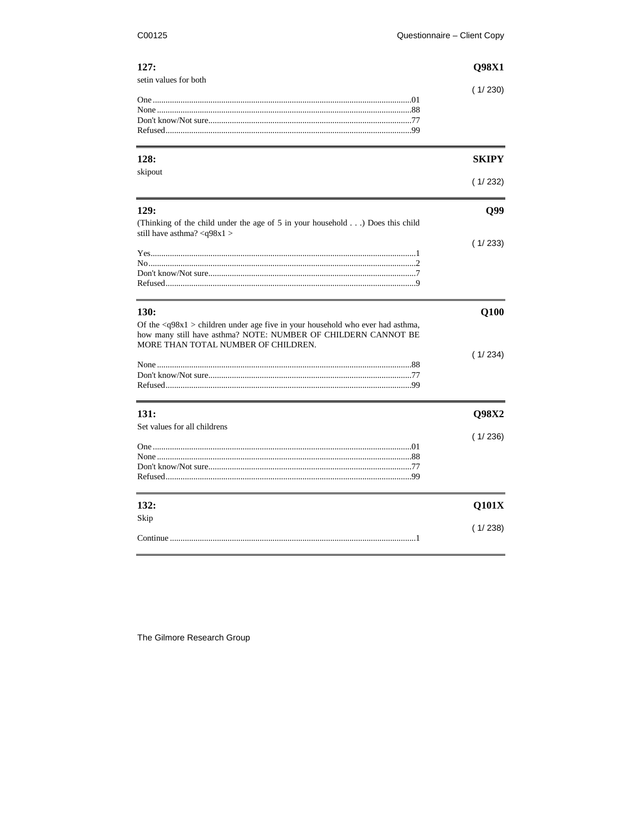### C00125

| 127:<br>setin values for both                                                                                                                                   | Q98X1        |
|-----------------------------------------------------------------------------------------------------------------------------------------------------------------|--------------|
|                                                                                                                                                                 | (1/230)      |
|                                                                                                                                                                 |              |
| 128:                                                                                                                                                            | <b>SKIPY</b> |
| skipout                                                                                                                                                         | (1/232)      |
| 129:                                                                                                                                                            | Q99          |
| (Thinking of the child under the age of 5 in your household) Does this child<br>still have asthma? <q98x1></q98x1>                                              |              |
|                                                                                                                                                                 | (1/233)      |
|                                                                                                                                                                 |              |
|                                                                                                                                                                 |              |
| 130:                                                                                                                                                            | Q100         |
| Of the $\langle q98x1 \rangle$ children under age five in your household who ever had asthma,<br>how many still have asthma? NOTE: NUMBER OF CHILDERN CANNOT BE |              |
| MORE THAN TOTAL NUMBER OF CHILDREN.                                                                                                                             | (1/234)      |
|                                                                                                                                                                 |              |
|                                                                                                                                                                 |              |
| 131:                                                                                                                                                            | Q98X2        |
| Set values for all childrens                                                                                                                                    | (1/236)      |
|                                                                                                                                                                 |              |
|                                                                                                                                                                 |              |
|                                                                                                                                                                 |              |
|                                                                                                                                                                 |              |
| 132:                                                                                                                                                            | Q101X        |
| Skip                                                                                                                                                            | (1/238)      |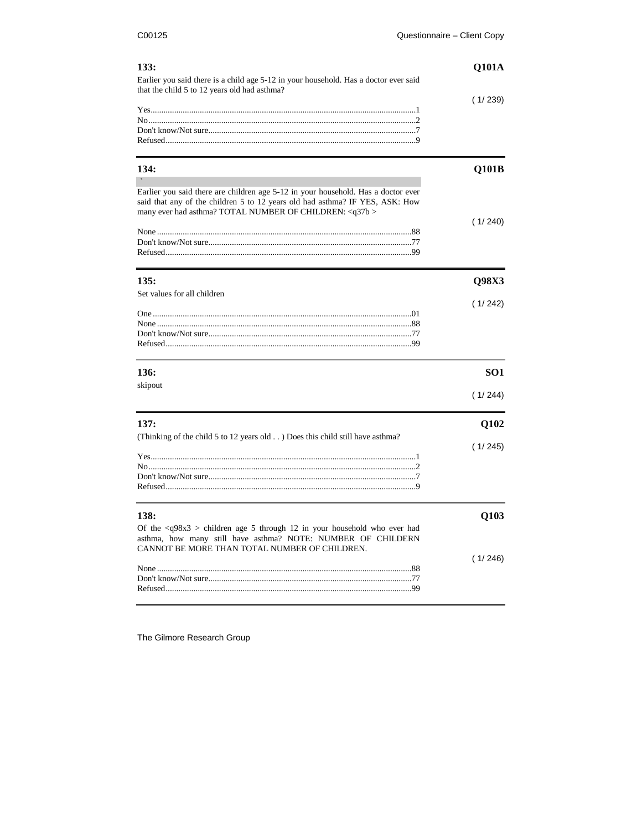| 133:<br>Earlier you said there is a child age 5-12 in your household. Has a doctor ever said<br>that the child 5 to 12 years old had asthma?                                                                                       | <b>Q101A</b><br>(1/239) |
|------------------------------------------------------------------------------------------------------------------------------------------------------------------------------------------------------------------------------------|-------------------------|
| 134:                                                                                                                                                                                                                               | Q101B                   |
| Earlier you said there are children age 5-12 in your household. Has a doctor ever<br>said that any of the children 5 to 12 years old had asthma? IF YES, ASK: How<br>many ever had asthma? TOTAL NUMBER OF CHILDREN: <q37b></q37b> | (1/240)                 |
| 135:                                                                                                                                                                                                                               | Q98X3                   |
| Set values for all children                                                                                                                                                                                                        | (1/242)                 |
| 136:                                                                                                                                                                                                                               | SO1                     |
| skipout                                                                                                                                                                                                                            | (1/244)                 |
| 137:<br>(Thinking of the child 5 to 12 years old ) Does this child still have asthma?                                                                                                                                              | Q102<br>(1/245)         |
|                                                                                                                                                                                                                                    |                         |
| 138:<br>Of the $\langle 98x3 \rangle$ children age 5 through 12 in your household who ever had<br>asthma, how many still have asthma? NOTE: NUMBER OF CHILDERN<br>CANNOT BE MORE THAN TOTAL NUMBER OF CHILDREN.                    | Q103                    |
|                                                                                                                                                                                                                                    | (1/246)                 |

|  | (1/2) |
|--|-------|
|  |       |
|  |       |
|  |       |
|  |       |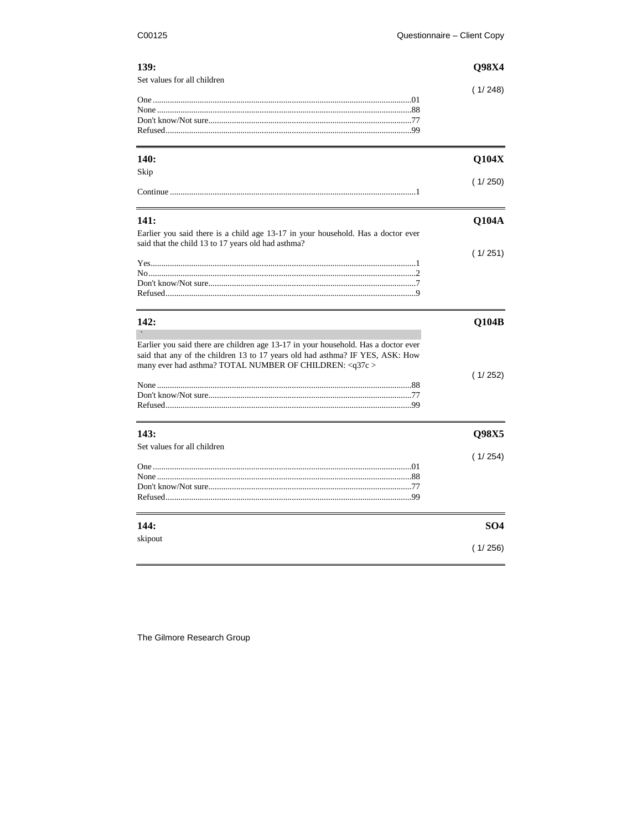## C00125

| 139:                                                                               | Q98X4           |
|------------------------------------------------------------------------------------|-----------------|
| Set values for all children                                                        | (1/248)         |
|                                                                                    |                 |
|                                                                                    |                 |
|                                                                                    |                 |
| <b>140:</b>                                                                        | Q104X           |
| Skip                                                                               | (1/250)         |
|                                                                                    |                 |
| 141:                                                                               | Q104A           |
| Earlier you said there is a child age 13-17 in your household. Has a doctor ever   |                 |
| said that the child 13 to 17 years old had asthma?                                 | (1/251)         |
|                                                                                    |                 |
|                                                                                    |                 |
|                                                                                    |                 |
| 142:                                                                               | Q104B           |
| Earlier you said there are children age 13-17 in your household. Has a doctor ever |                 |
| said that any of the children 13 to 17 years old had asthma? IF YES, ASK: How      |                 |
| many ever had asthma? TOTAL NUMBER OF CHILDREN: < q37c >                           | (1/252)         |
|                                                                                    |                 |
|                                                                                    |                 |
| 143:                                                                               |                 |
| Set values for all children                                                        | Q98X5           |
|                                                                                    | (1/254)         |
|                                                                                    |                 |
|                                                                                    |                 |
|                                                                                    |                 |
| 144:                                                                               | SO <sub>4</sub> |
| skipout                                                                            | (1/256)         |
|                                                                                    |                 |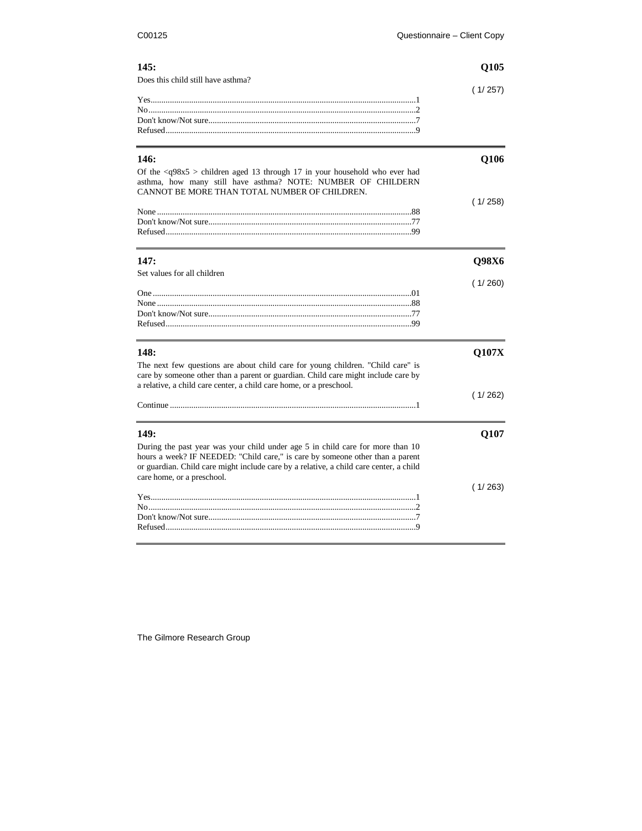| 145:                                                                                                                                                            | Q105    |
|-----------------------------------------------------------------------------------------------------------------------------------------------------------------|---------|
| Does this child still have asthma?                                                                                                                              |         |
|                                                                                                                                                                 | (1/257) |
|                                                                                                                                                                 |         |
|                                                                                                                                                                 |         |
|                                                                                                                                                                 |         |
| 146:                                                                                                                                                            | Q106    |
| Of the $\langle 98x5 \rangle$ children aged 13 through 17 in your household who ever had<br>asthma, how many still have asthma? NOTE: NUMBER OF CHILDERN        |         |
| CANNOT BE MORE THAN TOTAL NUMBER OF CHILDREN.                                                                                                                   |         |
|                                                                                                                                                                 | (1/258) |
|                                                                                                                                                                 |         |
|                                                                                                                                                                 |         |
|                                                                                                                                                                 |         |
| 147:                                                                                                                                                            | Q98X6   |
| Set values for all children                                                                                                                                     |         |
|                                                                                                                                                                 | (1/260) |
|                                                                                                                                                                 |         |
|                                                                                                                                                                 |         |
|                                                                                                                                                                 |         |
|                                                                                                                                                                 |         |
| 148:                                                                                                                                                            | Q107X   |
| The next few questions are about child care for young children. "Child care" is                                                                                 |         |
| care by someone other than a parent or guardian. Child care might include care by                                                                               |         |
| a relative, a child care center, a child care home, or a preschool.                                                                                             |         |
|                                                                                                                                                                 | (1/262) |
|                                                                                                                                                                 |         |
| 149:                                                                                                                                                            | Q107    |
|                                                                                                                                                                 |         |
| During the past year was your child under age 5 in child care for more than 10<br>hours a week? IF NEEDED: "Child care," is care by someone other than a parent |         |
| or guardian. Child care might include care by a relative, a child care center, a child                                                                          |         |
| care home, or a preschool.                                                                                                                                      |         |
|                                                                                                                                                                 | (1/263) |
|                                                                                                                                                                 |         |
|                                                                                                                                                                 |         |
|                                                                                                                                                                 |         |

Don't know/Not sure.................................................................................................7 Refused.....................................................................................................................9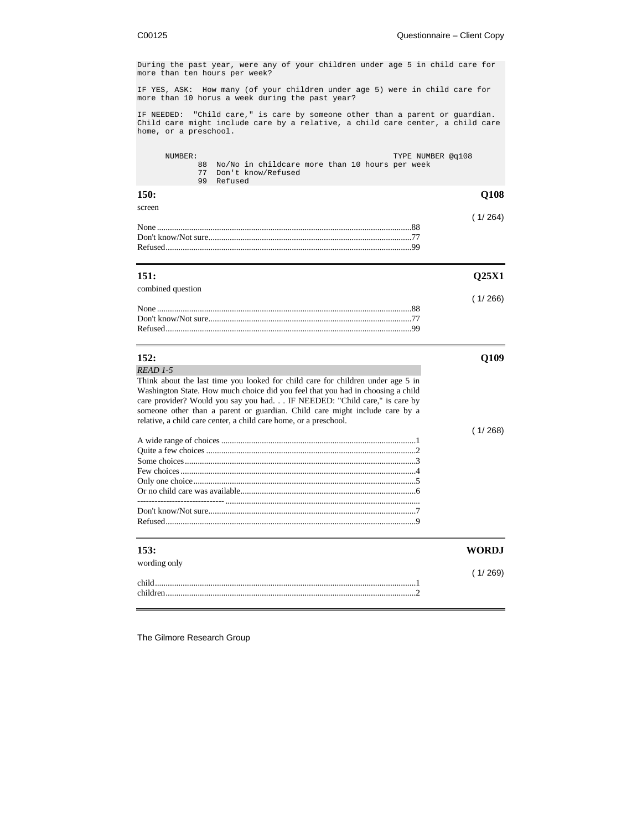During the past year, were any of your children under age 5 in child care for more than ten hours per week? IF YES, ASK: How many (of your children under age 5) were in child care for more than 10 horus a week during the past year? IF NEEDED: "Child care," is care by someone other than a parent or guardian. Child care might include care by a relative, a child care center, a child care home, or a preschool. NUMBER: TYPE NUMBER @q108 88 No/No in childcare more than 10 hours per week 77 Don't know/Refused 99 Refused **150: Q108** screen  $(1/ 264)$ None .......................................................................................................................88 Don't know/Not sure...............................................................................................77 Refused...................................................................................................................99 **151: Q25X1** combined question ( 1/ 266) None .......................................................................................................................88 Don't know/Not sure...............................................................................................77 Refused...................................................................................................................99 **152: Q109** *READ 1-5* Think about the last time you looked for child care for children under age 5 in Washington State. How much choice did you feel that you had in choosing a child care provider? Would you say you had. . . IF NEEDED: "Child care," is care by someone other than a parent or guardian. Child care might include care by a relative, a child care center, a child care home, or a preschool. ( 1/ 268) A wide range of choices...........................................................................................1 Quite a few choices ..................................................................................................2 Some choices............................................................................................................3 Few choices..............................................................................................................4 Only one choice........................................................................................................5 Or no child care was available..................................................................................6 ------------------------------ ........................................................................................... Don't know/Not sure.................................................................................................7 Refused.....................................................................................................................9 **153: WORDJ** wording only ( 1/ 269) child..........................................................................................................................1 children.....................................................................................................................2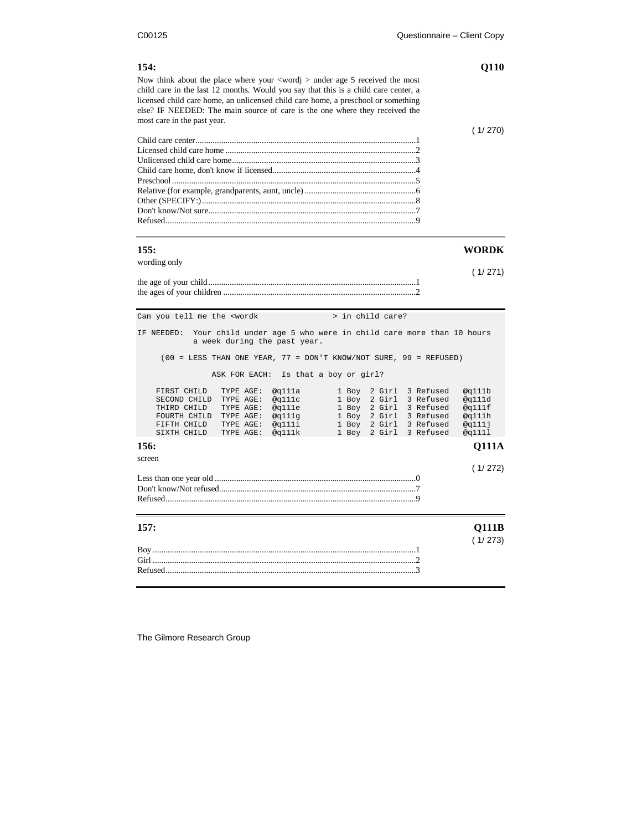÷.

| 154:<br>Now think about the place where your $\langle \text{wordj} \rangle$ under age 5 received the most<br>child care in the last 12 months. Would you say that this is a child care center, a<br>licensed child care home, an unlicensed child care home, a preschool or something<br>else? IF NEEDED: The main source of care is the one where they received the<br>most care in the past year. | Q110                                                                                                                                                                                                                                                     |
|-----------------------------------------------------------------------------------------------------------------------------------------------------------------------------------------------------------------------------------------------------------------------------------------------------------------------------------------------------------------------------------------------------|----------------------------------------------------------------------------------------------------------------------------------------------------------------------------------------------------------------------------------------------------------|
|                                                                                                                                                                                                                                                                                                                                                                                                     | (1/270)                                                                                                                                                                                                                                                  |
| 155:                                                                                                                                                                                                                                                                                                                                                                                                | <b>WORDK</b>                                                                                                                                                                                                                                             |
| wording only                                                                                                                                                                                                                                                                                                                                                                                        | (1/271)                                                                                                                                                                                                                                                  |
| Can you tell me the <wordk< td=""><td>&gt; in child care?</td></wordk<>                                                                                                                                                                                                                                                                                                                             | > in child care?                                                                                                                                                                                                                                         |
| Your child under age 5 who were in child care more than 10 hours<br>IF NEEDED:<br>a week during the past year.                                                                                                                                                                                                                                                                                      |                                                                                                                                                                                                                                                          |
| $(00 = LESS$ THAN ONE YEAR, 77 = DON'T KNOW/NOT SURE, 99 = REFUSED)                                                                                                                                                                                                                                                                                                                                 |                                                                                                                                                                                                                                                          |
| ASK FOR EACH:<br>Is that a boy or girl?<br>FIRST CHILD<br>TYPE AGE:<br>@q111a<br>SECOND CHILD<br>TYPE AGE:<br>@q111c<br>@q111e<br>THIRD CHILD<br>TYPE AGE:<br>FOURTH CHILD<br>TYPE AGE:<br>@q111g<br>FIFTH CHILD<br>TYPE AGE:<br>@q111i<br>SIXTH CHILD<br>TYPE AGE:<br>@q111k                                                                                                                       | 1 Boy<br>2 Girl<br>3 Refused<br>@q111b<br>1 Boy<br>2 Girl<br>3 Refused<br>@q111d<br>2 Girl<br>3 Refused<br>@q111f<br>1 Boy<br>2 Girl<br>3 Refused<br>@q111h<br>1 Boy<br>@q111j<br>1 Boy<br>2 Girl<br>3 Refused<br>2 Girl<br>3 Refused<br>@q1111<br>1 Boy |
| 156:                                                                                                                                                                                                                                                                                                                                                                                                | <b>Q111A</b>                                                                                                                                                                                                                                             |
| screen                                                                                                                                                                                                                                                                                                                                                                                              | (1/272)                                                                                                                                                                                                                                                  |
| 157:                                                                                                                                                                                                                                                                                                                                                                                                | Q111B<br>(1/273)                                                                                                                                                                                                                                         |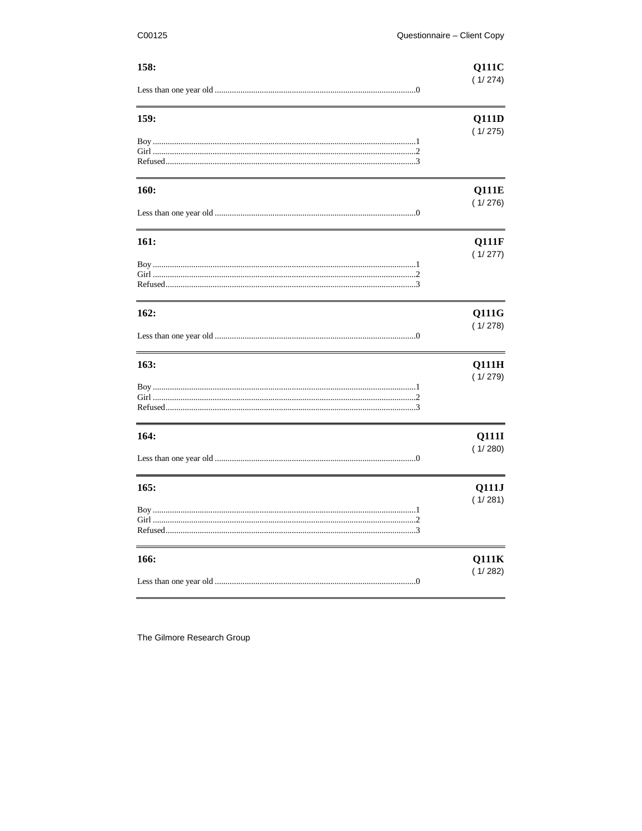| 158: | <b>Q111C</b> |
|------|--------------|
|      | (1/274)      |
| 159: | <b>Q111D</b> |
|      | (1/275)      |
| 160: | <b>Q111E</b> |
|      | (1/276)      |
| 161: | Q111F        |
|      | (1/277)      |
| 162: | <b>Q111G</b> |
|      | (1/278)      |
| 163: | Q111H        |
|      | (1/279)      |
| 164: | Q111I        |
|      | (1/280)      |
| 165: | Q111J        |
|      | (1/281)      |
| 166: | Q111K        |
|      | (1/282)      |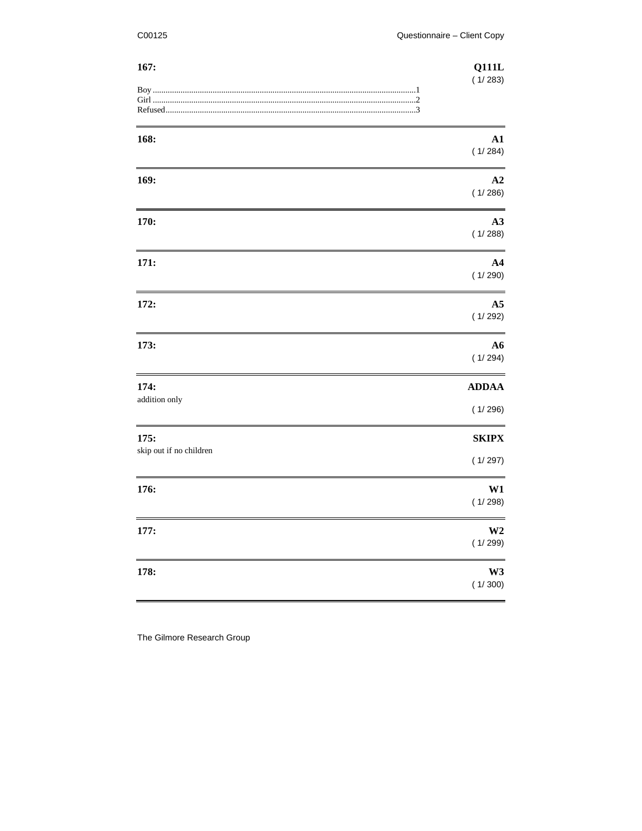| 167:                            | <b>Q111L</b><br>(1/283)   |
|---------------------------------|---------------------------|
|                                 |                           |
| 168:                            | A1<br>(1/284)             |
| 169:                            | A2<br>(1/286)             |
| 170:                            | A3<br>(1/288)             |
| 171:                            | $\mathbf{A4}$<br>(1/290)  |
| 172:                            | A <sub>5</sub><br>(1/292) |
| 173:                            | A6<br>(1/294)             |
| 174:<br>addition only           | <b>ADDAA</b><br>(1/296)   |
| 175:<br>skip out if no children | <b>SKIPX</b>              |
|                                 | (1/297)                   |
| 176:                            | W1<br>(1/298)             |
| 177:                            | W <sub>2</sub><br>(1/299) |
| 178:                            | W3<br>(1/300)             |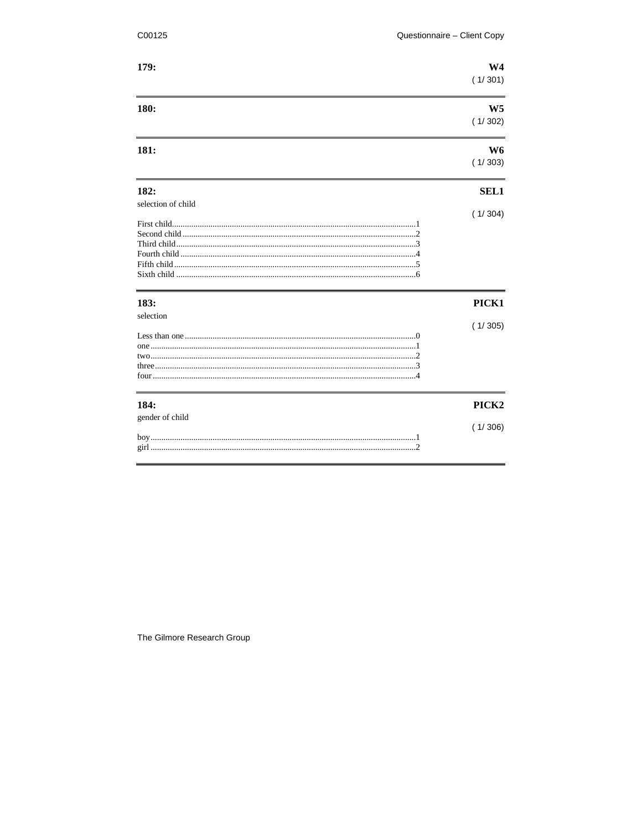| C00125             | Questionnaire - Client Copy |
|--------------------|-----------------------------|
| 179:               | W <sub>4</sub><br>(1/301)   |
| 180:               | W <sub>5</sub><br>(1/302)   |
| 181:               | W6<br>(1/303)               |
| 182:               | <b>SEL1</b>                 |
| selection of child | (1/304)                     |
|                    |                             |
|                    |                             |
|                    |                             |
|                    |                             |
|                    |                             |
| 183:               | PICK1                       |
| selection          |                             |
|                    | (1/305)                     |
|                    |                             |
|                    |                             |
|                    |                             |
|                    |                             |
| 184:               | PICK <sub>2</sub>           |
| gender of child    |                             |
|                    | (1/306)                     |
|                    |                             |
|                    |                             |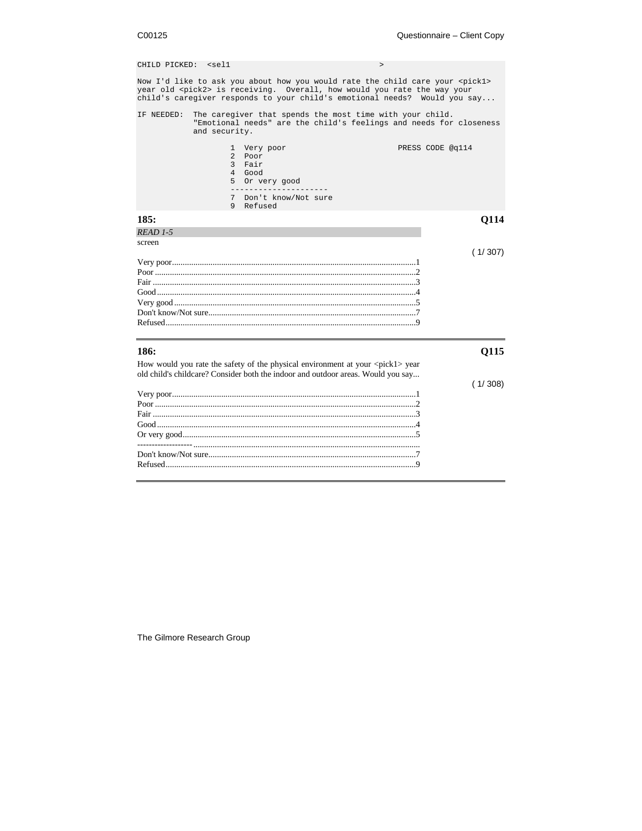| CHILD PICKED: <sel1< th=""><th><math>\geq</math></th><th></th></sel1<> | $\geq$                                                                                                                                                                                                                                                 |                  |
|------------------------------------------------------------------------|--------------------------------------------------------------------------------------------------------------------------------------------------------------------------------------------------------------------------------------------------------|------------------|
|                                                                        | Now I'd like to ask you about how you would rate the child care your <pickl><br/>year old <pick2> is receiving. Overall, how would you rate the way your<br/>child's caregiver responds to your child's emotional needs? Would you say</pick2></pickl> |                  |
| IF NEEDED:                                                             | The caregiver that spends the most time with your child.<br>"Emotional needs" are the child's feelings and needs for closeness<br>and security.                                                                                                        |                  |
|                                                                        | 1 Very poor<br>$\overline{a}$<br>Poor<br>3 Fair<br>4 Good<br>5 Or very good<br>Don't know/Not sure<br>7                                                                                                                                                | PRESS CODE @q114 |
|                                                                        | 9<br>Refused                                                                                                                                                                                                                                           |                  |
| 185:                                                                   |                                                                                                                                                                                                                                                        | <b>O114</b>      |
| READ 1-5                                                               |                                                                                                                                                                                                                                                        |                  |
| screen                                                                 |                                                                                                                                                                                                                                                        | (1/307)          |
|                                                                        |                                                                                                                                                                                                                                                        |                  |
| 186:                                                                   |                                                                                                                                                                                                                                                        | 0115             |
|                                                                        | How would you rate the safety of the physical environment at your <pick1> year<br/>old child's childcare? Consider both the indoor and outdoor areas. Would you say</pick1>                                                                            | (1/308)          |
|                                                                        |                                                                                                                                                                                                                                                        |                  |
|                                                                        |                                                                                                                                                                                                                                                        |                  |
|                                                                        |                                                                                                                                                                                                                                                        |                  |
|                                                                        |                                                                                                                                                                                                                                                        |                  |
|                                                                        |                                                                                                                                                                                                                                                        |                  |
|                                                                        |                                                                                                                                                                                                                                                        |                  |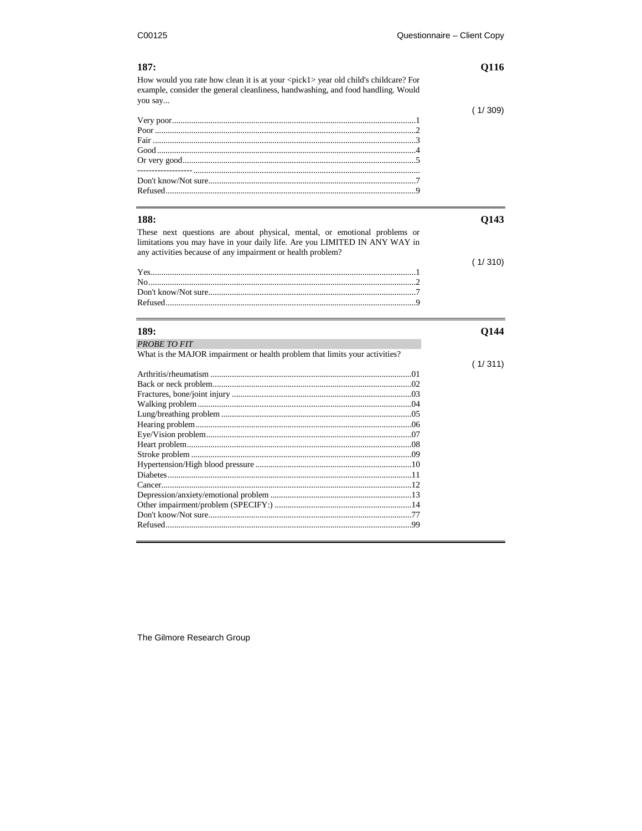| 187:                                                                                                                                                                                                                   | Q116    |
|------------------------------------------------------------------------------------------------------------------------------------------------------------------------------------------------------------------------|---------|
| How would you rate how clean it is at your <pick1> year old child's childcare? For<br/>example, consider the general cleanliness, handwashing, and food handling. Would<br/>you say</pick1>                            |         |
|                                                                                                                                                                                                                        | (1/309) |
|                                                                                                                                                                                                                        |         |
|                                                                                                                                                                                                                        |         |
|                                                                                                                                                                                                                        |         |
|                                                                                                                                                                                                                        |         |
|                                                                                                                                                                                                                        |         |
|                                                                                                                                                                                                                        |         |
|                                                                                                                                                                                                                        |         |
|                                                                                                                                                                                                                        |         |
|                                                                                                                                                                                                                        |         |
| 188:                                                                                                                                                                                                                   | Q143    |
| These next questions are about physical, mental, or emotional problems or<br>limitations you may have in your daily life. Are you LIMITED IN ANY WAY in<br>any activities because of any impairment or health problem? |         |
|                                                                                                                                                                                                                        | (1/310) |
|                                                                                                                                                                                                                        |         |
|                                                                                                                                                                                                                        |         |
|                                                                                                                                                                                                                        |         |
|                                                                                                                                                                                                                        |         |
|                                                                                                                                                                                                                        |         |
|                                                                                                                                                                                                                        |         |
| 189:                                                                                                                                                                                                                   | Q144    |
| <b>PROBETO FIT</b>                                                                                                                                                                                                     |         |
| What is the MAJOR impairment or health problem that limits your activities?                                                                                                                                            |         |
|                                                                                                                                                                                                                        | (1/311) |
|                                                                                                                                                                                                                        |         |
|                                                                                                                                                                                                                        |         |
|                                                                                                                                                                                                                        |         |
|                                                                                                                                                                                                                        |         |
|                                                                                                                                                                                                                        |         |
|                                                                                                                                                                                                                        |         |
|                                                                                                                                                                                                                        |         |
|                                                                                                                                                                                                                        |         |
|                                                                                                                                                                                                                        |         |
|                                                                                                                                                                                                                        |         |
|                                                                                                                                                                                                                        |         |
|                                                                                                                                                                                                                        |         |
|                                                                                                                                                                                                                        |         |
|                                                                                                                                                                                                                        |         |
|                                                                                                                                                                                                                        |         |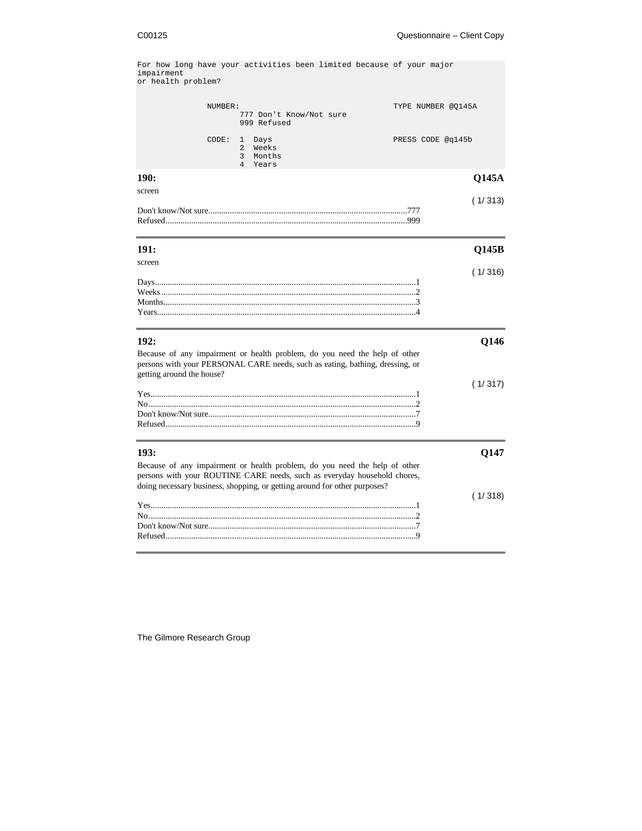For how long have your activities been limited because of your major impairment or health problem?

|                           | NUMBER: | 777 Don't Know/Not sure<br>999 Refused                                         |                                                                                                                                                            | TYPE NUMBER @0145A |              |
|---------------------------|---------|--------------------------------------------------------------------------------|------------------------------------------------------------------------------------------------------------------------------------------------------------|--------------------|--------------|
|                           | CODE:   | Days<br>1<br>Weeks<br>$\mathfrak{D}$<br>$\overline{3}$<br>Months<br>4<br>Years |                                                                                                                                                            | PRESS CODE @q145b  |              |
| 190:                      |         |                                                                                |                                                                                                                                                            |                    | <b>O145A</b> |
| screen                    |         |                                                                                |                                                                                                                                                            |                    | (1/313)      |
| 191:                      |         |                                                                                |                                                                                                                                                            |                    | <b>O145B</b> |
| screen                    |         |                                                                                |                                                                                                                                                            |                    | (1/316)      |
|                           |         |                                                                                |                                                                                                                                                            |                    |              |
| 192:                      |         |                                                                                |                                                                                                                                                            |                    | Q146         |
| getting around the house? |         |                                                                                | Because of any impairment or health problem, do you need the help of other<br>persons with your PERSONAL CARE needs, such as eating, bathing, dressing, or |                    |              |
|                           |         |                                                                                |                                                                                                                                                            |                    | (1/317)      |

| 193:                                                                                                                                                                                                                                | 0147    |
|-------------------------------------------------------------------------------------------------------------------------------------------------------------------------------------------------------------------------------------|---------|
| Because of any impairment or health problem, do you need the help of other<br>persons with your ROUTINE CARE needs, such as everyday household chores,<br>doing necessary business, shopping, or getting around for other purposes? |         |
|                                                                                                                                                                                                                                     | (1/318) |
|                                                                                                                                                                                                                                     |         |
|                                                                                                                                                                                                                                     |         |
|                                                                                                                                                                                                                                     |         |
|                                                                                                                                                                                                                                     |         |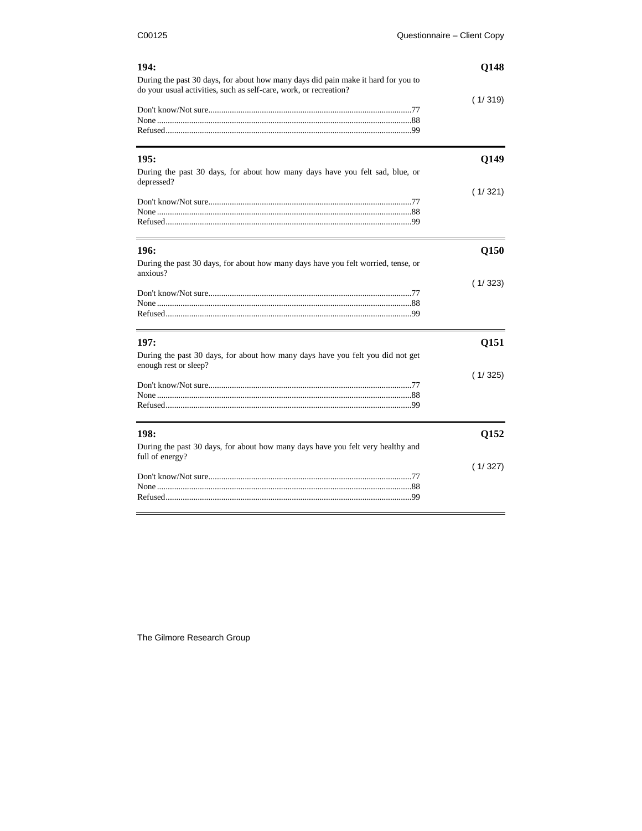| 194:                                                                                                                                                   | Q148    |
|--------------------------------------------------------------------------------------------------------------------------------------------------------|---------|
| During the past 30 days, for about how many days did pain make it hard for you to<br>do your usual activities, such as self-care, work, or recreation? | (1/319) |
|                                                                                                                                                        |         |
| 195:<br>During the past 30 days, for about how many days have you felt sad, blue, or                                                                   | Q149    |
| depressed?                                                                                                                                             | (1/321) |
| 196:<br>During the past 30 days, for about how many days have you felt worried, tense, or                                                              | Q150    |
| anxious?                                                                                                                                               | (1/323) |
| 197:<br>During the past 30 days, for about how many days have you felt you did not get<br>enough rest or sleep?                                        | Q151    |
|                                                                                                                                                        | (1/325) |
| 198:                                                                                                                                                   | Q152    |
| During the past 30 days, for about how many days have you felt very healthy and<br>full of energy?                                                     | (1/327) |
|                                                                                                                                                        |         |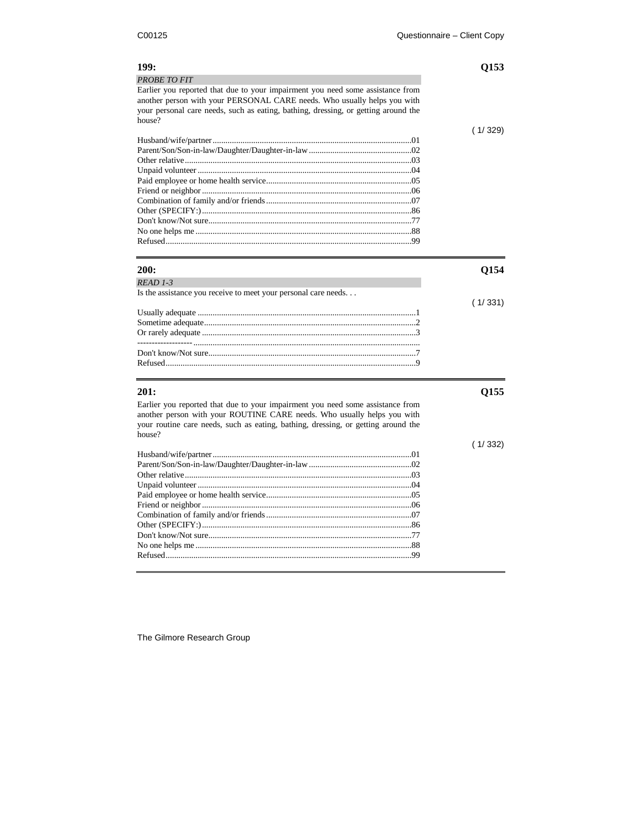| 199:                                                                               | Q153    |
|------------------------------------------------------------------------------------|---------|
| <b>PROBETO FIT</b>                                                                 |         |
| Earlier you reported that due to your impairment you need some assistance from     |         |
| another person with your PERSONAL CARE needs. Who usually helps you with           |         |
| your personal care needs, such as eating, bathing, dressing, or getting around the |         |
| house?                                                                             |         |
|                                                                                    | (1/329) |
|                                                                                    |         |
|                                                                                    |         |
|                                                                                    |         |
|                                                                                    |         |
|                                                                                    |         |
|                                                                                    |         |
|                                                                                    |         |
|                                                                                    |         |
|                                                                                    |         |
|                                                                                    |         |
|                                                                                    |         |
|                                                                                    |         |
| 200:                                                                               | Q154    |
| $READ$ 1-3                                                                         |         |
| Is the assistance you receive to meet your personal care needs                     |         |
|                                                                                    | (1/331) |
|                                                                                    |         |
|                                                                                    |         |
|                                                                                    |         |
|                                                                                    |         |
|                                                                                    |         |
|                                                                                    |         |
| 201:                                                                               | Q155    |
| Earlier you reported that due to your impairment you need some assistance from     |         |
| another person with your ROUTINE CARE needs. Who usually helps you with            |         |
| your routine care needs, such as eating, bathing, dressing, or getting around the  |         |
| house?                                                                             |         |
|                                                                                    | (1/332) |
|                                                                                    |         |
|                                                                                    |         |
|                                                                                    |         |
|                                                                                    |         |
|                                                                                    |         |
|                                                                                    |         |
|                                                                                    |         |
|                                                                                    |         |
|                                                                                    |         |
|                                                                                    |         |
|                                                                                    |         |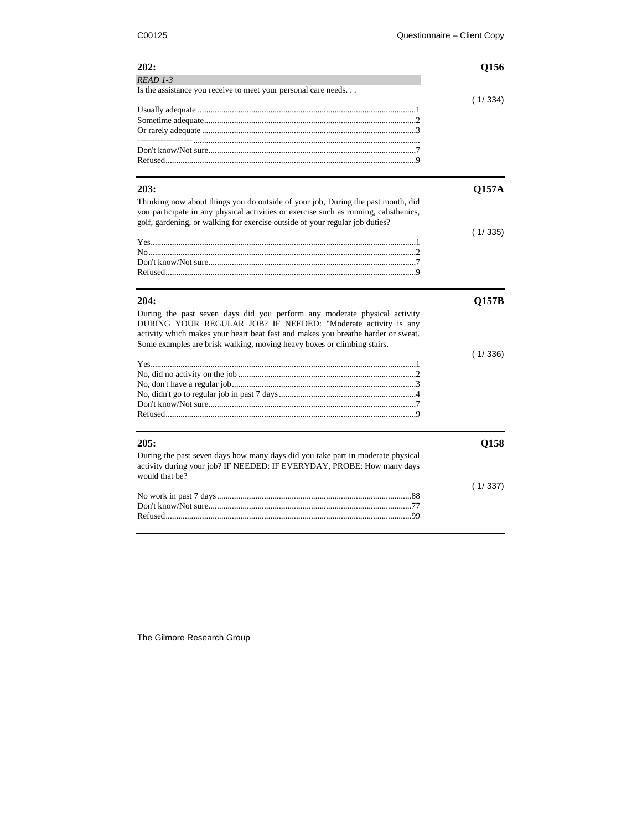| 202:                                                                                  | Q156         |
|---------------------------------------------------------------------------------------|--------------|
| READ 1-3                                                                              |              |
| Is the assistance you receive to meet your personal care needs                        |              |
|                                                                                       | (1/334)      |
|                                                                                       |              |
|                                                                                       |              |
|                                                                                       |              |
|                                                                                       |              |
|                                                                                       |              |
|                                                                                       |              |
| 203:                                                                                  | <b>Q157A</b> |
| Thinking now about things you do outside of your job, During the past month, did      |              |
| you participate in any physical activities or exercise such as running, calisthenics, |              |
| golf, gardening, or walking for exercise outside of your regular job duties?          |              |
|                                                                                       | (1/335)      |
|                                                                                       |              |
|                                                                                       |              |
|                                                                                       |              |
|                                                                                       |              |
| 204:                                                                                  | Q157B        |
| During the past seven days did you perform any moderate physical activity             |              |
| DURING YOUR REGULAR JOB? IF NEEDED: "Moderate activity is any                         |              |
| activity which makes your heart beat fast and makes you breathe harder or sweat.      |              |
| Some examples are brisk walking, moving heavy boxes or climbing stairs.               |              |
|                                                                                       | (1/336)      |
|                                                                                       |              |
|                                                                                       |              |
|                                                                                       |              |
|                                                                                       |              |
|                                                                                       |              |
|                                                                                       |              |
|                                                                                       |              |
|                                                                                       |              |
| 205:                                                                                  | Q158         |
| During the past seven days how many days did you take part in moderate physical       |              |
| activity during your job? IF NEEDED: IF EVERYDAY, PROBE: How many days                |              |
| would that be?                                                                        |              |
|                                                                                       | (1/337)      |
|                                                                                       |              |
|                                                                                       |              |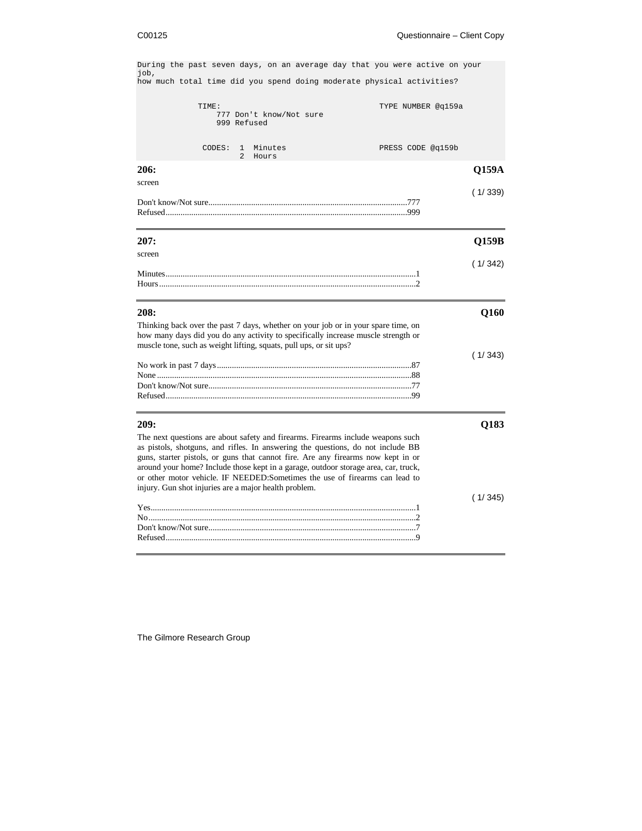During the past seven days, on an average day that you were active on your job, how much total time did you spend doing moderate physical activities? TIME: TIME: TIME: 777 Don't know/Not sure 999 Refused CODES: 1 Minutes PRESS CODE @q159b 2 Hours **206: Q159A** screen ( 1/ 339) Don't know/Not sure.............................................................................................777 Refused.................................................................................................................999 **207: Q159B** screen ( 1/ 342) Minutes.....................................................................................................................1 Hours........................................................................................................................2 **208: Q160** Thinking back over the past 7 days, whether on your job or in your spare time, on how many days did you do any activity to specifically increase muscle strength or muscle tone, such as weight lifting, squats, pull ups, or sit ups? ( 1/ 343) No work in past 7 days...........................................................................................87 None .......................................................................................................................88 Don't know/Not sure...............................................................................................77 Refused...................................................................................................................99 **209: Q183** The next questions are about safety and firearms. Firearms include weapons such as pistols, shotguns, and rifles. In answering the questions, do not include BB guns, starter pistols, or guns that cannot fire. Are any firearms now kept in or around your home? Include those kept in a garage, outdoor storage area, car, truck, or other motor vehicle. IF NEEDED:Sometimes the use of firearms can lead to injury. Gun shot injuries are a major health problem. ( 1/ 345) Yes............................................................................................................................1 No.............................................................................................................................2 Don't know/Not sure.................................................................................................7 Refused.....................................................................................................................9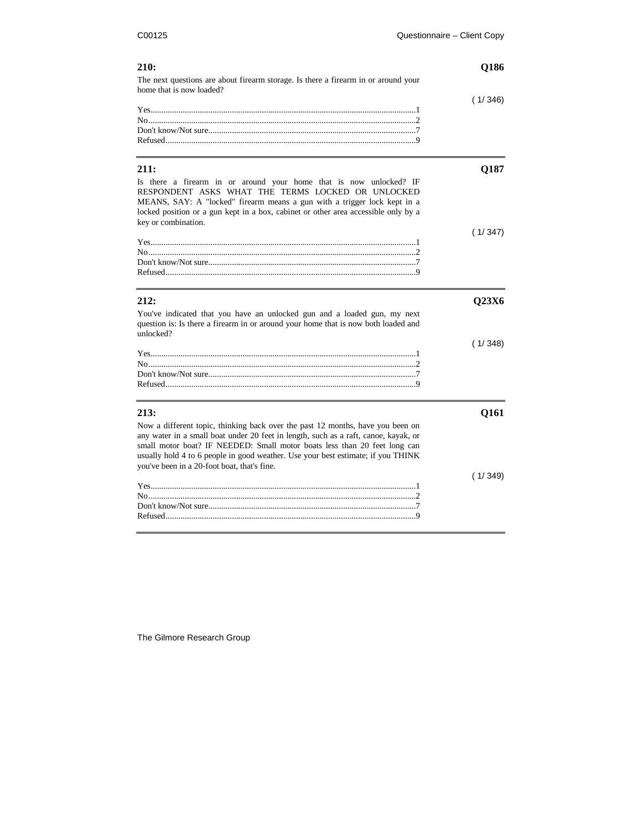| 210:                                                                                                                                                                                                                                                                                                                                                                                  | Q186    |
|---------------------------------------------------------------------------------------------------------------------------------------------------------------------------------------------------------------------------------------------------------------------------------------------------------------------------------------------------------------------------------------|---------|
| The next questions are about firearm storage. Is there a firearm in or around your<br>home that is now loaded?                                                                                                                                                                                                                                                                        |         |
|                                                                                                                                                                                                                                                                                                                                                                                       | (1/346) |
| 211:                                                                                                                                                                                                                                                                                                                                                                                  | Q187    |
| Is there a firearm in or around your home that is now unlocked? IF<br>RESPONDENT ASKS WHAT THE TERMS LOCKED OR UNLOCKED<br>MEANS, SAY: A "locked" firearm means a gun with a trigger lock kept in a<br>locked position or a gun kept in a box, cabinet or other area accessible only by a<br>key or combination.                                                                      |         |
|                                                                                                                                                                                                                                                                                                                                                                                       | (1/347) |
|                                                                                                                                                                                                                                                                                                                                                                                       |         |
|                                                                                                                                                                                                                                                                                                                                                                                       |         |
| 212:                                                                                                                                                                                                                                                                                                                                                                                  | Q23X6   |
| You've indicated that you have an unlocked gun and a loaded gun, my next<br>question is: Is there a firearm in or around your home that is now both loaded and<br>unlocked?                                                                                                                                                                                                           |         |
|                                                                                                                                                                                                                                                                                                                                                                                       | (1/348) |
|                                                                                                                                                                                                                                                                                                                                                                                       |         |
|                                                                                                                                                                                                                                                                                                                                                                                       |         |
| 213:                                                                                                                                                                                                                                                                                                                                                                                  | Q161    |
| Now a different topic, thinking back over the past 12 months, have you been on<br>any water in a small boat under 20 feet in length, such as a raft, canoe, kayak, or<br>small motor boat? IF NEEDED: Small motor boats less than 20 feet long can<br>usually hold 4 to 6 people in good weather. Use your best estimate; if you THINK<br>you've been in a 20-foot boat, that's fine. |         |
|                                                                                                                                                                                                                                                                                                                                                                                       | (1/349) |
|                                                                                                                                                                                                                                                                                                                                                                                       |         |
|                                                                                                                                                                                                                                                                                                                                                                                       |         |

Refused.....................................................................................................................9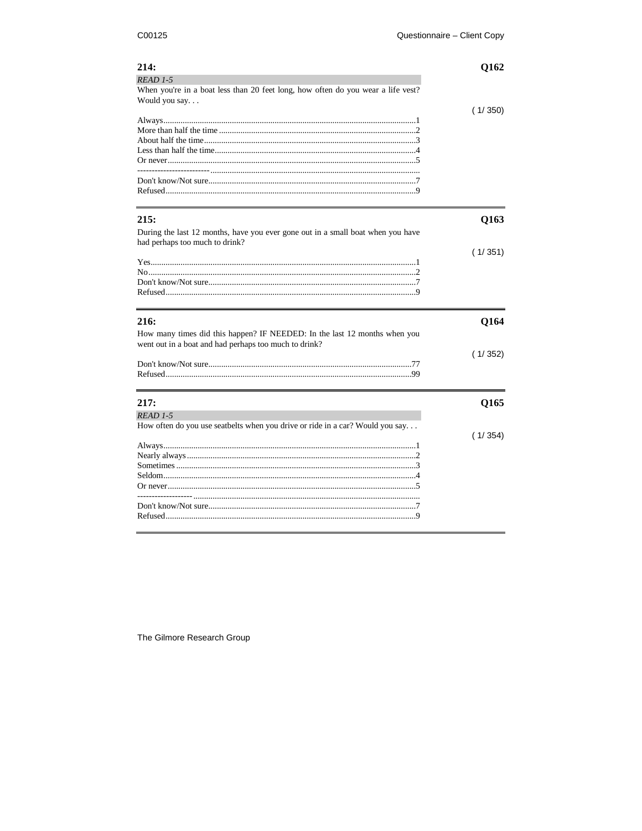| 214:<br>READ 1-5<br>When you're in a boat less than 20 feet long, how often do you wear a life vest?                               | Q162    |
|------------------------------------------------------------------------------------------------------------------------------------|---------|
| Would you say                                                                                                                      | (1/350) |
| 215:<br>During the last 12 months, have you ever gone out in a small boat when you have                                            | Q163    |
| had perhaps too much to drink?                                                                                                     | (1/351) |
| 216:                                                                                                                               | Q164    |
| How many times did this happen? IF NEEDED: In the last 12 months when you<br>went out in a boat and had perhaps too much to drink? | (1/352) |
| 217:<br>READ 1-5                                                                                                                   | Q165    |
| How often do you use seatbelts when you drive or ride in a car? Would you say                                                      | (1/354) |
|                                                                                                                                    |         |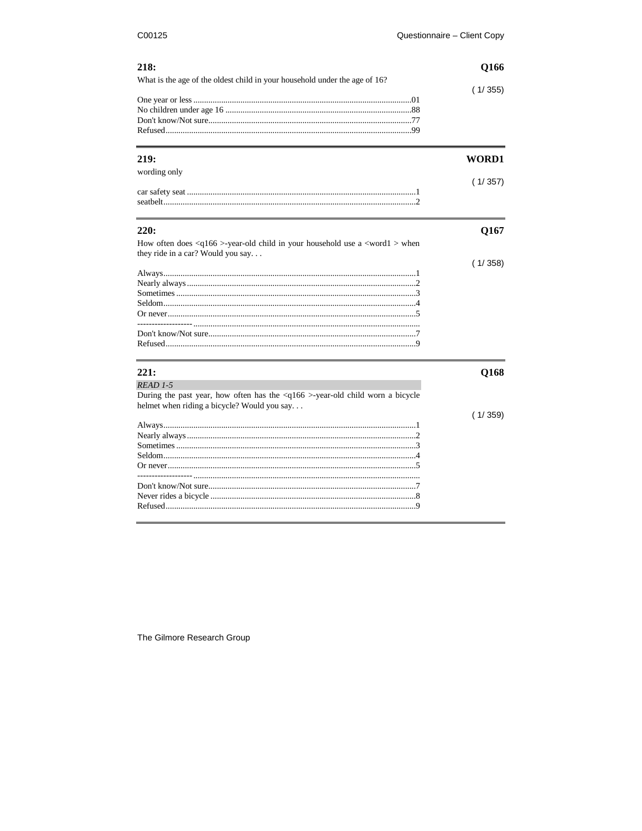| 218:                                                                                                                                | Q166    |  |
|-------------------------------------------------------------------------------------------------------------------------------------|---------|--|
| What is the age of the oldest child in your household under the age of 16?                                                          | (1/355) |  |
|                                                                                                                                     |         |  |
| 219:                                                                                                                                | WORD1   |  |
| wording only                                                                                                                        | (1/357) |  |
|                                                                                                                                     |         |  |
| 220:                                                                                                                                | Q167    |  |
| How often does <q166>-year-old child in your household use a <word1> when<br/>they ride in a car? Would you say</word1></q166>      |         |  |
|                                                                                                                                     | (1/358) |  |
|                                                                                                                                     |         |  |
|                                                                                                                                     |         |  |
|                                                                                                                                     |         |  |
|                                                                                                                                     |         |  |
|                                                                                                                                     |         |  |
|                                                                                                                                     |         |  |
| 221:                                                                                                                                | Q168    |  |
| READ 1-5                                                                                                                            |         |  |
| During the past year, how often has the <q166>-year-old child worn a bicycle<br/>helmet when riding a bicycle? Would you say</q166> |         |  |
|                                                                                                                                     | (1/359) |  |
|                                                                                                                                     |         |  |
|                                                                                                                                     |         |  |
|                                                                                                                                     |         |  |
|                                                                                                                                     |         |  |
|                                                                                                                                     |         |  |
|                                                                                                                                     |         |  |
|                                                                                                                                     |         |  |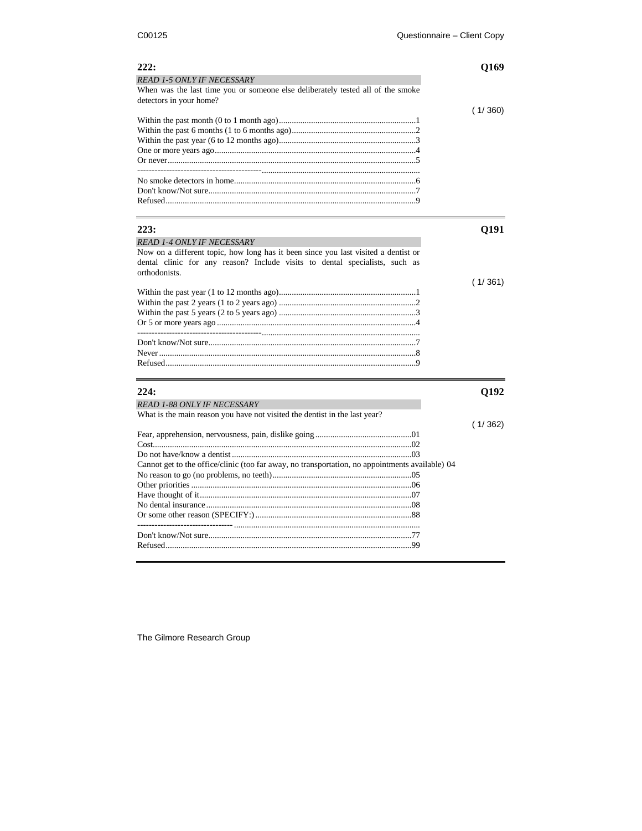| 222:                                                                                                                                                                               | Q169    |
|------------------------------------------------------------------------------------------------------------------------------------------------------------------------------------|---------|
| <b>READ 1-5 ONLY IF NECESSARY</b>                                                                                                                                                  |         |
| When was the last time you or someone else deliberately tested all of the smoke<br>detectors in your home?                                                                         |         |
|                                                                                                                                                                                    | (1/360) |
|                                                                                                                                                                                    |         |
|                                                                                                                                                                                    |         |
|                                                                                                                                                                                    |         |
|                                                                                                                                                                                    |         |
|                                                                                                                                                                                    |         |
|                                                                                                                                                                                    |         |
|                                                                                                                                                                                    |         |
| 223:                                                                                                                                                                               | Q191    |
| <b>READ 1-4 ONLY IF NECESSARY</b>                                                                                                                                                  |         |
| Now on a different topic, how long has it been since you last visited a dentist or<br>dental clinic for any reason? Include visits to dental specialists, such as<br>orthodonists. |         |
|                                                                                                                                                                                    | (1/361) |
|                                                                                                                                                                                    |         |
|                                                                                                                                                                                    |         |
|                                                                                                                                                                                    |         |
|                                                                                                                                                                                    |         |
|                                                                                                                                                                                    |         |
|                                                                                                                                                                                    |         |
|                                                                                                                                                                                    |         |
| 224:                                                                                                                                                                               | Q192    |
| <b>READ 1-88 ONLY IF NECESSARY</b>                                                                                                                                                 |         |
| What is the main reason you have not visited the dentist in the last year?                                                                                                         |         |
|                                                                                                                                                                                    | (1/362) |
|                                                                                                                                                                                    |         |
|                                                                                                                                                                                    |         |
|                                                                                                                                                                                    |         |
| Cannot get to the office/clinic (too far away, no transportation, no appointments available) 04                                                                                    |         |
|                                                                                                                                                                                    |         |
|                                                                                                                                                                                    |         |
|                                                                                                                                                                                    |         |
|                                                                                                                                                                                    |         |
|                                                                                                                                                                                    |         |
|                                                                                                                                                                                    |         |
|                                                                                                                                                                                    |         |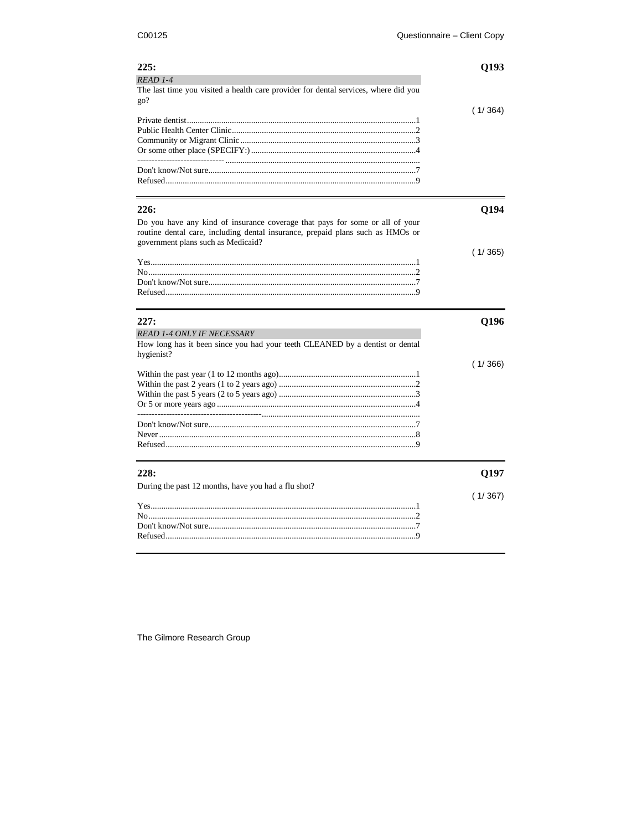| 225:                                                                                           | Q193    |
|------------------------------------------------------------------------------------------------|---------|
| READ 1-4                                                                                       |         |
| The last time you visited a health care provider for dental services, where did you<br>$q_0$ ? |         |
|                                                                                                | (1/364) |
|                                                                                                |         |
|                                                                                                |         |
|                                                                                                |         |
|                                                                                                |         |
|                                                                                                |         |
|                                                                                                |         |
|                                                                                                |         |
| 226:                                                                                           | Q194    |
| Do you have any kind of insurance coverage that pays for some or all of your                   |         |
| routine dental care, including dental insurance, prepaid plans such as HMOs or                 |         |
| government plans such as Medicaid?                                                             |         |
|                                                                                                | (1/365) |
|                                                                                                |         |
|                                                                                                |         |
|                                                                                                |         |
|                                                                                                |         |
| 227:                                                                                           | Q196    |
| <b>READ 1-4 ONLY IF NECESSARY</b>                                                              |         |
| How long has it been since you had your teeth CLEANED by a dentist or dental<br>hygienist?     |         |
|                                                                                                | (1/366) |
|                                                                                                |         |
|                                                                                                |         |
|                                                                                                |         |
|                                                                                                |         |
|                                                                                                |         |
|                                                                                                |         |
|                                                                                                |         |
|                                                                                                |         |
|                                                                                                |         |
| 228:                                                                                           | Q197    |
| During the past 12 months, have you had a flu shot?                                            |         |
|                                                                                                | (1/367) |
|                                                                                                |         |
|                                                                                                |         |
| Refused                                                                                        |         |
|                                                                                                |         |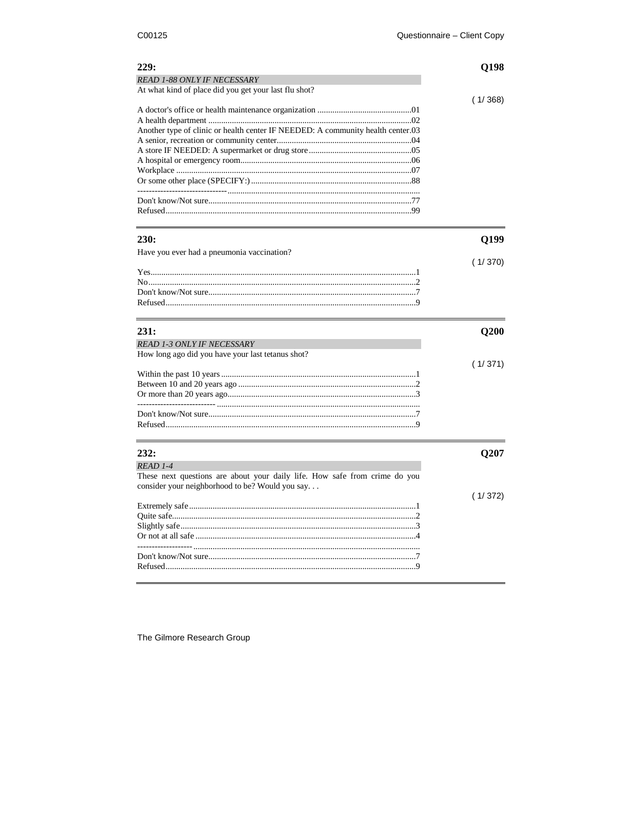| 229:                                                                              | 198     |
|-----------------------------------------------------------------------------------|---------|
| <b>READ 1-88 ONLY IF NECESSARY</b>                                                |         |
| At what kind of place did you get your last flu shot?                             |         |
|                                                                                   | (1/368) |
|                                                                                   |         |
|                                                                                   |         |
| Another type of clinic or health center IF NEEDED: A community health center 0.03 |         |
|                                                                                   |         |
|                                                                                   |         |
|                                                                                   |         |
|                                                                                   |         |
|                                                                                   |         |
|                                                                                   |         |
|                                                                                   |         |
|                                                                                   |         |

| 230:                                                                       | Q199    |
|----------------------------------------------------------------------------|---------|
| Have you ever had a pneumonia vaccination?                                 |         |
|                                                                            | (1/370) |
|                                                                            |         |
|                                                                            |         |
|                                                                            |         |
|                                                                            |         |
| 231:                                                                       | Q200    |
| <b>READ 1-3 ONLY IF NECESSARY</b>                                          |         |
| How long ago did you have your last tetanus shot?                          |         |
|                                                                            | (1/371) |
|                                                                            |         |
|                                                                            |         |
|                                                                            |         |
|                                                                            |         |
|                                                                            |         |
|                                                                            |         |
| 232:                                                                       | Q207    |
| $READ$ 1-4                                                                 |         |
| These next questions are about your daily life. How safe from crime do you |         |
| consider your neighborhood to be? Would you say                            |         |
|                                                                            | (1/372) |
|                                                                            |         |
|                                                                            |         |
|                                                                            |         |
|                                                                            |         |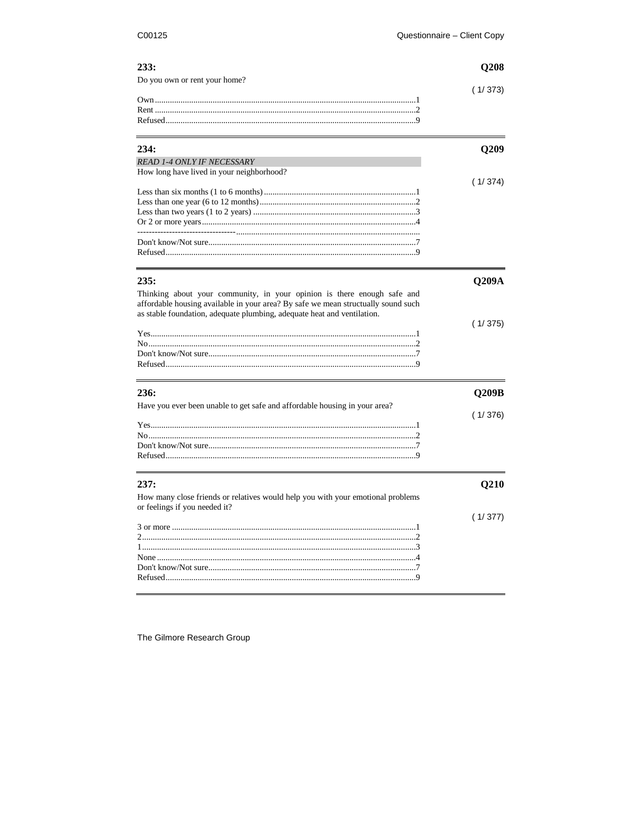# $233.$

| (1/373) |
|---------|
|         |
|         |
|         |
|         |

| 234:                                      |         |
|-------------------------------------------|---------|
| <b>READ 1-4 ONLY IF NECESSARY</b>         |         |
| How long have lived in your neighborhood? |         |
|                                           | (1/374) |
|                                           |         |
|                                           |         |
|                                           |         |
|                                           |         |
|                                           |         |
|                                           |         |
|                                           |         |
|                                           |         |

| 235:                                                                                                                                                                                                                                    | Q209A   |
|-----------------------------------------------------------------------------------------------------------------------------------------------------------------------------------------------------------------------------------------|---------|
| Thinking about your community, in your opinion is there enough safe and<br>affordable housing available in your area? By safe we mean structually sound such<br>as stable foundation, adequate plumbing, adequate heat and ventilation. |         |
|                                                                                                                                                                                                                                         | (1/375) |
| 236:                                                                                                                                                                                                                                    | Q209B   |
| Have you ever been unable to get safe and affordable housing in your area?                                                                                                                                                              | (1/376) |
| 237:                                                                                                                                                                                                                                    | Q210    |
| How many close friends or relatives would help you with your emotional problems<br>or feelings if you needed it?                                                                                                                        | (1/377) |
|                                                                                                                                                                                                                                         |         |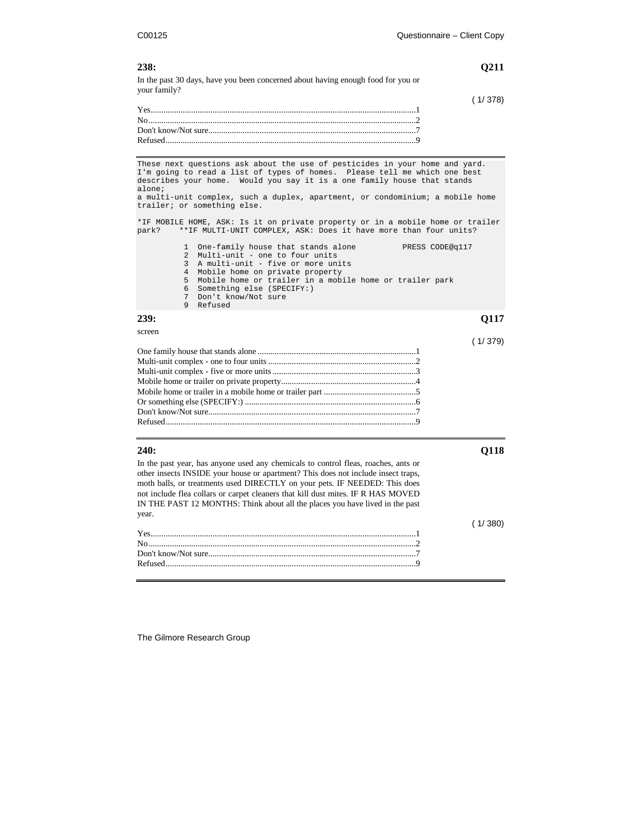### **238: Q211**

In the past 30 days, have you been concerned about having enough food for you or your family?

These next questions ask about the use of pesticides in your home and yard. I'm going to read a list of types of homes. Please tell me which one best describes your home. Would you say it is a one family house that stands alone; a multi-unit complex, such a duplex, apartment, or condominium; a mobile home trailer; or something else.

\*IF MOBILE HOME, ASK: Is it on private property or in a mobile home or trailer park? \*\*IF MULTI-UNIT COMPLEX, ASK: Does it have more than four units?

|  | 1 One-family house that stands alone<br>PRESS CODE@q117   |
|--|-----------------------------------------------------------|
|  | 2 Multi-unit - one to four units                          |
|  | 3 A multi-unit - five or more units                       |
|  | 4 Mobile home on private property                         |
|  | 5 Mobile home or trailer in a mobile home or trailer park |
|  | 6 Something else (SPECIFY:)                               |
|  | 7 Don't know/Not sure                                     |
|  | 9 Refused                                                 |
|  |                                                           |

### **239: Q117**

screen

# ( 1/ 379)

 $(1/380)$ 

### **240: Q118**

In the past year, has anyone used any chemicals to control fleas, roaches, ants or other insects INSIDE your house or apartment? This does not include insect traps, moth balls, or treatments used DIRECTLY on your pets. IF NEEDED: This does not include flea collars or carpet cleaners that kill dust mites. IF R HAS MOVED IN THE PAST 12 MONTHS: Think about all the places you have lived in the past year.

|  | 110001 |
|--|--------|
|  |        |
|  |        |
|  |        |
|  |        |
|  |        |

The Gilmore Research Group

( 1/ 378)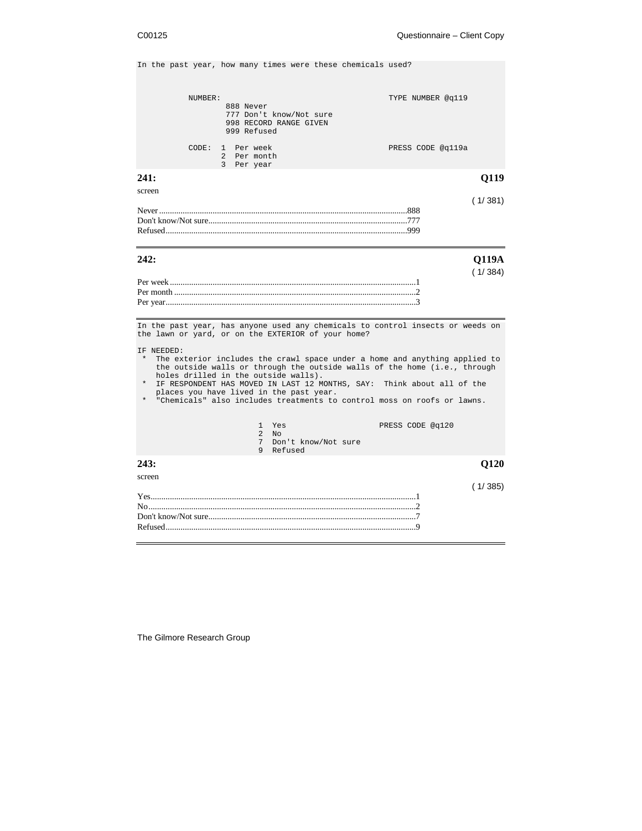In the past year, how many times were these chemicals used?

| CODE:                             | NUMBER:<br>888 Never<br>999 Refused<br>1 Per week<br>2 Per month<br>3 Per year | 777 Don't know/Not sure<br>998 RECORD RANGE GIVEN                                                                                     | TYPE NUMBER @q119<br>PRESS CODE @q119a                                                                                                                                                                                                                                                                                                                                                           |                         |
|-----------------------------------|--------------------------------------------------------------------------------|---------------------------------------------------------------------------------------------------------------------------------------|--------------------------------------------------------------------------------------------------------------------------------------------------------------------------------------------------------------------------------------------------------------------------------------------------------------------------------------------------------------------------------------------------|-------------------------|
| 241:                              |                                                                                |                                                                                                                                       |                                                                                                                                                                                                                                                                                                                                                                                                  | Q119                    |
| screen                            |                                                                                |                                                                                                                                       |                                                                                                                                                                                                                                                                                                                                                                                                  | (1/381)                 |
| 242:                              |                                                                                |                                                                                                                                       |                                                                                                                                                                                                                                                                                                                                                                                                  | <b>Q119A</b><br>(1/384) |
| IF NEEDED:<br>$\star$<br>$^\star$ |                                                                                | the lawn or yard, or on the EXTERIOR of your home?<br>holes drilled in the outside walls).<br>places you have lived in the past year. | In the past year, has anyone used any chemicals to control insects or weeds on<br>The exterior includes the crawl space under a home and anything applied to<br>the outside walls or through the outside walls of the home (i.e., through<br>IF RESPONDENT HAS MOVED IN LAST 12 MONTHS, SAY: Think about all of the<br>* "Chemicals" also includes treatments to control moss on roofs or lawns. |                         |
|                                   |                                                                                | 1 Yes<br>2N <sub>O</sub><br>7 Don't know/Not sure<br>9 Refused                                                                        | PRESS CODE @q120                                                                                                                                                                                                                                                                                                                                                                                 |                         |
| 243:                              |                                                                                |                                                                                                                                       |                                                                                                                                                                                                                                                                                                                                                                                                  | <b>O120</b>             |
| screen                            |                                                                                |                                                                                                                                       |                                                                                                                                                                                                                                                                                                                                                                                                  | (1/385)                 |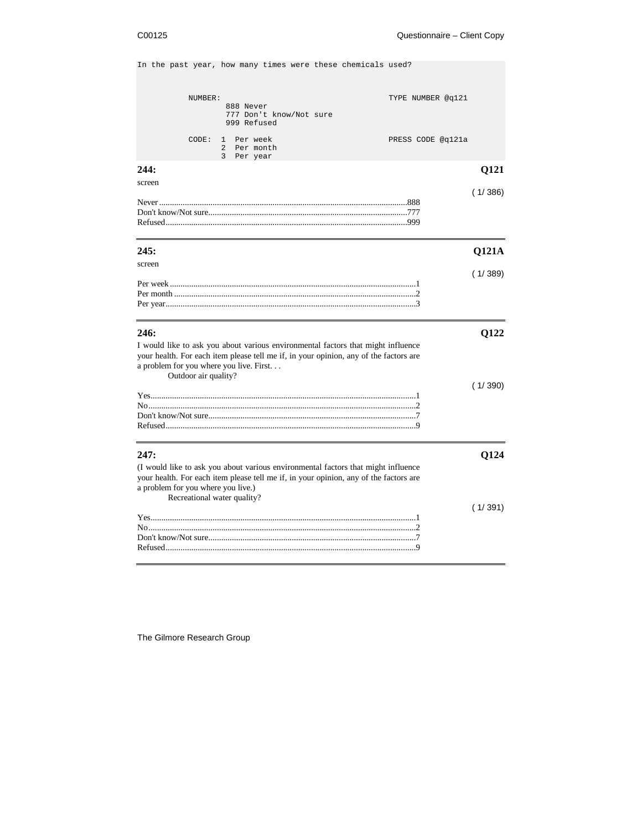In the past year, how many times were these chemicals used?

|                                                 | NUMBER:              | 888 Never              | 777 Don't know/Not sure                          |                                                                                                                                                                           | TYPE NUMBER @q121 |         |
|-------------------------------------------------|----------------------|------------------------|--------------------------------------------------|---------------------------------------------------------------------------------------------------------------------------------------------------------------------------|-------------------|---------|
|                                                 | CODE:                | $\mathbf{1}$<br>2<br>3 | 999 Refused<br>Per week<br>Per month<br>Per year |                                                                                                                                                                           | PRESS CODE @q121a |         |
| 244:                                            |                      |                        |                                                  |                                                                                                                                                                           |                   | Q121    |
| screen                                          |                      |                        |                                                  |                                                                                                                                                                           |                   | (1/386) |
| 245:                                            |                      |                        |                                                  |                                                                                                                                                                           |                   | Q121A   |
| screen                                          |                      |                        |                                                  |                                                                                                                                                                           |                   | (1/389) |
|                                                 |                      |                        |                                                  |                                                                                                                                                                           |                   |         |
| 246:<br>a problem for you where you live. First | Outdoor air quality? |                        |                                                  | I would like to ask you about various environmental factors that might influence<br>your health. For each item please tell me if, in your opinion, any of the factors are |                   | Q122    |
|                                                 |                      |                        |                                                  |                                                                                                                                                                           |                   | (1/390) |
| 247:                                            |                      |                        |                                                  |                                                                                                                                                                           |                   | Q124    |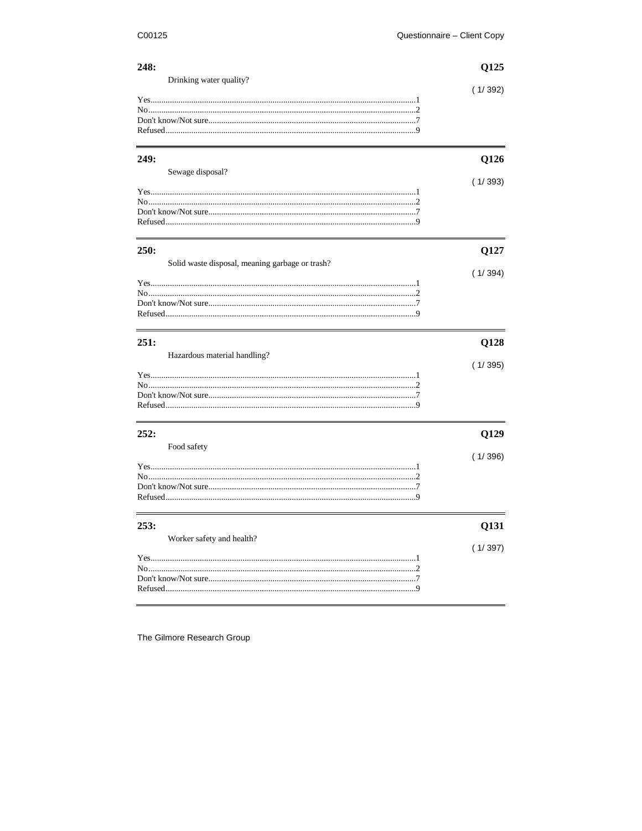# $248.$

| Drinking water quality? |  |
|-------------------------|--|
|                         |  |
|                         |  |
|                         |  |
|                         |  |
|                         |  |
|                         |  |
|                         |  |

| I<br>v | ۰. |
|--------|----|

| Sewage disposal?                                                                                                                                                                                                                                                                      |  |
|---------------------------------------------------------------------------------------------------------------------------------------------------------------------------------------------------------------------------------------------------------------------------------------|--|
|                                                                                                                                                                                                                                                                                       |  |
| $Yes$ and $Yes$ and $Yes$ and $Yes$ and $Yes$ and $Yes$ and $Yes$ and $Yes$ and $Yes$ and $Yes$ and $Yes$ and $Yes$ and $Yes$ and $Yes$ and $Yes$ and $Yes$ and $Yes$ and $Yes$ and $Yes$ and $Yes$ and $Yes$ and $Yes$ and $Yes$ and $Yes$ and $Yes$ and $Yes$ and $Yes$ and $Yes$ a |  |
|                                                                                                                                                                                                                                                                                       |  |
|                                                                                                                                                                                                                                                                                       |  |
|                                                                                                                                                                                                                                                                                       |  |
|                                                                                                                                                                                                                                                                                       |  |

| <b>250:</b>                                     |         |
|-------------------------------------------------|---------|
| Solid waste disposal, meaning garbage or trash? |         |
|                                                 | (1/394) |
|                                                 |         |
|                                                 |         |
|                                                 |         |
|                                                 |         |
|                                                 |         |
|                                                 |         |

| 251:                         | <b>O128</b> |
|------------------------------|-------------|
| Hazardous material handling? |             |
|                              | (1/395)     |
|                              |             |
|                              |             |
|                              |             |
|                              |             |
|                              |             |
| 252:                         | O129        |
| Food safety                  |             |
|                              | (1/396)     |
|                              |             |
|                              |             |
|                              |             |

| 253:                      | 0131    |
|---------------------------|---------|
| Worker safety and health? | (1/397) |
|                           |         |
|                           |         |
|                           |         |
|                           |         |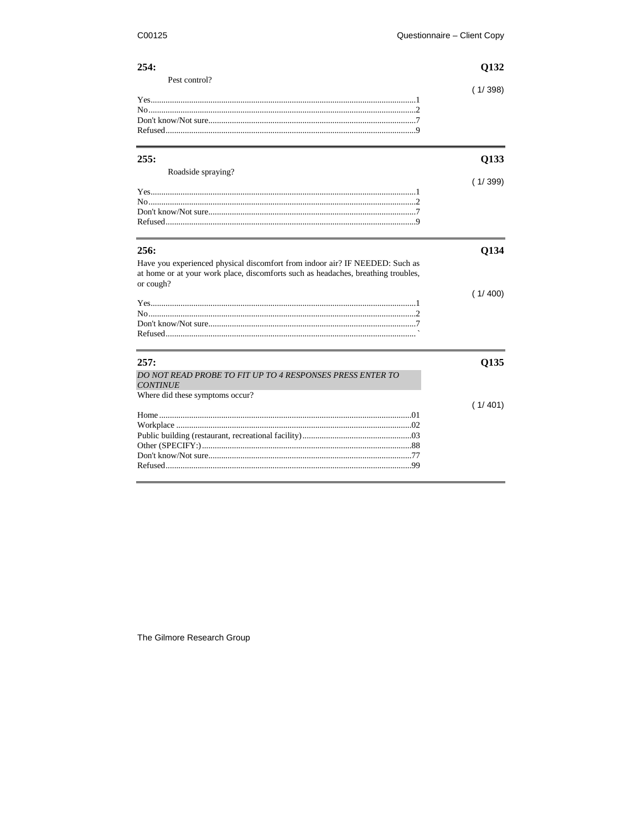# $254.$

| 254:          | 0132    |  |
|---------------|---------|--|
| Pest control? | (1/398) |  |
|               |         |  |
|               |         |  |
|               |         |  |
|               |         |  |
|               |         |  |
|               |         |  |

| 255:                                                                                                                                                                           | 0133    |  |
|--------------------------------------------------------------------------------------------------------------------------------------------------------------------------------|---------|--|
| Roadside spraying?                                                                                                                                                             | (1/399) |  |
|                                                                                                                                                                                |         |  |
|                                                                                                                                                                                |         |  |
|                                                                                                                                                                                |         |  |
|                                                                                                                                                                                |         |  |
| 256:                                                                                                                                                                           | O134    |  |
| Have you experienced physical discomfort from indoor air? IF NEEDED: Such as<br>at home or at your work place, discomforts such as headaches, breathing troubles,<br>or cough? |         |  |
|                                                                                                                                                                                | 1/400   |  |
|                                                                                                                                                                                |         |  |
|                                                                                                                                                                                |         |  |
|                                                                                                                                                                                |         |  |
|                                                                                                                                                                                |         |  |

| 257:                                                                         | 0135     |
|------------------------------------------------------------------------------|----------|
| DO NOT READ PROBE TO FIT UP TO 4 RESPONSES PRESS ENTER TO<br><b>CONTINUE</b> |          |
| Where did these symptoms occur?                                              |          |
|                                                                              | ( 1/ 401 |
| Home $\sim$ 01                                                               |          |
|                                                                              |          |
|                                                                              |          |
|                                                                              |          |
|                                                                              |          |
|                                                                              |          |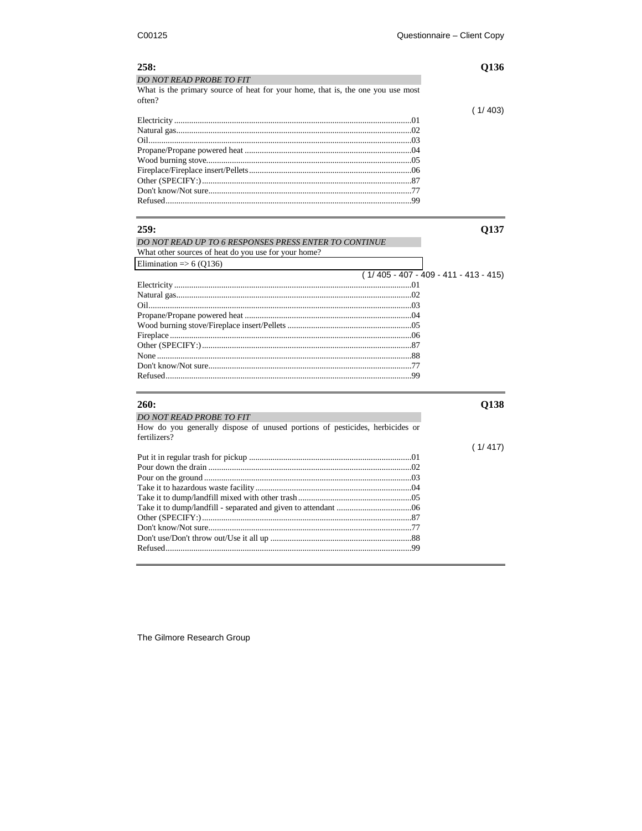| 258:                                                                            | Q136                                    |
|---------------------------------------------------------------------------------|-----------------------------------------|
| DO NOT READ PROBE TO FIT                                                        |                                         |
| What is the primary source of heat for your home, that is, the one you use most |                                         |
| often?                                                                          |                                         |
|                                                                                 | (1/403)                                 |
|                                                                                 |                                         |
|                                                                                 |                                         |
|                                                                                 |                                         |
|                                                                                 |                                         |
|                                                                                 |                                         |
|                                                                                 |                                         |
|                                                                                 |                                         |
|                                                                                 |                                         |
|                                                                                 |                                         |
|                                                                                 |                                         |
| 259:                                                                            | Q137                                    |
| DO NOT READ UP TO 6 RESPONSES PRESS ENTER TO CONTINUE                           |                                         |
| What other sources of heat do you use for your home?                            |                                         |
| Elimination $\Rightarrow$ 6 (Q136)                                              |                                         |
|                                                                                 | $(1/405 - 407 - 409 - 411 - 413 - 415)$ |
|                                                                                 |                                         |
|                                                                                 |                                         |
|                                                                                 |                                         |
|                                                                                 |                                         |
|                                                                                 |                                         |
|                                                                                 |                                         |
|                                                                                 |                                         |
|                                                                                 |                                         |
|                                                                                 |                                         |
|                                                                                 |                                         |
|                                                                                 |                                         |
| 260:                                                                            | Q138                                    |
| <b>DO NOT READ PROBE TO FIT</b>                                                 |                                         |
| How do you generally dispose of unused portions of pesticides, herbicides or    |                                         |
| fertilizers?                                                                    |                                         |
|                                                                                 | (1/417)                                 |
|                                                                                 |                                         |
|                                                                                 |                                         |
|                                                                                 |                                         |
|                                                                                 |                                         |
|                                                                                 |                                         |
|                                                                                 |                                         |
|                                                                                 |                                         |
|                                                                                 |                                         |
|                                                                                 |                                         |
|                                                                                 |                                         |
|                                                                                 |                                         |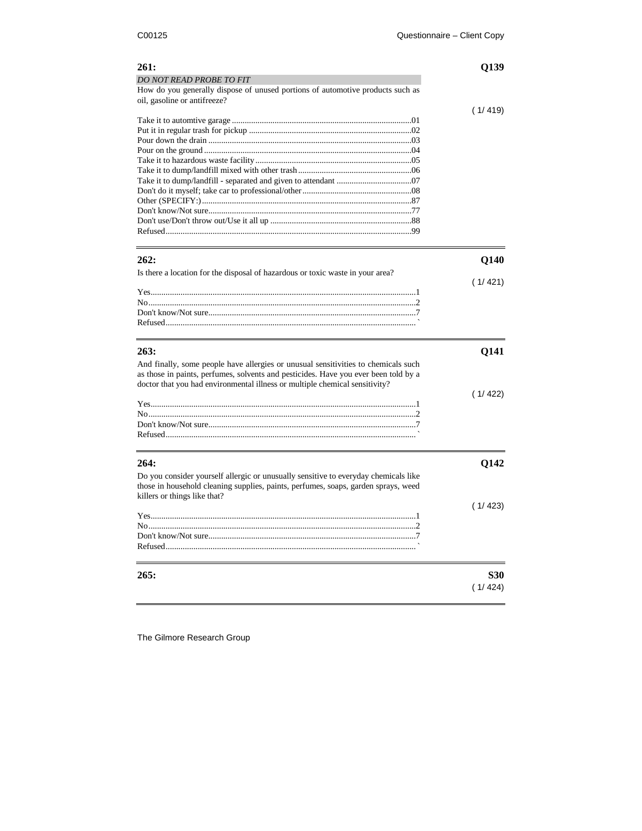| 261:                                                                                | Q139        |
|-------------------------------------------------------------------------------------|-------------|
| DO NOT READ PROBE TO FIT                                                            |             |
| How do you generally dispose of unused portions of automotive products such as      |             |
| oil, gasoline or antifreeze?                                                        |             |
|                                                                                     | (1/419)     |
|                                                                                     |             |
|                                                                                     |             |
|                                                                                     |             |
|                                                                                     |             |
|                                                                                     |             |
|                                                                                     |             |
|                                                                                     |             |
|                                                                                     |             |
|                                                                                     |             |
|                                                                                     |             |
|                                                                                     |             |
|                                                                                     |             |
|                                                                                     |             |
|                                                                                     |             |
| 262:                                                                                | Q140        |
| Is there a location for the disposal of hazardous or toxic waste in your area?      |             |
|                                                                                     | (1/421)     |
|                                                                                     |             |
|                                                                                     |             |
|                                                                                     |             |
|                                                                                     |             |
|                                                                                     |             |
|                                                                                     |             |
| 263:                                                                                | <b>Q141</b> |
| And finally, some people have allergies or unusual sensitivities to chemicals such  |             |
| as those in paints, perfumes, solvents and pesticides. Have you ever been told by a |             |
| doctor that you had environmental illness or multiple chemical sensitivity?         |             |
|                                                                                     | (1/422)     |
|                                                                                     |             |
|                                                                                     |             |
|                                                                                     |             |
|                                                                                     |             |
|                                                                                     |             |
|                                                                                     |             |
| 264:                                                                                | Q142        |
| Do you consider yourself allergic or unusually sensitive to everyday chemicals like |             |
| those in household cleaning supplies, paints, perfumes, soaps, garden sprays, weed  |             |
| killers or things like that?                                                        |             |
|                                                                                     | (1/423)     |
|                                                                                     |             |
|                                                                                     |             |
|                                                                                     |             |
|                                                                                     |             |
|                                                                                     |             |
|                                                                                     |             |
| 265:                                                                                | <b>S30</b>  |
|                                                                                     |             |
|                                                                                     | (1/424)     |